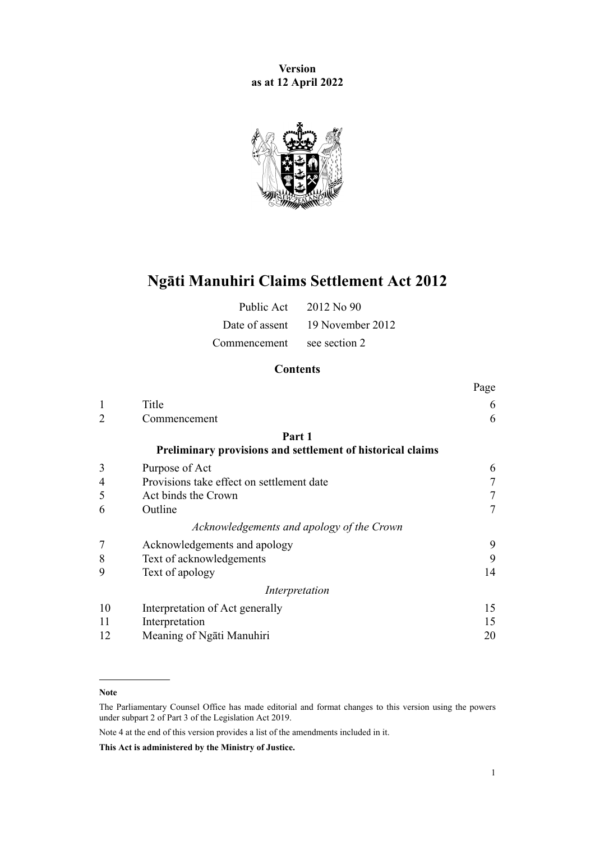**Version as at 12 April 2022**



# **Ngāti Manuhiri Claims Settlement Act 2012**

|                            | Public Act $2012$ No 90         |
|----------------------------|---------------------------------|
|                            | Date of assent 19 November 2012 |
| Commencement see section 2 |                                 |

## **Contents**

|                                                            | Page           |
|------------------------------------------------------------|----------------|
| Title                                                      | 6              |
| Commencement                                               | 6              |
| Part 1                                                     |                |
| Preliminary provisions and settlement of historical claims |                |
| Purpose of Act                                             | 6              |
| Provisions take effect on settlement date                  | 7              |
| Act binds the Crown                                        | 7              |
| Outline                                                    | $\overline{7}$ |
| Acknowledgements and apology of the Crown                  |                |
| Acknowledgements and apology                               | 9              |
| Text of acknowledgements                                   | 9              |
| Text of apology                                            | 14             |
| Interpretation                                             |                |
| Interpretation of Act generally                            | 15             |
| Interpretation                                             | 15             |
| Meaning of Ngati Manuhiri                                  | 20             |
|                                                            |                |

#### **Note**

The Parliamentary Counsel Office has made editorial and format changes to this version using the powers under [subpart 2](http://legislation.govt.nz/pdflink.aspx?id=DLM7298371) of Part 3 of the Legislation Act 2019.

Note 4 at the end of this version provides a list of the amendments included in it.

**This Act is administered by the Ministry of Justice.**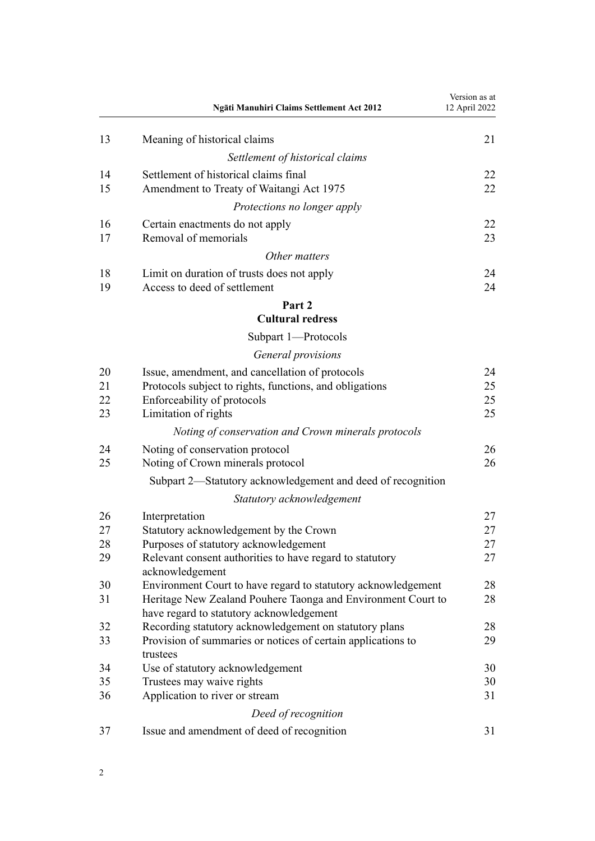|                      | Ngāti Manuhiri Claims Settlement Act 2012                                                                                                                         | Version as at<br>12 April 2022 |
|----------------------|-------------------------------------------------------------------------------------------------------------------------------------------------------------------|--------------------------------|
| 13                   | Meaning of historical claims                                                                                                                                      | 21                             |
|                      | Settlement of historical claims                                                                                                                                   |                                |
| 14<br>15             | Settlement of historical claims final<br>Amendment to Treaty of Waitangi Act 1975                                                                                 | 22<br>22                       |
|                      | Protections no longer apply                                                                                                                                       |                                |
| 16<br>17             | Certain enactments do not apply<br>Removal of memorials                                                                                                           | 22<br>23                       |
|                      | Other matters                                                                                                                                                     |                                |
| 18<br>19             | Limit on duration of trusts does not apply<br>Access to deed of settlement                                                                                        | 24<br>24                       |
|                      | Part 2                                                                                                                                                            |                                |
|                      | <b>Cultural redress</b>                                                                                                                                           |                                |
|                      | Subpart 1-Protocols                                                                                                                                               |                                |
|                      | General provisions                                                                                                                                                |                                |
| 20<br>21<br>22<br>23 | Issue, amendment, and cancellation of protocols<br>Protocols subject to rights, functions, and obligations<br>Enforceability of protocols<br>Limitation of rights | 24<br>25<br>25<br>25           |
|                      | Noting of conservation and Crown minerals protocols                                                                                                               |                                |
| 24                   | Noting of conservation protocol                                                                                                                                   | 26                             |
| 25                   | Noting of Crown minerals protocol                                                                                                                                 | 26                             |
|                      | Subpart 2—Statutory acknowledgement and deed of recognition                                                                                                       |                                |
|                      | Statutory acknowledgement                                                                                                                                         |                                |
| 26                   | Interpretation                                                                                                                                                    | 27                             |
| 27                   | Statutory acknowledgement by the Crown                                                                                                                            | 27                             |
| 28                   | Purposes of statutory acknowledgement                                                                                                                             | 27                             |
| 29                   | Relevant consent authorities to have regard to statutory<br>acknowledgement                                                                                       | 27                             |
| 30                   | Environment Court to have regard to statutory acknowledgement                                                                                                     | 28                             |
| 31                   | Heritage New Zealand Pouhere Taonga and Environment Court to<br>have regard to statutory acknowledgement                                                          | 28                             |
| 32                   | Recording statutory acknowledgement on statutory plans                                                                                                            | 28                             |
| 33                   | Provision of summaries or notices of certain applications to<br>trustees                                                                                          | 29                             |
| 34                   | Use of statutory acknowledgement                                                                                                                                  | 30                             |
| 35                   | Trustees may waive rights                                                                                                                                         | 30                             |
| 36                   | Application to river or stream                                                                                                                                    | 31                             |
|                      | Deed of recognition                                                                                                                                               |                                |
| 37                   | Issue and amendment of deed of recognition                                                                                                                        | 31                             |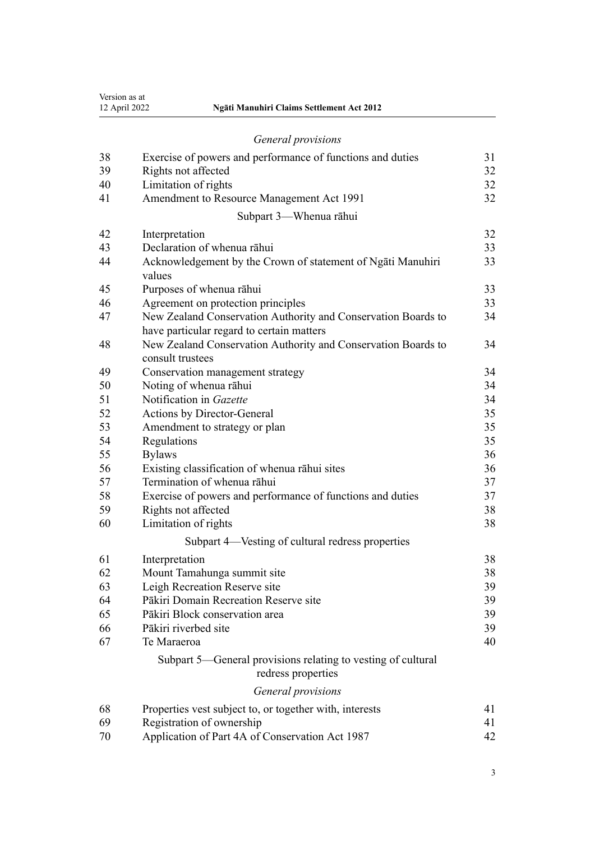|    | General provisions                                                                 |    |
|----|------------------------------------------------------------------------------------|----|
| 38 | Exercise of powers and performance of functions and duties                         | 31 |
| 39 | Rights not affected                                                                | 32 |
| 40 | Limitation of rights                                                               | 32 |
| 41 | Amendment to Resource Management Act 1991                                          | 32 |
|    | Subpart 3—Whenua rāhui                                                             |    |
| 42 | Interpretation                                                                     | 32 |
| 43 | Declaration of whenua rāhui                                                        | 33 |
| 44 | Acknowledgement by the Crown of statement of Ngati Manuhiri<br>values              | 33 |
| 45 | Purposes of whenua rāhui                                                           | 33 |
| 46 | Agreement on protection principles                                                 | 33 |
| 47 | New Zealand Conservation Authority and Conservation Boards to                      | 34 |
|    | have particular regard to certain matters                                          |    |
| 48 | New Zealand Conservation Authority and Conservation Boards to<br>consult trustees  | 34 |
| 49 | Conservation management strategy                                                   | 34 |
| 50 | Noting of whenua rāhui                                                             | 34 |
| 51 | Notification in Gazette                                                            | 34 |
| 52 | Actions by Director-General                                                        | 35 |
| 53 | Amendment to strategy or plan                                                      | 35 |
| 54 | Regulations                                                                        | 35 |
| 55 | <b>Bylaws</b>                                                                      | 36 |
| 56 | Existing classification of whenua rāhui sites                                      | 36 |
| 57 | Termination of whenua rāhui                                                        | 37 |
| 58 | Exercise of powers and performance of functions and duties                         | 37 |
| 59 | Rights not affected                                                                | 38 |
| 60 | Limitation of rights                                                               | 38 |
|    | Subpart 4-Vesting of cultural redress properties                                   |    |
| 61 | Interpretation                                                                     | 38 |
| 62 | Mount Tamahunga summit site                                                        | 38 |
| 63 | Leigh Recreation Reserve site                                                      | 39 |
| 64 | Pākiri Domain Recreation Reserve site                                              | 39 |
| 65 | Pākiri Block conservation area                                                     | 39 |
| 66 | Pākiri riverbed site                                                               | 39 |
| 67 | Te Maraeroa                                                                        | 40 |
|    | Subpart 5—General provisions relating to vesting of cultural<br>redress properties |    |

12 April 2022 **Ngāti Manuhiri Claims Settlement Act 2012**

Version as at<br>12 April 2022

## *[General provisions](#page-40-0)*

| 68 | Properties vest subject to, or together with, interests |    |
|----|---------------------------------------------------------|----|
| 69 | Registration of ownership                               |    |
| 70 | Application of Part 4A of Conservation Act 1987         | 42 |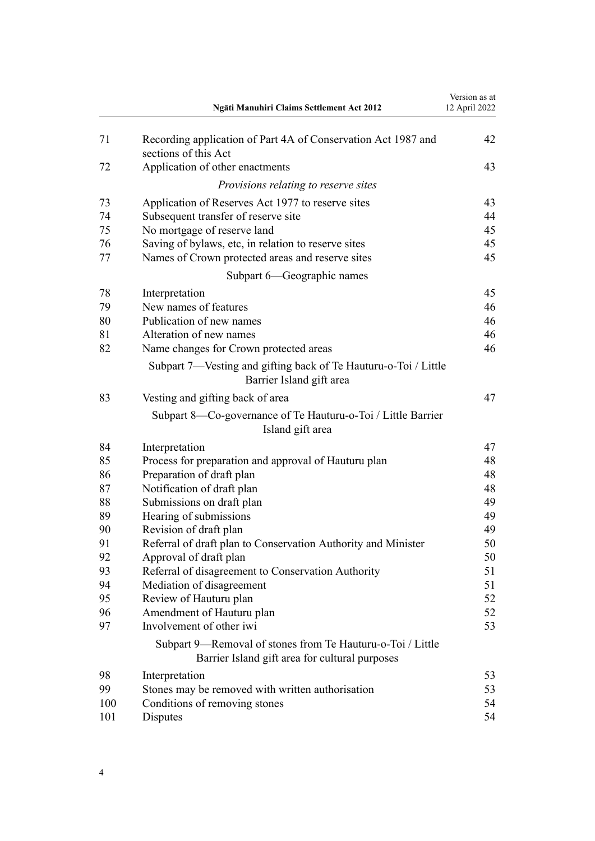|     | Ngāti Manuhiri Claims Settlement Act 2012                                                                    | Version as at<br>12 April 2022 |
|-----|--------------------------------------------------------------------------------------------------------------|--------------------------------|
| 71  | Recording application of Part 4A of Conservation Act 1987 and<br>sections of this Act                        | 42                             |
| 72  | Application of other enactments                                                                              | 43                             |
|     | Provisions relating to reserve sites                                                                         |                                |
| 73  | Application of Reserves Act 1977 to reserve sites                                                            | 43                             |
| 74  | Subsequent transfer of reserve site                                                                          | 44                             |
| 75  | No mortgage of reserve land                                                                                  | 45                             |
| 76  | Saving of bylaws, etc, in relation to reserve sites                                                          | 45                             |
| 77  | Names of Crown protected areas and reserve sites                                                             | 45                             |
|     | Subpart 6—Geographic names                                                                                   |                                |
| 78  | Interpretation                                                                                               | 45                             |
| 79  | New names of features                                                                                        | 46                             |
| 80  | Publication of new names                                                                                     | 46                             |
| 81  | Alteration of new names                                                                                      | 46                             |
| 82  | Name changes for Crown protected areas                                                                       | 46                             |
|     | Subpart 7—Vesting and gifting back of Te Hauturu-o-Toi / Little<br>Barrier Island gift area                  |                                |
| 83  | Vesting and gifting back of area                                                                             | 47                             |
|     | Subpart 8—Co-governance of Te Hauturu-o-Toi / Little Barrier<br>Island gift area                             |                                |
| 84  | Interpretation                                                                                               | 47                             |
| 85  | Process for preparation and approval of Hauturu plan                                                         | 48                             |
| 86  | Preparation of draft plan                                                                                    | 48                             |
| 87  | Notification of draft plan                                                                                   | 48                             |
| 88  | Submissions on draft plan                                                                                    | 49                             |
| 89  | Hearing of submissions                                                                                       | 49                             |
| 90  | Revision of draft plan                                                                                       | 49                             |
| 91  | Referral of draft plan to Conservation Authority and Minister                                                | 50                             |
| 92  | Approval of draft plan                                                                                       | 50                             |
| 93  | Referral of disagreement to Conservation Authority                                                           | 51                             |
| 94  | Mediation of disagreement                                                                                    | 51                             |
| 95  | Review of Hauturu plan                                                                                       | 52                             |
| 96  | Amendment of Hauturu plan                                                                                    | 52                             |
| 97  | Involvement of other iwi                                                                                     | 53                             |
|     | Subpart 9-Removal of stones from Te Hauturu-o-Toi / Little<br>Barrier Island gift area for cultural purposes |                                |
| 98  | Interpretation                                                                                               | 53                             |
| 99  | Stones may be removed with written authorisation                                                             | 53                             |
| 100 | Conditions of removing stones                                                                                | 54                             |
| 101 | Disputes                                                                                                     | 54                             |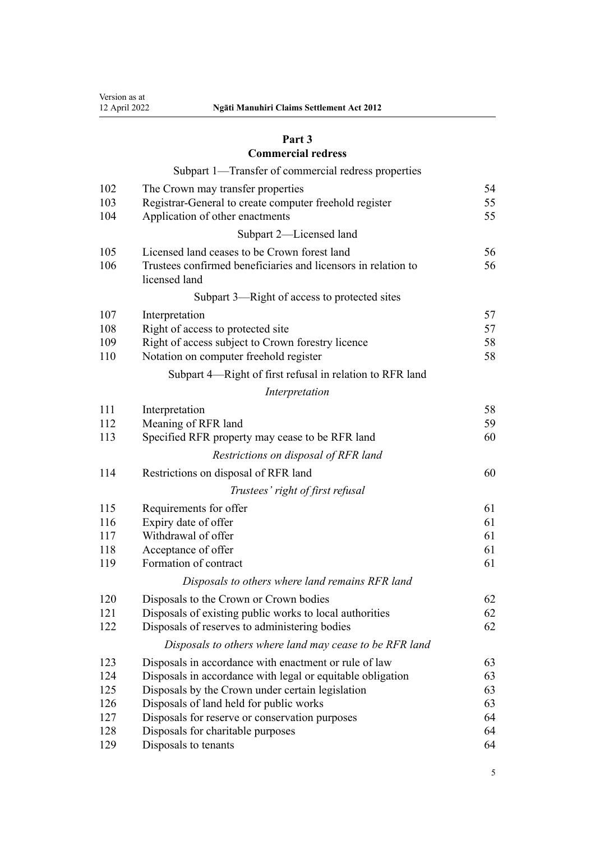## **[Part 3](#page-53-0) [Commercial redress](#page-53-0)**

## [Subpart 1—Transfer of commercial redress properties](#page-53-0)

| 102<br>103<br>104 | The Crown may transfer properties<br>Registrar-General to create computer freehold register<br>Application of other enactments | 54<br>55<br>55 |
|-------------------|--------------------------------------------------------------------------------------------------------------------------------|----------------|
|                   | Subpart 2-Licensed land                                                                                                        |                |
| 105<br>106        | Licensed land ceases to be Crown forest land<br>Trustees confirmed beneficiaries and licensors in relation to<br>licensed land | 56<br>56       |
|                   | Subpart 3—Right of access to protected sites                                                                                   |                |
| 107               | Interpretation                                                                                                                 | 57             |
| 108               | Right of access to protected site                                                                                              | 57             |
| 109               | Right of access subject to Crown forestry licence                                                                              | 58             |
| 110               | Notation on computer freehold register                                                                                         | 58             |
|                   | Subpart 4—Right of first refusal in relation to RFR land                                                                       |                |
|                   | Interpretation                                                                                                                 |                |
| 111               | Interpretation                                                                                                                 | 58             |
| 112               | Meaning of RFR land                                                                                                            | 59             |
| 113               | Specified RFR property may cease to be RFR land                                                                                | 60             |
|                   | Restrictions on disposal of RFR land                                                                                           |                |
| 114               | Restrictions on disposal of RFR land                                                                                           | 60             |
|                   | Trustees' right of first refusal                                                                                               |                |
| 115               | Requirements for offer                                                                                                         | 61             |
| 116               | Expiry date of offer                                                                                                           | 61             |
| 117               | Withdrawal of offer                                                                                                            | 61             |
| 118               | Acceptance of offer                                                                                                            | 61             |
| 119               | Formation of contract                                                                                                          | 61             |
|                   | Disposals to others where land remains RFR land                                                                                |                |
| 120               | Disposals to the Crown or Crown bodies                                                                                         | 62             |
| 121               | Disposals of existing public works to local authorities                                                                        | 62             |
| 122               | Disposals of reserves to administering bodies                                                                                  | 62             |
|                   | Disposals to others where land may cease to be RFR land                                                                        |                |
| 123               | Disposals in accordance with enactment or rule of law                                                                          | 63             |
| 124               | Disposals in accordance with legal or equitable obligation                                                                     | 63             |
| 125               | Disposals by the Crown under certain legislation                                                                               | 63             |
| 126               | Disposals of land held for public works                                                                                        | 63             |
| 127               | Disposals for reserve or conservation purposes                                                                                 | 64             |
| 128               | Disposals for charitable purposes                                                                                              | 64             |
| 129               | Disposals to tenants                                                                                                           | 64             |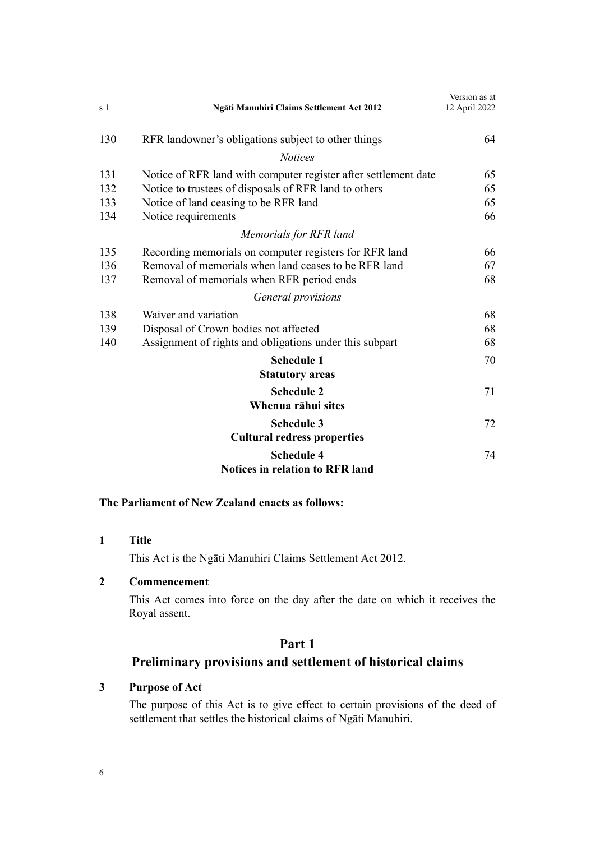<span id="page-5-0"></span>

| s 1 | Ngāti Manuhiri Claims Settlement Act 2012                       | Version as at<br>12 April 2022 |
|-----|-----------------------------------------------------------------|--------------------------------|
| 130 | RFR landowner's obligations subject to other things             | 64                             |
|     | <b>Notices</b>                                                  |                                |
| 131 | Notice of RFR land with computer register after settlement date | 65                             |
| 132 | Notice to trustees of disposals of RFR land to others           | 65                             |
| 133 | Notice of land ceasing to be RFR land                           | 65                             |
| 134 | Notice requirements                                             | 66                             |
|     | Memorials for RFR land                                          |                                |
| 135 | Recording memorials on computer registers for RFR land          | 66                             |
| 136 | Removal of memorials when land ceases to be RFR land            | 67                             |
| 137 | Removal of memorials when RFR period ends                       | 68                             |
|     | General provisions                                              |                                |
| 138 | Waiver and variation                                            | 68                             |
| 139 | Disposal of Crown bodies not affected                           | 68                             |
| 140 | Assignment of rights and obligations under this subpart         | 68                             |
|     | <b>Schedule 1</b>                                               | 70                             |
|     | <b>Statutory areas</b>                                          |                                |
|     | <b>Schedule 2</b>                                               | 71                             |
|     | Whenua rāhui sites                                              |                                |
|     | <b>Schedule 3</b>                                               | 72                             |
|     | <b>Cultural redress properties</b>                              |                                |
|     | <b>Schedule 4</b><br><b>Notices in relation to RFR land</b>     | 74                             |

### **The Parliament of New Zealand enacts as follows:**

## **1 Title**

This Act is the Ngāti Manuhiri Claims Settlement Act 2012.

## **2 Commencement**

This Act comes into force on the day after the date on which it receives the Royal assent.

## **Part 1**

## **Preliminary provisions and settlement of historical claims**

## **3 Purpose of Act**

The purpose of this Act is to give effect to certain provisions of the deed of settlement that settles the historical claims of Ngāti Manuhiri.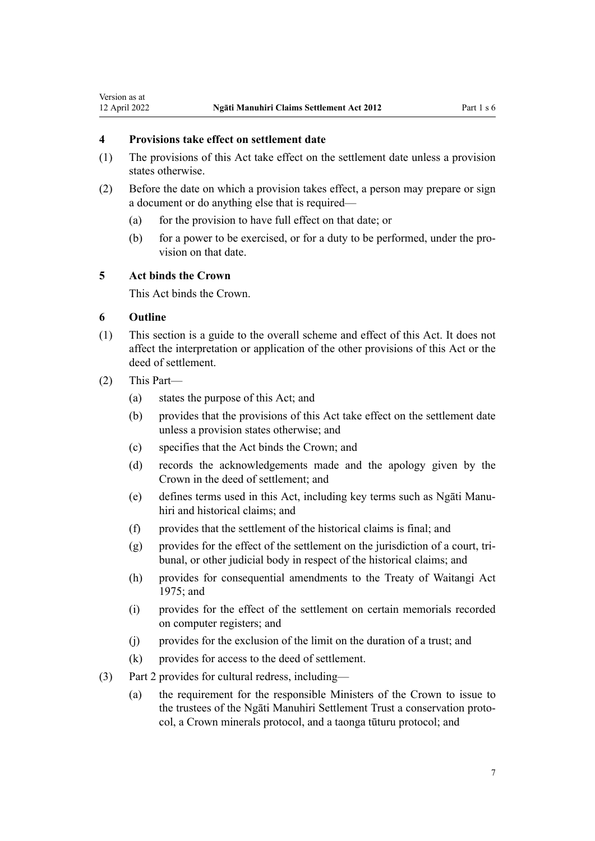#### <span id="page-6-0"></span>**4 Provisions take effect on settlement date**

- (1) The provisions of this Act take effect on the settlement date unless a provision states otherwise.
- (2) Before the date on which a provision takes effect, a person may prepare or sign a document or do anything else that is required—
	- (a) for the provision to have full effect on that date; or
	- (b) for a power to be exercised, or for a duty to be performed, under the pro‐ vision on that date.

## **5 Act binds the Crown**

This Act binds the Crown.

#### **6 Outline**

- (1) This section is a guide to the overall scheme and effect of this Act. It does not affect the interpretation or application of the other provisions of this Act or the deed of settlement.
- (2) This Part—
	- (a) states the purpose of this Act; and
	- (b) provides that the provisions of this Act take effect on the settlement date unless a provision states otherwise; and
	- (c) specifies that the Act binds the Crown; and
	- (d) records the acknowledgements made and the apology given by the Crown in the deed of settlement; and
	- (e) defines terms used in this Act, including key terms such as Ngāti Manu‐ hiri and historical claims; and
	- (f) provides that the settlement of the historical claims is final; and
	- $(g)$  provides for the effect of the settlement on the jurisdiction of a court, tribunal, or other judicial body in respect of the historical claims; and
	- (h) provides for consequential amendments to the [Treaty of Waitangi Act](http://legislation.govt.nz/pdflink.aspx?id=DLM435367) [1975](http://legislation.govt.nz/pdflink.aspx?id=DLM435367); and
	- (i) provides for the effect of the settlement on certain memorials recorded on computer registers; and
	- (j) provides for the exclusion of the limit on the duration of a trust; and
	- (k) provides for access to the deed of settlement.
- (3) [Part 2](#page-23-0) provides for cultural redress, including—
	- (a) the requirement for the responsible Ministers of the Crown to issue to the trustees of the Ngāti Manuhiri Settlement Trust a conservation proto‐ col, a Crown minerals protocol, and a taonga tūturu protocol; and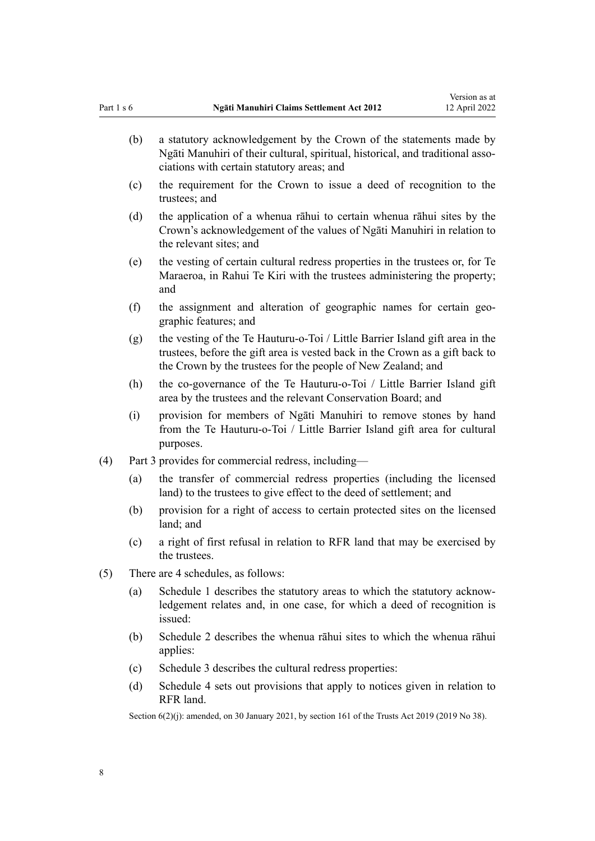(b) a statutory acknowledgement by the Crown of the statements made by Ngāti Manuhiri of their cultural, spiritual, historical, and traditional asso‐ ciations with certain statutory areas; and (c) the requirement for the Crown to issue a deed of recognition to the trustees; and (d) the application of a whenua rāhui to certain whenua rāhui sites by the Crown's acknowledgement of the values of Ngāti Manuhiri in relation to the relevant sites; and (e) the vesting of certain cultural redress properties in the trustees or, for Te Maraeroa, in Rahui Te Kiri with the trustees administering the property; and (f) the assignment and alteration of geographic names for certain geographic features; and (g) the vesting of the Te Hauturu-o-Toi / Little Barrier Island gift area in the trustees, before the gift area is vested back in the Crown as a gift back to the Crown by the trustees for the people of New Zealand; and (h) the co-governance of the Te Hauturu-o-Toi / Little Barrier Island gift area by the trustees and the relevant Conservation Board; and (i) provision for members of Ngāti Manuhiri to remove stones by hand from the Te Hauturu-o-Toi / Little Barrier Island gift area for cultural purposes. (4) [Part 3](#page-53-0) provides for commercial redress, including— (a) the transfer of commercial redress properties (including the licensed land) to the trustees to give effect to the deed of settlement; and (b) provision for a right of access to certain protected sites on the licensed land; and (c) a right of first refusal in relation to RFR land that may be exercised by the trustees. (5) There are 4 schedules, as follows: (a) [Schedule 1](#page-69-0) describes the statutory areas to which the statutory acknow‐ ledgement relates and, in one case, for which a deed of recognition is issued: (b) [Schedule 2](#page-70-0) describes the whenua rāhui sites to which the whenua rāhui applies: (c) [Schedule 3](#page-71-0) describes the cultural redress properties: (d) [Schedule 4](#page-73-0) sets out provisions that apply to notices given in relation to RFR land.

Section 6(2)(j): amended, on 30 January 2021, by [section 161](http://legislation.govt.nz/pdflink.aspx?id=DLM7383110) of the Trusts Act 2019 (2019 No 38).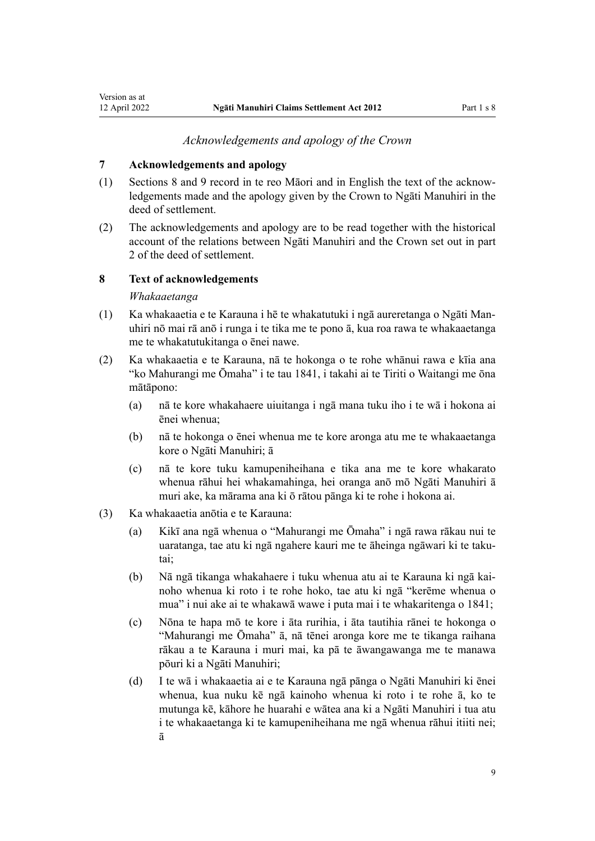## *Acknowledgements and apology of the Crown*

#### <span id="page-8-0"></span>**7 Acknowledgements and apology**

- (1) Sections 8 and [9](#page-13-0) record in te reo Māori and in English the text of the acknow‐ ledgements made and the apology given by the Crown to Ngāti Manuhiri in the deed of settlement.
- (2) The acknowledgements and apology are to be read together with the historical account of the relations between Ngāti Manuhiri and the Crown set out in part 2 of the deed of settlement.

## **8 Text of acknowledgements**

#### *Whakaaetanga*

- (1) Ka whakaaetia e te Karauna i hē te whakatutuki i ngā aureretanga o Ngāti Man‐ uhiri nō mai rā anō i runga i te tika me te pono ā, kua roa rawa te whakaaetanga me te whakatutukitanga o ēnei nawe.
- (2) Ka whakaaetia e te Karauna, nā te hokonga o te rohe whānui rawa e kīia ana "ko Mahurangi me Ōmaha" i te tau 1841, i takahi ai te [Tiriti o Waitangi](http://legislation.govt.nz/pdflink.aspx?id=DLM435834) me ōna mātāpono:
	- (a) nā te kore whakahaere uiuitanga i ngā mana tuku iho i te wā i hokona ai ēnei whenua;
	- (b) nā te hokonga o ēnei whenua me te kore aronga atu me te whakaaetanga kore o Ngāti Manuhiri; ā
	- (c) nā te kore tuku kamupeniheihana e tika ana me te kore whakarato whenua rāhui hei whakamahinga, hei oranga anō mō Ngāti Manuhiri ā muri ake, ka mārama ana ki ō rātou pānga ki te rohe i hokona ai.
- (3) Ka whakaaetia anōtia e te Karauna:
	- (a) Kikī ana ngā whenua o "Mahurangi me Ōmaha" i ngā rawa rākau nui te uaratanga, tae atu ki ngā ngahere kauri me te āheinga ngāwari ki te taku‐ tai;
	- (b) Nā ngā tikanga whakahaere i tuku whenua atu ai te Karauna ki ngā kai‐ noho whenua ki roto i te rohe hoko, tae atu ki ngā "kerēme whenua o mua" i nui ake ai te whakawā wawe i puta mai i te whakaritenga o 1841;
	- (c) Nōna te hapa mō te kore i āta rurihia, i āta tautihia rānei te hokonga o "Mahurangi me Ōmaha" ā, nā tēnei aronga kore me te tikanga raihana rākau a te Karauna i muri mai, ka pā te āwangawanga me te manawa pōuri ki a Ngāti Manuhiri;
	- (d) I te wā i whakaaetia ai e te Karauna ngā pānga o Ngāti Manuhiri ki ēnei whenua, kua nuku kē ngā kainoho whenua ki roto i te rohe ā, ko te mutunga kē, kāhore he huarahi e wātea ana ki a Ngāti Manuhiri i tua atu i te whakaaetanga ki te kamupeniheihana me ngā whenua rāhui itiiti nei; ā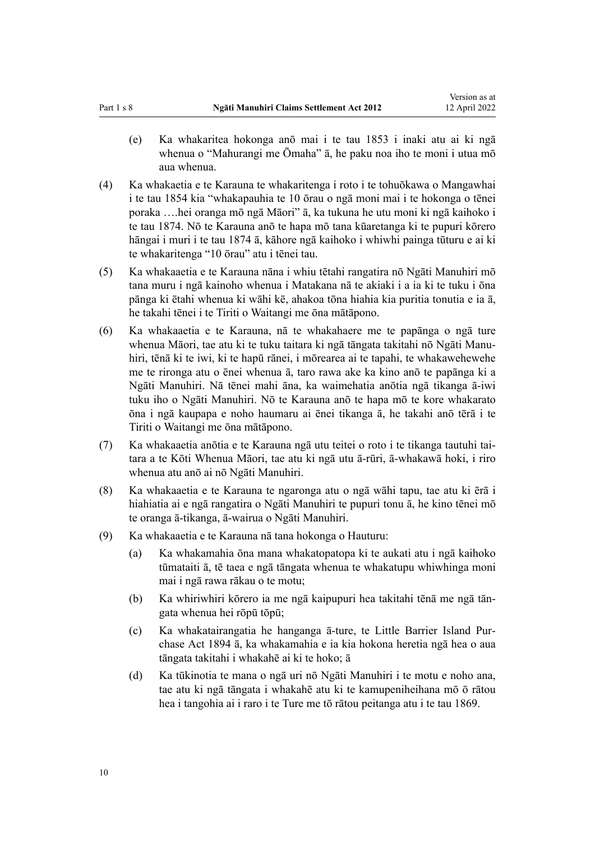- (e) Ka whakaritea hokonga anō mai i te tau 1853 i inaki atu ai ki ngā whenua o "Mahurangi me Ōmaha" ā, he paku noa iho te moni i utua mō aua whenua.
- (4) Ka whakaetia e te Karauna te whakaritenga i roto i te tohuōkawa o Mangawhai i te tau 1854 kia "whakapauhia te 10 ōrau o ngā moni mai i te hokonga o tēnei poraka ….hei oranga mō ngā Māori" ā, ka tukuna he utu moni ki ngā kaihoko i te tau 1874. Nō te Karauna anō te hapa mō tana kūaretanga ki te pupuri kōrero hāngai i muri i te tau 1874 ā, kāhore ngā kaihoko i whiwhi painga tūturu e ai ki te whakaritenga "10 ōrau" atu i tēnei tau.
- (5) Ka whakaaetia e te Karauna nāna i whiu tētahi rangatira nō Ngāti Manuhiri mō tana muru i ngā kainoho whenua i Matakana nā te akiaki i a ia ki te tuku i ōna pānga ki ētahi whenua ki wāhi kē, ahakoa tōna hiahia kia puritia tonutia e ia ā, he takahi tēnei i te [Tiriti o Waitangi](http://legislation.govt.nz/pdflink.aspx?id=DLM435834) me ōna mātāpono.
- (6) Ka whakaaetia e te Karauna, nā te whakahaere me te papānga o ngā ture whenua Māori, tae atu ki te tuku taitara ki ngā tāngata takitahi nō Ngāti Manu‐ hiri, tēnā ki te iwi, ki te hapū rānei, i mōrearea ai te tapahi, te whakawehewehe me te rironga atu o ēnei whenua ā, taro rawa ake ka kino anō te papānga ki a Ngāti Manuhiri. Nā tēnei mahi āna, ka waimehatia anōtia ngā tikanga ā-iwi tuku iho o Ngāti Manuhiri. Nō te Karauna anō te hapa mō te kore whakarato ōna i ngā kaupapa e noho haumaru ai ēnei tikanga ā, he takahi anō tērā i te [Tiriti o Waitangi](http://legislation.govt.nz/pdflink.aspx?id=DLM435834) me ōna mātāpono.
- (7) Ka whakaaetia anōtia e te Karauna ngā utu teitei o roto i te tikanga tautuhi tai‐ tara a te Kōti Whenua Māori, tae atu ki ngā utu ā-rūri, ā-whakawā hoki, i riro whenua atu anō ai nō Ngāti Manuhiri.
- (8) Ka whakaaetia e te Karauna te ngaronga atu o ngā wāhi tapu, tae atu ki ērā i hiahiatia ai e ngā rangatira o Ngāti Manuhiri te pupuri tonu ā, he kino tēnei mō te oranga ā-tikanga, ā-wairua o Ngāti Manuhiri.
- (9) Ka whakaaetia e te Karauna nā tana hokonga o Hauturu:
	- (a) Ka whakamahia ōna mana whakatopatopa ki te aukati atu i ngā kaihoko tūmataiti ā, tē taea e ngā tāngata whenua te whakatupu whiwhinga moni mai i ngā rawa rākau o te motu;
	- (b) Ka whiriwhiri kōrero ia me ngā kaipupuri hea takitahi tēnā me ngā tān‐ gata whenua hei rōpū tōpū;
	- (c) Ka whakatairangatia he hanganga ā-ture, te Little Barrier Island Pur‐ chase Act 1894 ā, ka whakamahia e ia kia hokona heretia ngā hea o aua tāngata takitahi i whakahē ai ki te hoko; ā
	- (d) Ka tūkinotia te mana o ngā uri nō Ngāti Manuhiri i te motu e noho ana, tae atu ki ngā tāngata i whakahē atu ki te kamupeniheihana mō ō rātou hea i tangohia ai i raro i te Ture me tō rātou peitanga atu i te tau 1869.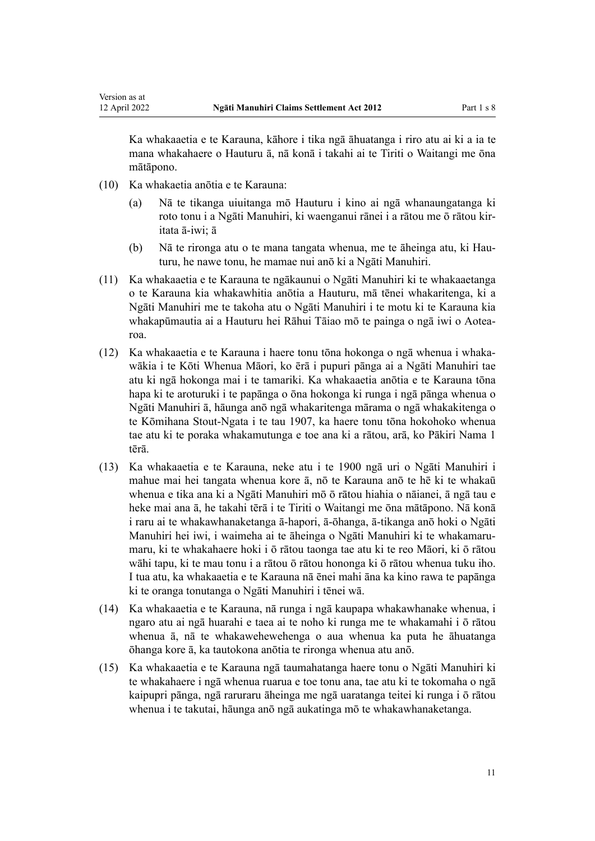Ka whakaaetia e te Karauna, kāhore i tika ngā āhuatanga i riro atu ai ki a ia te mana whakahaere o Hauturu ā, nā konā i takahi ai te [Tiriti o Waitangi](http://legislation.govt.nz/pdflink.aspx?id=DLM435834) me ōna mātāpono.

(10) Ka whakaetia anōtia e te Karauna:

Version as at

- (a) Nā te tikanga uiuitanga mō Hauturu i kino ai ngā whanaungatanga ki roto tonu i a Ngāti Manuhiri, ki waenganui rānei i a rātou me ō rātou kir‐ itata ā-iwi; ā
- (b) Nā te rironga atu o te mana tangata whenua, me te āheinga atu, ki Hau‐ turu, he nawe tonu, he mamae nui anō ki a Ngāti Manuhiri.
- (11) Ka whakaaetia e te Karauna te ngākaunui o Ngāti Manuhiri ki te whakaaetanga o te Karauna kia whakawhitia anōtia a Hauturu, mā tēnei whakaritenga, ki a Ngāti Manuhiri me te takoha atu o Ngāti Manuhiri i te motu ki te Karauna kia whakapūmautia ai a Hauturu hei Rāhui Tāiao mō te painga o ngā iwi o Aotea‐ roa.
- (12) Ka whakaaetia e te Karauna i haere tonu tōna hokonga o ngā whenua i whaka‐ wākia i te Kōti Whenua Māori, ko ērā i pupuri pānga ai a Ngāti Manuhiri tae atu ki ngā hokonga mai i te tamariki. Ka whakaaetia anōtia e te Karauna tōna hapa ki te aroturuki i te papānga o ōna hokonga ki runga i ngā pānga whenua o Ngāti Manuhiri ā, hāunga anō ngā whakaritenga mārama o ngā whakakitenga o te Kōmihana Stout-Ngata i te tau 1907, ka haere tonu tōna hokohoko whenua tae atu ki te poraka whakamutunga e toe ana ki a rātou, arā, ko Pākiri Nama 1 tērā.
- (13) Ka whakaaetia e te Karauna, neke atu i te 1900 ngā uri o Ngāti Manuhiri i mahue mai hei tangata whenua kore ā, nō te Karauna anō te hē ki te whakaū whenua e tika ana ki a Ngāti Manuhiri mō ō rātou hiahia o nāianei, ā ngā tau e heke mai ana ā, he takahi tērā i te [Tiriti o Waitangi](http://legislation.govt.nz/pdflink.aspx?id=DLM435834) me ōna mātāpono. Nā konā i raru ai te whakawhanaketanga ā-hapori, ā-ōhanga, ā-tikanga anō hoki o Ngāti Manuhiri hei iwi, i waimeha ai te āheinga o Ngāti Manuhiri ki te whakamaru‐ maru, ki te whakahaere hoki i ō rātou taonga tae atu ki te reo Māori, ki ō rātou wāhi tapu, ki te mau tonu i a rātou ō rātou hononga ki ō rātou whenua tuku iho. I tua atu, ka whakaaetia e te Karauna nā ēnei mahi āna ka kino rawa te papānga ki te oranga tonutanga o Ngāti Manuhiri i tēnei wā.
- (14) Ka whakaaetia e te Karauna, nā runga i ngā kaupapa whakawhanake whenua, i ngaro atu ai ngā huarahi e taea ai te noho ki runga me te whakamahi i ō rātou whenua ā, nā te whakawehewehenga o aua whenua ka puta he āhuatanga ōhanga kore ā, ka tautokona anōtia te rironga whenua atu anō.
- (15) Ka whakaaetia e te Karauna ngā taumahatanga haere tonu o Ngāti Manuhiri ki te whakahaere i ngā whenua ruarua e toe tonu ana, tae atu ki te tokomaha o ngā kaipupri pānga, ngā raruraru āheinga me ngā uaratanga teitei ki runga i ō rātou whenua i te takutai, hāunga anō ngā aukatinga mō te whakawhanaketanga.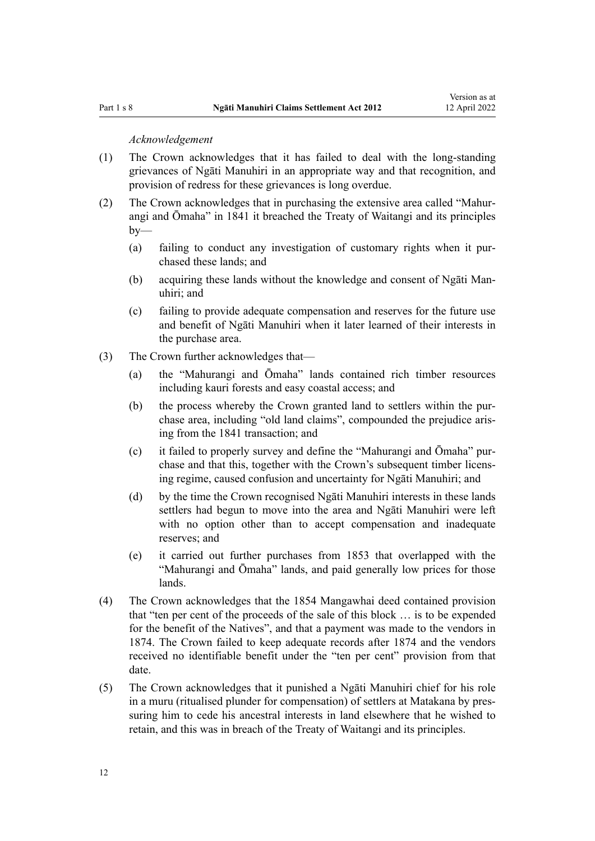#### *Acknowledgement*

- (1) The Crown acknowledges that it has failed to deal with the long-standing grievances of Ngāti Manuhiri in an appropriate way and that recognition, and provision of redress for these grievances is long overdue.
- (2) The Crown acknowledges that in purchasing the extensive area called "Mahur‐ angi and Ōmaha" in 1841 it breached the [Treaty of Waitangi](http://legislation.govt.nz/pdflink.aspx?id=DLM435834) and its principles  $by-$ 
	- (a) failing to conduct any investigation of customary rights when it pur‐ chased these lands; and
	- (b) acquiring these lands without the knowledge and consent of Ngāti Man‐ uhiri; and
	- (c) failing to provide adequate compensation and reserves for the future use and benefit of Ngāti Manuhiri when it later learned of their interests in the purchase area.
- (3) The Crown further acknowledges that—
	- (a) the "Mahurangi and Ōmaha" lands contained rich timber resources including kauri forests and easy coastal access; and
	- (b) the process whereby the Crown granted land to settlers within the purchase area, including "old land claims", compounded the prejudice aris‐ ing from the 1841 transaction; and
	- (c) it failed to properly survey and define the "Mahurangi and Ōmaha" pur‐ chase and that this, together with the Crown's subsequent timber licensing regime, caused confusion and uncertainty for Ngāti Manuhiri; and
	- (d) by the time the Crown recognised Ngāti Manuhiri interests in these lands settlers had begun to move into the area and Ngāti Manuhiri were left with no option other than to accept compensation and inadequate reserves; and
	- (e) it carried out further purchases from 1853 that overlapped with the "Mahurangi and Ōmaha" lands, and paid generally low prices for those lands.
- (4) The Crown acknowledges that the 1854 Mangawhai deed contained provision that "ten per cent of the proceeds of the sale of this block … is to be expended for the benefit of the Natives", and that a payment was made to the vendors in 1874. The Crown failed to keep adequate records after 1874 and the vendors received no identifiable benefit under the "ten per cent" provision from that date.
- (5) The Crown acknowledges that it punished a Ngāti Manuhiri chief for his role in a muru (ritualised plunder for compensation) of settlers at Matakana by pressuring him to cede his ancestral interests in land elsewhere that he wished to retain, and this was in breach of the [Treaty of Waitangi](http://legislation.govt.nz/pdflink.aspx?id=DLM435834) and its principles.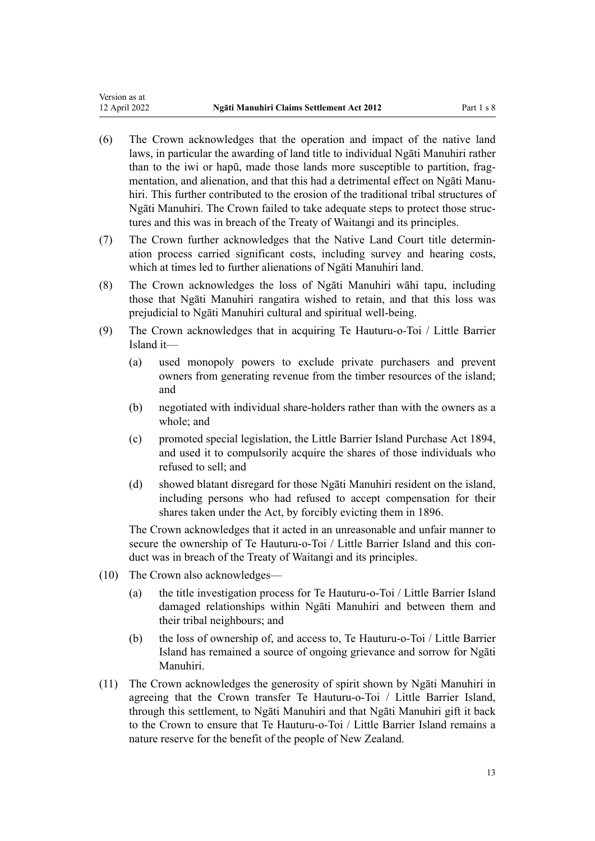- (6) The Crown acknowledges that the operation and impact of the native land laws, in particular the awarding of land title to individual Ngāti Manuhiri rather than to the iwi or hapū, made those lands more susceptible to partition, fragmentation, and alienation, and that this had a detrimental effect on Ngāti Manuhiri. This further contributed to the erosion of the traditional tribal structures of Ngāti Manuhiri. The Crown failed to take adequate steps to protect those struc‐ tures and this was in breach of the [Treaty of Waitangi](http://legislation.govt.nz/pdflink.aspx?id=DLM435834) and its principles.
- (7) The Crown further acknowledges that the Native Land Court title determin‐ ation process carried significant costs, including survey and hearing costs, which at times led to further alienations of Ngāti Manuhiri land.
- (8) The Crown acknowledges the loss of Ngāti Manuhiri wāhi tapu, including those that Ngāti Manuhiri rangatira wished to retain, and that this loss was prejudicial to Ngāti Manuhiri cultural and spiritual well-being.
- (9) The Crown acknowledges that in acquiring Te Hauturu-o-Toi / Little Barrier Island it—
	- (a) used monopoly powers to exclude private purchasers and prevent owners from generating revenue from the timber resources of the island; and
	- (b) negotiated with individual share-holders rather than with the owners as a whole; and
	- (c) promoted special legislation, the Little Barrier Island Purchase Act 1894, and used it to compulsorily acquire the shares of those individuals who refused to sell; and
	- (d) showed blatant disregard for those Ngāti Manuhiri resident on the island, including persons who had refused to accept compensation for their shares taken under the Act, by forcibly evicting them in 1896.

The Crown acknowledges that it acted in an unreasonable and unfair manner to secure the ownership of Te Hauturu-o-Toi / Little Barrier Island and this conduct was in breach of the [Treaty of Waitangi](http://legislation.govt.nz/pdflink.aspx?id=DLM435834) and its principles.

- (10) The Crown also acknowledges—
	- (a) the title investigation process for Te Hauturu-o-Toi / Little Barrier Island damaged relationships within Ngāti Manuhiri and between them and their tribal neighbours; and
	- (b) the loss of ownership of, and access to, Te Hauturu-o-Toi / Little Barrier Island has remained a source of ongoing grievance and sorrow for Ngāti Manuhiri.
- (11) The Crown acknowledges the generosity of spirit shown by Ngāti Manuhiri in agreeing that the Crown transfer Te Hauturu-o-Toi / Little Barrier Island, through this settlement, to Ngāti Manuhiri and that Ngāti Manuhiri gift it back to the Crown to ensure that Te Hauturu-o-Toi / Little Barrier Island remains a nature reserve for the benefit of the people of New Zealand.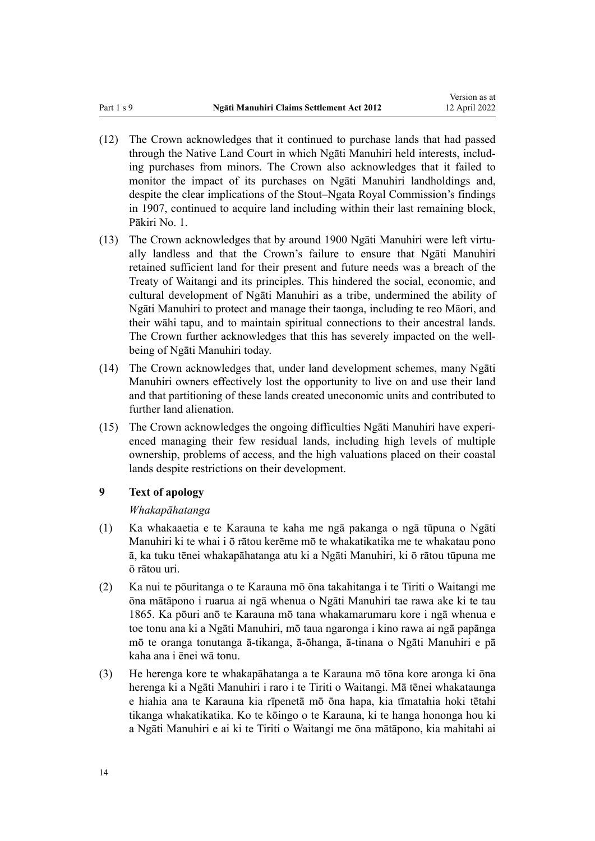- <span id="page-13-0"></span>(12) The Crown acknowledges that it continued to purchase lands that had passed through the Native Land Court in which Ngāti Manuhiri held interests, includ‐ ing purchases from minors. The Crown also acknowledges that it failed to monitor the impact of its purchases on Ngāti Manuhiri landholdings and, despite the clear implications of the Stout–Ngata Royal Commission's findings in 1907, continued to acquire land including within their last remaining block, Pākiri No. 1.
- (13) The Crown acknowledges that by around 1900 Ngāti Manuhiri were left virtu‐ ally landless and that the Crown's failure to ensure that Ngāti Manuhiri retained sufficient land for their present and future needs was a breach of the [Treaty of Waitangi](http://legislation.govt.nz/pdflink.aspx?id=DLM435834) and its principles. This hindered the social, economic, and cultural development of Ngāti Manuhiri as a tribe, undermined the ability of Ngāti Manuhiri to protect and manage their taonga, including te reo Māori, and their wāhi tapu, and to maintain spiritual connections to their ancestral lands. The Crown further acknowledges that this has severely impacted on the wellbeing of Ngāti Manuhiri today.
- (14) The Crown acknowledges that, under land development schemes, many Ngāti Manuhiri owners effectively lost the opportunity to live on and use their land and that partitioning of these lands created uneconomic units and contributed to further land alienation.
- (15) The Crown acknowledges the ongoing difficulties Ngāti Manuhiri have experi‐ enced managing their few residual lands, including high levels of multiple ownership, problems of access, and the high valuations placed on their coastal lands despite restrictions on their development.

### **9 Text of apology**

#### *Whakapāhatanga*

- (1) Ka whakaaetia e te Karauna te kaha me ngā pakanga o ngā tūpuna o Ngāti Manuhiri ki te whai i ō rātou kerēme mō te whakatikatika me te whakatau pono ā, ka tuku tēnei whakapāhatanga atu ki a Ngāti Manuhiri, ki ō rātou tūpuna me ō rātou uri.
- (2) Ka nui te pōuritanga o te Karauna mō ōna takahitanga i te [Tiriti o Waitangi](http://legislation.govt.nz/pdflink.aspx?id=DLM435834) me ōna mātāpono i ruarua ai ngā whenua o Ngāti Manuhiri tae rawa ake ki te tau 1865. Ka pōuri anō te Karauna mō tana whakamarumaru kore i ngā whenua e toe tonu ana ki a Ngāti Manuhiri, mō taua ngaronga i kino rawa ai ngā papānga mō te oranga tonutanga ā-tikanga, ā-ōhanga, ā-tinana o Ngāti Manuhiri e pā kaha ana i ēnei wā tonu.
- (3) He herenga kore te whakapāhatanga a te Karauna mō tōna kore aronga ki ōna herenga ki a Ngāti Manuhiri i raro i te [Tiriti o Waitangi.](http://legislation.govt.nz/pdflink.aspx?id=DLM435834) Mā tēnei whakataunga e hiahia ana te Karauna kia rīpenetā mō ōna hapa, kia tīmatahia hoki tētahi tikanga whakatikatika. Ko te kōingo o te Karauna, ki te hanga hononga hou ki a Ngāti Manuhiri e ai ki te Tiriti o Waitangi me ōna mātāpono, kia mahitahi ai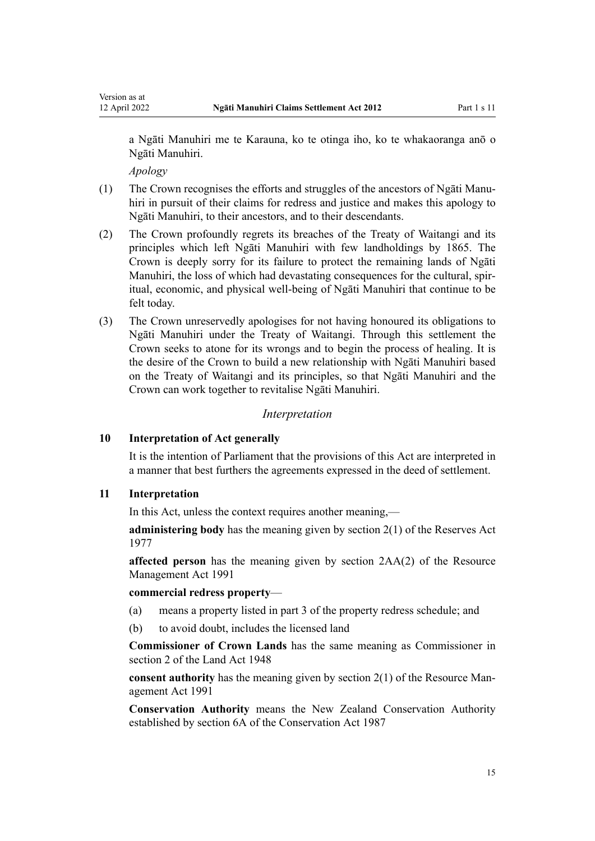<span id="page-14-0"></span>a Ngāti Manuhiri me te Karauna, ko te otinga iho, ko te whakaoranga anō o Ngāti Manuhiri.

*Apology*

- (1) The Crown recognises the efforts and struggles of the ancestors of Ngāti Manu‐ hiri in pursuit of their claims for redress and justice and makes this apology to Ngāti Manuhiri, to their ancestors, and to their descendants.
- (2) The Crown profoundly regrets its breaches of the [Treaty of Waitangi](http://legislation.govt.nz/pdflink.aspx?id=DLM435834) and its principles which left Ngāti Manuhiri with few landholdings by 1865. The Crown is deeply sorry for its failure to protect the remaining lands of Ngāti Manuhiri, the loss of which had devastating consequences for the cultural, spiritual, economic, and physical well-being of Ngāti Manuhiri that continue to be felt today.
- (3) The Crown unreservedly apologises for not having honoured its obligations to Ngāti Manuhiri under the [Treaty of Waitangi.](http://legislation.govt.nz/pdflink.aspx?id=DLM435834) Through this settlement the Crown seeks to atone for its wrongs and to begin the process of healing. It is the desire of the Crown to build a new relationship with Ngāti Manuhiri based on the Treaty of Waitangi and its principles, so that Ngāti Manuhiri and the Crown can work together to revitalise Ngāti Manuhiri.

### *Interpretation*

#### **10 Interpretation of Act generally**

It is the intention of Parliament that the provisions of this Act are interpreted in a manner that best furthers the agreements expressed in the deed of settlement.

#### **11 Interpretation**

In this Act, unless the context requires another meaning,—

**administering body** has the meaning given by [section 2\(1\)](http://legislation.govt.nz/pdflink.aspx?id=DLM444310) of the Reserves Act 1977

**affected person** has the meaning given by [section 2AA\(2\)](http://legislation.govt.nz/pdflink.aspx?id=DLM2408220) of the Resource Management Act 1991

#### **commercial redress property**—

- (a) means a property listed in part 3 of the property redress schedule; and
- (b) to avoid doubt, includes the licensed land

**Commissioner of Crown Lands** has the same meaning as Commissioner in [section 2](http://legislation.govt.nz/pdflink.aspx?id=DLM250592) of the Land Act 1948

**consent authority** has the meaning given by [section 2\(1\)](http://legislation.govt.nz/pdflink.aspx?id=DLM230272) of the Resource Management Act 1991

**Conservation Authority** means the New Zealand Conservation Authority established by [section 6A](http://legislation.govt.nz/pdflink.aspx?id=DLM104086) of the Conservation Act 1987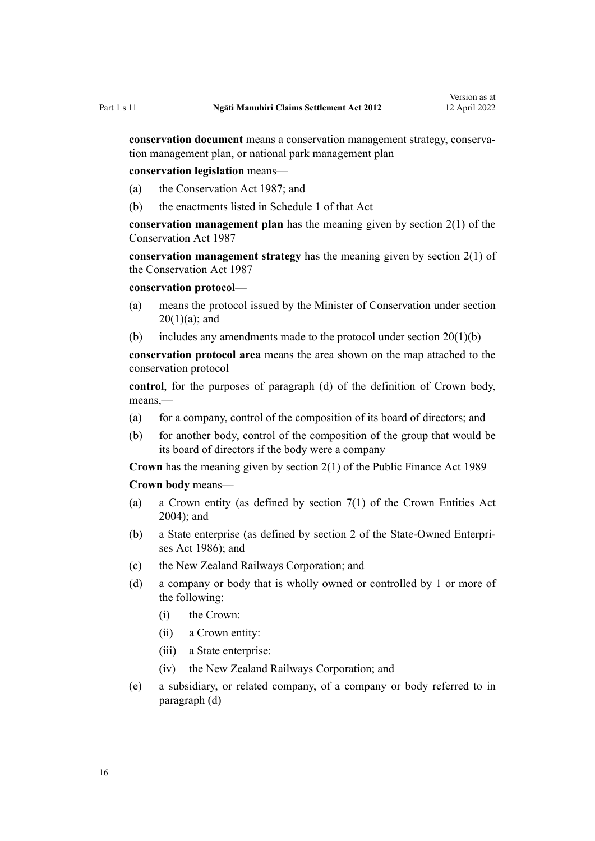**conservation document** means a conservation management strategy, conserva‐ tion management plan, or national park management plan

**conservation legislation** means—

- (a) the [Conservation Act 1987;](http://legislation.govt.nz/pdflink.aspx?id=DLM103609) and
- (b) the enactments listed in [Schedule 1](http://legislation.govt.nz/pdflink.aspx?id=DLM107200) of that Act

**conservation management plan** has the meaning given by [section 2\(1\)](http://legislation.govt.nz/pdflink.aspx?id=DLM103616) of the Conservation Act 1987

**conservation management strategy** has the meaning given by [section 2\(1\)](http://legislation.govt.nz/pdflink.aspx?id=DLM103616) of the Conservation Act 1987

#### **conservation protocol**—

- (a) means the protocol issued by the Minister of Conservation under [section](#page-23-0)  $20(1)(a)$ ; and
- (b) includes any amendments made to the protocol under section  $20(1)(b)$

**conservation protocol area** means the area shown on the map attached to the conservation protocol

**control**, for the purposes of paragraph (d) of the definition of Crown body, means,—

- (a) for a company, control of the composition of its board of directors; and
- (b) for another body, control of the composition of the group that would be its board of directors if the body were a company

**Crown** has the meaning given by [section 2\(1\)](http://legislation.govt.nz/pdflink.aspx?id=DLM160819) of the Public Finance Act 1989

**Crown body** means—

- (a) a Crown entity (as defined by [section 7\(1\)](http://legislation.govt.nz/pdflink.aspx?id=DLM329641) of the Crown Entities Act 2004); and
- (b) a State enterprise (as defined by [section 2](http://legislation.govt.nz/pdflink.aspx?id=DLM97382) of the State-Owned Enterpri‐ ses Act 1986); and
- (c) the New Zealand Railways Corporation; and
- (d) a company or body that is wholly owned or controlled by 1 or more of the following:
	- (i) the Crown:
	- (ii) a Crown entity:
	- (iii) a State enterprise:
	- (iv) the New Zealand Railways Corporation; and
- (e) a subsidiary, or related company, of a company or body referred to in paragraph (d)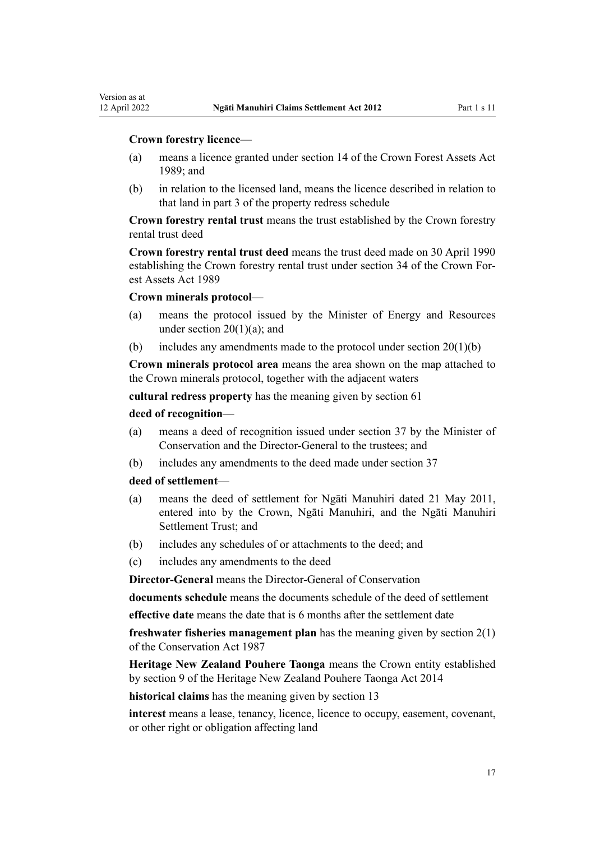Version as at

- (a) means a licence granted under [section 14](http://legislation.govt.nz/pdflink.aspx?id=DLM192328) of the Crown Forest Assets Act 1989; and
- (b) in relation to the licensed land, means the licence described in relation to that land in part 3 of the property redress schedule

**Crown forestry rental trust** means the trust established by the Crown forestry rental trust deed

**Crown forestry rental trust deed** means the trust deed made on 30 April 1990 establishing the Crown forestry rental trust under [section 34](http://legislation.govt.nz/pdflink.aspx?id=DLM192355) of the Crown Forest Assets Act 1989

#### **Crown minerals protocol**—

- (a) means the protocol issued by the Minister of Energy and Resources under section  $20(1)(a)$ ; and
- (b) includes any amendments made to the protocol under section  $20(1)(b)$

**Crown minerals protocol area** means the area shown on the map attached to the Crown minerals protocol, together with the adjacent waters

**cultural redress property** has the meaning given by [section 61](#page-37-0)

#### **deed of recognition**—

- (a) means a deed of recognition issued under [section 37](#page-30-0) by the Minister of Conservation and the Director-General to the trustees; and
- (b) includes any amendments to the deed made under [section 37](#page-30-0)

#### **deed of settlement**—

- (a) means the deed of settlement for Ngāti Manuhiri dated 21 May 2011, entered into by the Crown, Ngāti Manuhiri, and the Ngāti Manuhiri Settlement Trust; and
- (b) includes any schedules of or attachments to the deed; and
- (c) includes any amendments to the deed

**Director-General** means the Director-General of Conservation

**documents schedule** means the documents schedule of the deed of settlement

**effective date** means the date that is 6 months after the settlement date

**freshwater fisheries management plan** has the meaning given by [section 2\(1\)](http://legislation.govt.nz/pdflink.aspx?id=DLM103616) of the Conservation Act 1987

**Heritage New Zealand Pouhere Taonga** means the Crown entity established by [section 9](http://legislation.govt.nz/pdflink.aspx?id=DLM4005508) of the Heritage New Zealand Pouhere Taonga Act 2014

**historical claims** has the meaning given by [section 13](#page-20-0)

**interest** means a lease, tenancy, licence, licence to occupy, easement, covenant, or other right or obligation affecting land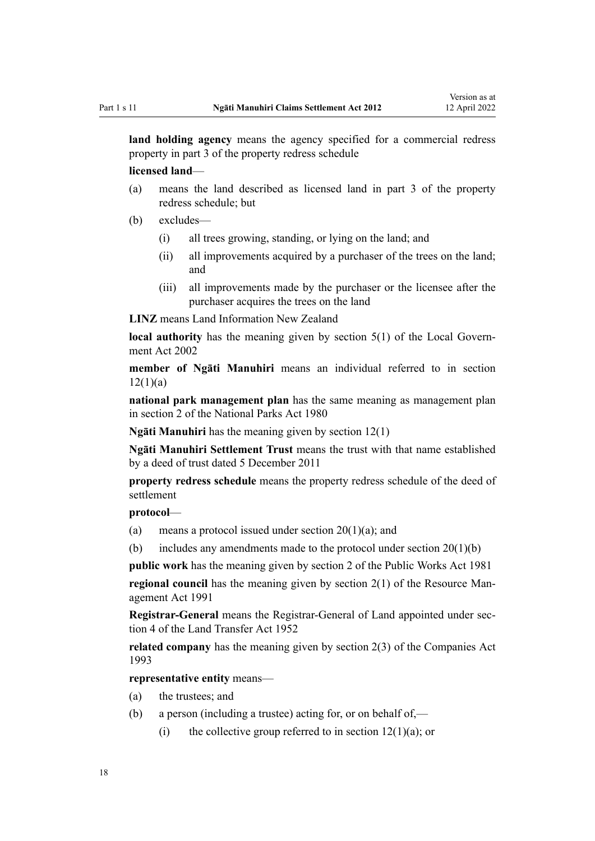**land holding agency** means the agency specified for a commercial redress property in part 3 of the property redress schedule

**licensed land**—

- (a) means the land described as licensed land in part 3 of the property redress schedule; but
- (b) excludes—
	- (i) all trees growing, standing, or lying on the land; and
	- (ii) all improvements acquired by a purchaser of the trees on the land; and
	- (iii) all improvements made by the purchaser or the licensee after the purchaser acquires the trees on the land

**LINZ** means Land Information New Zealand

**local authority** has the meaning given by [section 5\(1\)](http://legislation.govt.nz/pdflink.aspx?id=DLM170881) of the Local Government Act 2002

**member of Ngāti Manuhiri** means an individual referred to in [section](#page-19-0)  $12(1)(a)$ 

**national park management plan** has the same meaning as management plan in [section 2](http://legislation.govt.nz/pdflink.aspx?id=DLM36968) of the National Parks Act 1980

**Ngāti Manuhiri** has the meaning given by [section 12\(1\)](#page-19-0)

**Ngāti Manuhiri Settlement Trust** means the trust with that name established by a deed of trust dated 5 December 2011

**property redress schedule** means the property redress schedule of the deed of settlement

#### **protocol**—

(a) means a protocol issued under section  $20(1)(a)$ ; and

(b) includes any amendments made to the protocol under section  $20(1)(b)$ 

**public work** has the meaning given by [section 2](http://legislation.govt.nz/pdflink.aspx?id=DLM45433) of the Public Works Act 1981

**regional council** has the meaning given by [section 2\(1\)](http://legislation.govt.nz/pdflink.aspx?id=DLM230272) of the Resource Management Act 1991

**Registrar-General** means the Registrar-General of Land appointed under [sec‐](http://legislation.govt.nz/pdflink.aspx?id=DLM270019) [tion 4](http://legislation.govt.nz/pdflink.aspx?id=DLM270019) of the Land Transfer Act 1952

**related company** has the meaning given by [section 2\(3\)](http://legislation.govt.nz/pdflink.aspx?id=DLM319576) of the Companies Act 1993

**representative entity** means—

- (a) the trustees; and
- (b) a person (including a trustee) acting for, or on behalf of,—
	- (i) the collective group referred to in section  $12(1)(a)$ ; or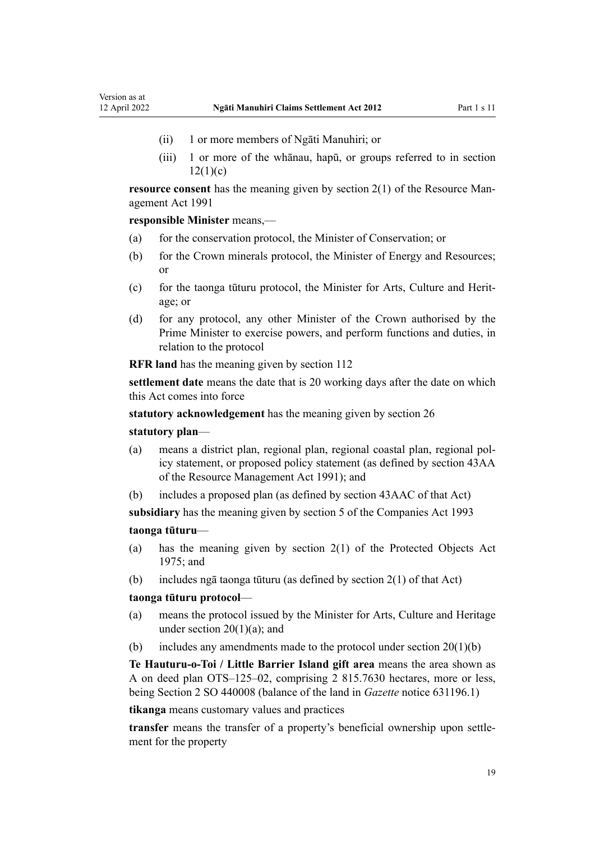- (ii) 1 or more members of Ngāti Manuhiri; or
- (iii) 1 or more of the whānau, hapū, or groups referred to in [section](#page-19-0)  $12(1)(c)$

**resource consent** has the meaning given by [section 2\(1\)](http://legislation.govt.nz/pdflink.aspx?id=DLM230272) of the Resource Management Act 1991

**responsible Minister** means,—

- (a) for the conservation protocol, the Minister of Conservation; or
- (b) for the Crown minerals protocol, the Minister of Energy and Resources; or
- (c) for the taonga tūturu protocol, the Minister for Arts, Culture and Herit‐ age; or
- (d) for any protocol, any other Minister of the Crown authorised by the Prime Minister to exercise powers, and perform functions and duties, in relation to the protocol

**RFR land** has the meaning given by [section 112](#page-58-0)

**settlement date** means the date that is 20 working days after the date on which this Act comes into force

**statutory acknowledgement** has the meaning given by [section 26](#page-26-0)

#### **statutory plan**—

- (a) means a district plan, regional plan, regional coastal plan, regional pol‐ icy statement, or proposed policy statement (as defined by [section 43AA](http://legislation.govt.nz/pdflink.aspx?id=DLM2412743) of the Resource Management Act 1991); and
- (b) includes a proposed plan (as defined by [section 43AAC](http://legislation.govt.nz/pdflink.aspx?id=DLM2412769) of that Act)

**subsidiary** has the meaning given by [section 5](http://legislation.govt.nz/pdflink.aspx?id=DLM319999) of the Companies Act 1993

## **taonga tūturu**—

- (a) has the meaning given by [section 2\(1\)](http://legislation.govt.nz/pdflink.aspx?id=DLM432125) of the Protected Objects Act 1975; and
- (b) includes ngā taonga tūturu (as defined by [section 2\(1\)](http://legislation.govt.nz/pdflink.aspx?id=DLM432125) of that Act)

#### **taonga tūturu protocol**—

- (a) means the protocol issued by the Minister for Arts, Culture and Heritage under section  $20(1)(a)$ ; and
- (b) includes any amendments made to the protocol under section  $20(1)(b)$

**Te Hauturu-o-Toi / Little Barrier Island gift area** means the area shown as A on deed plan OTS–125–02, comprising 2 815.7630 hectares, more or less, being Section 2 SO 440008 (balance of the land in *Gazette* notice 631196.1)

**tikanga** means customary values and practices

**transfer** means the transfer of a property's beneficial ownership upon settle‐ ment for the property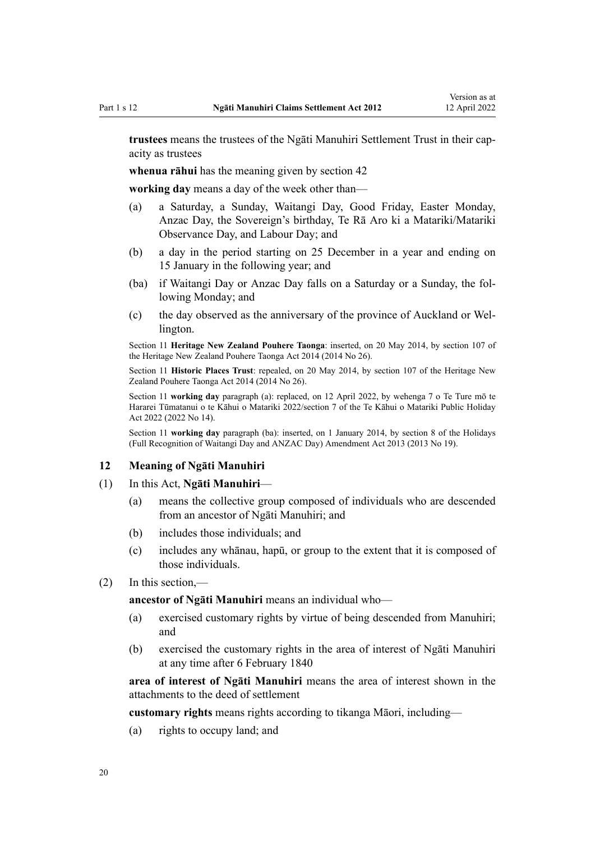<span id="page-19-0"></span>**trustees** means the trustees of the Ngāti Manuhiri Settlement Trust in their cap‐ acity as trustees

**whenua rāhui** has the meaning given by [section 42](#page-31-0)

**working day** means a day of the week other than—

- (a) a Saturday, a Sunday, Waitangi Day, Good Friday, Easter Monday, Anzac Day, the Sovereign's birthday, Te Rā Aro ki a Matariki/Matariki Observance Day, and Labour Day; and
- (b) a day in the period starting on 25 December in a year and ending on 15 January in the following year; and
- (ba) if Waitangi Day or Anzac Day falls on a Saturday or a Sunday, the fol‐ lowing Monday; and
- (c) the day observed as the anniversary of the province of Auckland or Wel‐ lington.

Section 11 **Heritage New Zealand Pouhere Taonga**: inserted, on 20 May 2014, by [section 107](http://legislation.govt.nz/pdflink.aspx?id=DLM4005646) of the Heritage New Zealand Pouhere Taonga Act 2014 (2014 No 26).

Section 11 **Historic Places Trust**: repealed, on 20 May 2014, by [section 107](http://legislation.govt.nz/pdflink.aspx?id=DLM4005646) of the Heritage New Zealand Pouhere Taonga Act 2014 (2014 No 26).

Section 11 **working day** paragraph (a): replaced, on 12 April 2022, by [wehenga 7](http://legislation.govt.nz/pdflink.aspx?id=LMS557838) o Te Ture mō te Hararei Tūmatanui o te Kāhui o Matariki 2022/[section 7](http://legislation.govt.nz/pdflink.aspx?id=LMS557848) of the Te Kāhui o Matariki Public Holiday Act 2022 (2022 No 14).

Section 11 **working day** paragraph (ba): inserted, on 1 January 2014, by [section 8](http://legislation.govt.nz/pdflink.aspx?id=DLM4929207) of the Holidays (Full Recognition of Waitangi Day and ANZAC Day) Amendment Act 2013 (2013 No 19).

#### **12 Meaning of Ngāti Manuhiri**

- (1) In this Act, **Ngāti Manuhiri**
	- (a) means the collective group composed of individuals who are descended from an ancestor of Ngāti Manuhiri; and
	- (b) includes those individuals; and
	- (c) includes any whānau, hapū, or group to the extent that it is composed of those individuals.
- (2) In this section,—

**ancestor of Ngāti Manuhiri** means an individual who—

- (a) exercised customary rights by virtue of being descended from Manuhiri; and
- (b) exercised the customary rights in the area of interest of Ngāti Manuhiri at any time after 6 February 1840

**area of interest of Ngāti Manuhiri** means the area of interest shown in the attachments to the deed of settlement

**customary rights** means rights according to tikanga Māori, including—

(a) rights to occupy land; and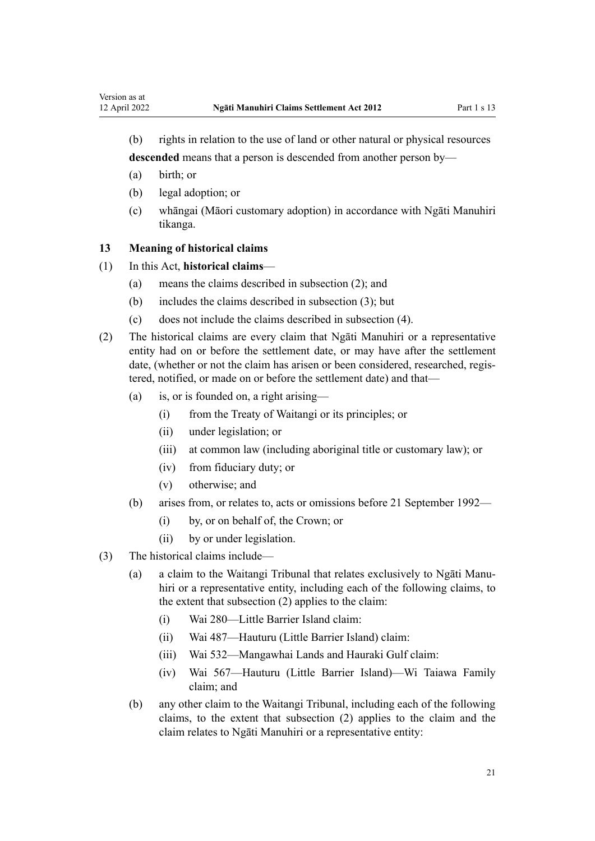<span id="page-20-0"></span>(b) rights in relation to the use of land or other natural or physical resources **descended** means that a person is descended from another person by—

- (a) birth; or
- (b) legal adoption; or
- (c) whāngai (Māori customary adoption) in accordance with Ngāti Manuhiri tikanga.

## **13 Meaning of historical claims**

#### (1) In this Act, **historical claims**—

- (a) means the claims described in subsection (2); and
- (b) includes the claims described in subsection (3); but
- (c) does not include the claims described in subsection (4).
- (2) The historical claims are every claim that Ngāti Manuhiri or a representative entity had on or before the settlement date, or may have after the settlement date, (whether or not the claim has arisen or been considered, researched, registered, notified, or made on or before the settlement date) and that—
	- (a) is, or is founded on, a right arising—
		- (i) from the [Treaty of Waitangi](http://legislation.govt.nz/pdflink.aspx?id=DLM435834) or its principles; or
		- (ii) under legislation; or
		- (iii) at common law (including aboriginal title or customary law); or
		- (iv) from fiduciary duty; or
		- (v) otherwise; and
	- (b) arises from, or relates to, acts or omissions before 21 September 1992—
		- (i) by, or on behalf of, the Crown; or
		- (ii) by or under legislation.
- (3) The historical claims include—
	- (a) a claim to the Waitangi Tribunal that relates exclusively to Ngāti Manu‐ hiri or a representative entity, including each of the following claims, to the extent that subsection (2) applies to the claim:
		- (i) Wai 280—Little Barrier Island claim:
		- (ii) Wai 487—Hauturu (Little Barrier Island) claim:
		- (iii) Wai 532—Mangawhai Lands and Hauraki Gulf claim:
		- (iv) Wai 567—Hauturu (Little Barrier Island)—Wi Taiawa Family claim; and
	- (b) any other claim to the Waitangi Tribunal, including each of the following claims, to the extent that subsection (2) applies to the claim and the claim relates to Ngāti Manuhiri or a representative entity: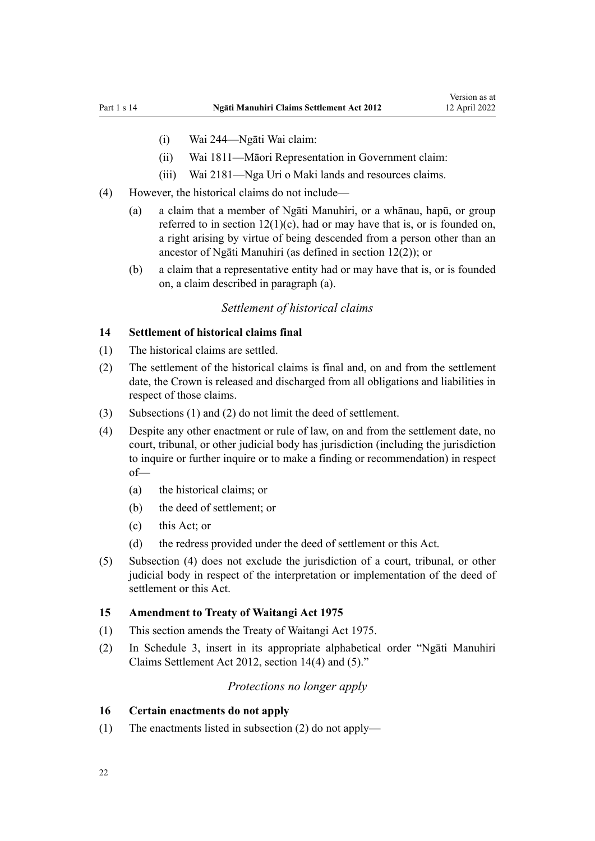- <span id="page-21-0"></span>(i) Wai 244—Ngāti Wai claim:
- (ii) Wai 1811—Māori Representation in Government claim:
- (iii) Wai 2181—Nga Uri o Maki lands and resources claims.
- (4) However, the historical claims do not include—
	- (a) a claim that a member of Ngāti Manuhiri, or a whānau, hapū, or group referred to in section  $12(1)(c)$ , had or may have that is, or is founded on, a right arising by virtue of being descended from a person other than an ancestor of Ngāti Manuhiri (as defined in section 12(2)); or
	- (b) a claim that a representative entity had or may have that is, or is founded on, a claim described in paragraph (a).

#### *Settlement of historical claims*

#### **14 Settlement of historical claims final**

- (1) The historical claims are settled.
- (2) The settlement of the historical claims is final and, on and from the settlement date, the Crown is released and discharged from all obligations and liabilities in respect of those claims.
- (3) Subsections (1) and (2) do not limit the deed of settlement.
- (4) Despite any other enactment or rule of law, on and from the settlement date, no court, tribunal, or other judicial body has jurisdiction (including the jurisdiction to inquire or further inquire or to make a finding or recommendation) in respect of—
	- (a) the historical claims; or
	- (b) the deed of settlement; or
	- (c) this Act; or
	- (d) the redress provided under the deed of settlement or this Act.
- (5) Subsection (4) does not exclude the jurisdiction of a court, tribunal, or other judicial body in respect of the interpretation or implementation of the deed of settlement or this Act.

#### **15 Amendment to Treaty of Waitangi Act 1975**

- (1) This section amends the [Treaty of Waitangi Act 1975](http://legislation.govt.nz/pdflink.aspx?id=DLM435367).
- (2) In Schedule 3, insert in its appropriate alphabetical order "Ngāti Manuhiri Claims Settlement Act 2012, section 14(4) and (5)."

#### *Protections no longer apply*

#### **16 Certain enactments do not apply**

(1) The enactments listed in subsection (2) do not apply—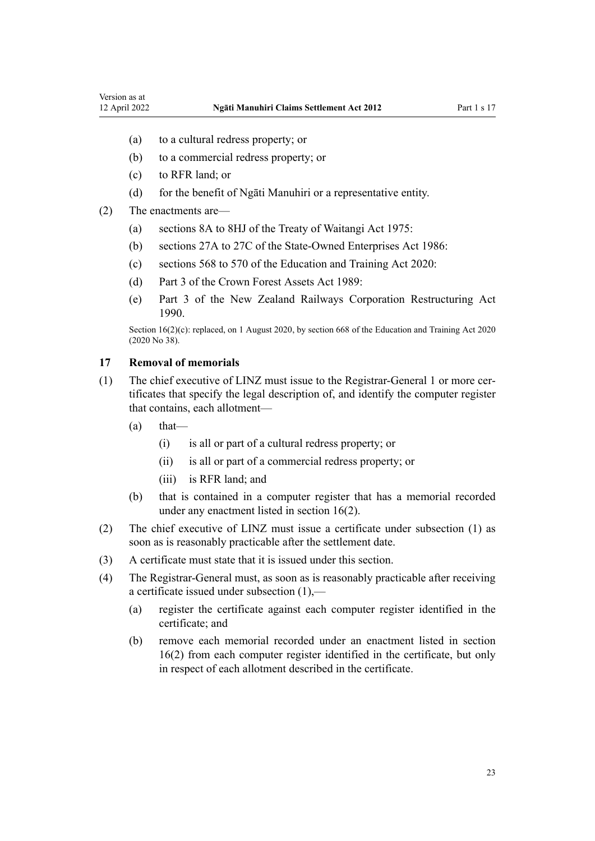- <span id="page-22-0"></span>(a) to a cultural redress property; or
- (b) to a commercial redress property; or
- (c) to RFR land; or
- (d) for the benefit of Ngāti Manuhiri or a representative entity.
- (2) The enactments are—
	- (a) [sections 8A to 8HJ](http://legislation.govt.nz/pdflink.aspx?id=DLM435544) of the Treaty of Waitangi Act 1975:
	- (b) [sections 27A to 27C](http://legislation.govt.nz/pdflink.aspx?id=DLM98097) of the State-Owned Enterprises Act 1986:
	- (c) [sections 568 to 570](http://legislation.govt.nz/pdflink.aspx?id=LMS172546) of the Education and Training Act 2020:
	- (d) [Part 3](http://legislation.govt.nz/pdflink.aspx?id=DLM192356) of the Crown Forest Assets Act 1989:
	- (e) [Part 3](http://legislation.govt.nz/pdflink.aspx?id=DLM223144) of the New Zealand Railways Corporation Restructuring Act 1990.

Section 16(2)(c): replaced, on 1 August 2020, by [section 668](http://legislation.govt.nz/pdflink.aspx?id=LMS367713) of the Education and Training Act 2020 (2020 No 38).

#### **17 Removal of memorials**

- (1) The chief executive of LINZ must issue to the Registrar-General 1 or more certificates that specify the legal description of, and identify the computer register that contains, each allotment—
	- $(a)$  that—
		- (i) is all or part of a cultural redress property; or
		- (ii) is all or part of a commercial redress property; or
		- (iii) is RFR land; and
	- (b) that is contained in a computer register that has a memorial recorded under any enactment listed in [section 16\(2\).](#page-21-0)
- (2) The chief executive of LINZ must issue a certificate under subsection (1) as soon as is reasonably practicable after the settlement date.
- (3) A certificate must state that it is issued under this section.
- (4) The Registrar-General must, as soon as is reasonably practicable after receiving a certificate issued under subsection (1),—
	- (a) register the certificate against each computer register identified in the certificate; and
	- (b) remove each memorial recorded under an enactment listed in [section](#page-21-0) [16\(2\)](#page-21-0) from each computer register identified in the certificate, but only in respect of each allotment described in the certificate.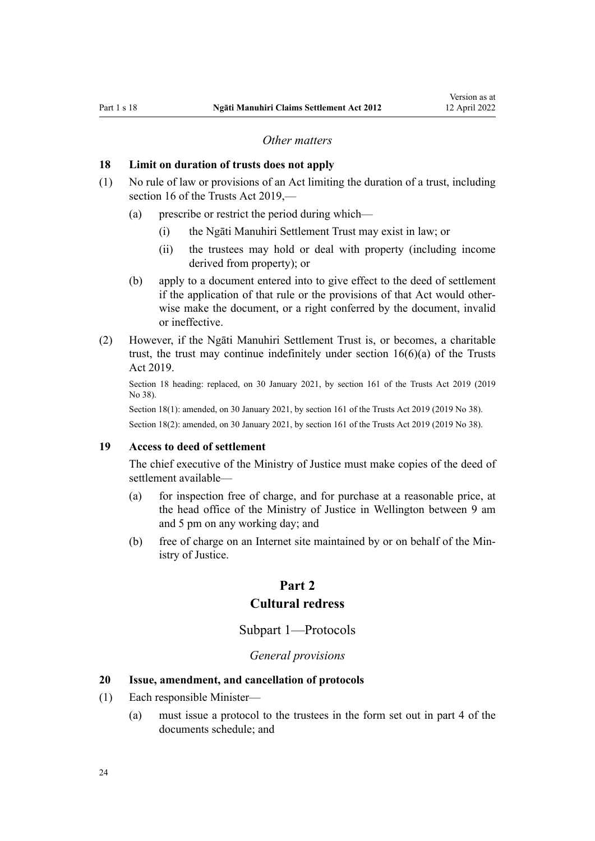#### *Other matters*

#### <span id="page-23-0"></span>**18 Limit on duration of trusts does not apply**

- (1) No rule of law or provisions of an Act limiting the duration of a trust, including [section 16](http://legislation.govt.nz/pdflink.aspx?id=DLM7382883) of the Trusts Act 2019,—
	- (a) prescribe or restrict the period during which—
		- (i) the Ngāti Manuhiri Settlement Trust may exist in law; or
		- (ii) the trustees may hold or deal with property (including income derived from property); or
	- (b) apply to a document entered into to give effect to the deed of settlement if the application of that rule or the provisions of that Act would other‐ wise make the document, or a right conferred by the document, invalid or ineffective.
- (2) However, if the Ngāti Manuhiri Settlement Trust is, or becomes, a charitable trust, the trust may continue indefinitely under [section 16\(6\)\(a\)](http://legislation.govt.nz/pdflink.aspx?id=DLM7382883) of the Trusts Act 2019.

Section 18 heading: replaced, on 30 January 2021, by [section 161](http://legislation.govt.nz/pdflink.aspx?id=DLM7383110) of the Trusts Act 2019 (2019 No 38).

Section 18(1): amended, on 30 January 2021, by [section 161](http://legislation.govt.nz/pdflink.aspx?id=DLM7383110) of the Trusts Act 2019 (2019 No 38). Section 18(2): amended, on 30 January 2021, by [section 161](http://legislation.govt.nz/pdflink.aspx?id=DLM7383110) of the Trusts Act 2019 (2019 No 38).

#### **19 Access to deed of settlement**

The chief executive of the Ministry of Justice must make copies of the deed of settlement available—

- (a) for inspection free of charge, and for purchase at a reasonable price, at the head office of the Ministry of Justice in Wellington between 9 am and 5 pm on any working day; and
- (b) free of charge on an Internet site maintained by or on behalf of the Min‐ istry of Justice.

## **Part 2**

### **Cultural redress**

### Subpart 1—Protocols

#### *General provisions*

### **20 Issue, amendment, and cancellation of protocols**

- (1) Each responsible Minister—
	- (a) must issue a protocol to the trustees in the form set out in part 4 of the documents schedule; and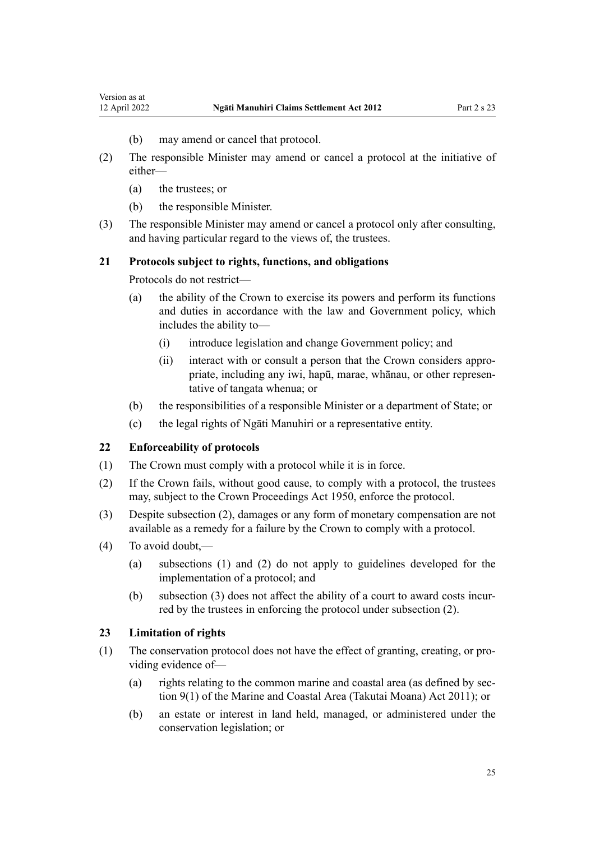- (b) may amend or cancel that protocol.
- <span id="page-24-0"></span>(2) The responsible Minister may amend or cancel a protocol at the initiative of either—
	- (a) the trustees; or
	- (b) the responsible Minister.
- (3) The responsible Minister may amend or cancel a protocol only after consulting, and having particular regard to the views of, the trustees.

#### **21 Protocols subject to rights, functions, and obligations**

Protocols do not restrict—

- (a) the ability of the Crown to exercise its powers and perform its functions and duties in accordance with the law and Government policy, which includes the ability to—
	- (i) introduce legislation and change Government policy; and
	- (ii) interact with or consult a person that the Crown considers appro‐ priate, including any iwi, hapū, marae, whānau, or other represen‐ tative of tangata whenua; or
- (b) the responsibilities of a responsible Minister or a department of State; or
- (c) the legal rights of Ngāti Manuhiri or a representative entity.

#### **22 Enforceability of protocols**

- (1) The Crown must comply with a protocol while it is in force.
- (2) If the Crown fails, without good cause, to comply with a protocol, the trustees may, subject to the [Crown Proceedings Act 1950,](http://legislation.govt.nz/pdflink.aspx?id=DLM261466) enforce the protocol.
- (3) Despite subsection (2), damages or any form of monetary compensation are not available as a remedy for a failure by the Crown to comply with a protocol.
- (4) To avoid doubt,—
	- (a) subsections (1) and (2) do not apply to guidelines developed for the implementation of a protocol; and
	- (b) subsection  $(3)$  does not affect the ability of a court to award costs incurred by the trustees in enforcing the protocol under subsection (2).

#### **23 Limitation of rights**

- (1) The conservation protocol does not have the effect of granting, creating, or pro‐ viding evidence of—
	- (a) rights relating to the common marine and coastal area (as defined by sec[tion 9\(1\)](http://legislation.govt.nz/pdflink.aspx?id=DLM3213146) of the Marine and Coastal Area (Takutai Moana) Act 2011); or
	- (b) an estate or interest in land held, managed, or administered under the conservation legislation; or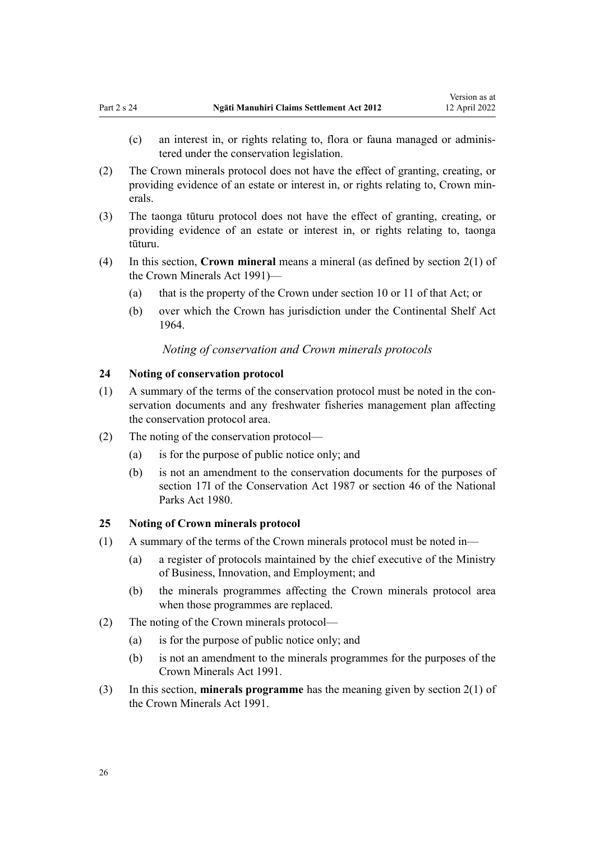- <span id="page-25-0"></span>(c) an interest in, or rights relating to, flora or fauna managed or adminis‐ tered under the conservation legislation.
- (2) The Crown minerals protocol does not have the effect of granting, creating, or providing evidence of an estate or interest in, or rights relating to, Crown min‐ erals.
- (3) The taonga tūturu protocol does not have the effect of granting, creating, or providing evidence of an estate or interest in, or rights relating to, taonga tūturu.
- (4) In this section, **Crown mineral** means a mineral (as defined by [section 2\(1\)](http://legislation.govt.nz/pdflink.aspx?id=DLM242543) of the Crown Minerals Act 1991)—
	- (a) that is the property of the Crown under [section 10](http://legislation.govt.nz/pdflink.aspx?id=DLM246310) or [11](http://legislation.govt.nz/pdflink.aspx?id=DLM246311) of that Act; or
	- (b) over which the Crown has jurisdiction under the [Continental Shelf Act](http://legislation.govt.nz/pdflink.aspx?id=DLM351638) [1964](http://legislation.govt.nz/pdflink.aspx?id=DLM351638).

#### *Noting of conservation and Crown minerals protocols*

#### **24 Noting of conservation protocol**

- (1) A summary of the terms of the conservation protocol must be noted in the con‐ servation documents and any freshwater fisheries management plan affecting the conservation protocol area.
- (2) The noting of the conservation protocol—
	- (a) is for the purpose of public notice only; and
	- (b) is not an amendment to the conservation documents for the purposes of [section 17I](http://legislation.govt.nz/pdflink.aspx?id=DLM104615) of the Conservation Act 1987 or [section 46](http://legislation.govt.nz/pdflink.aspx?id=DLM38204) of the National Parks Act 1980.

#### **25 Noting of Crown minerals protocol**

- (1) A summary of the terms of the Crown minerals protocol must be noted in—
	- (a) a register of protocols maintained by the chief executive of the Ministry of Business, Innovation, and Employment; and
	- (b) the minerals programmes affecting the Crown minerals protocol area when those programmes are replaced.
- (2) The noting of the Crown minerals protocol—
	- (a) is for the purpose of public notice only; and
	- (b) is not an amendment to the minerals programmes for the purposes of the [Crown Minerals Act 1991.](http://legislation.govt.nz/pdflink.aspx?id=DLM242535)
- (3) In this section, **minerals programme** has the meaning given by [section 2\(1\)](http://legislation.govt.nz/pdflink.aspx?id=DLM242543) of the Crown Minerals Act 1991.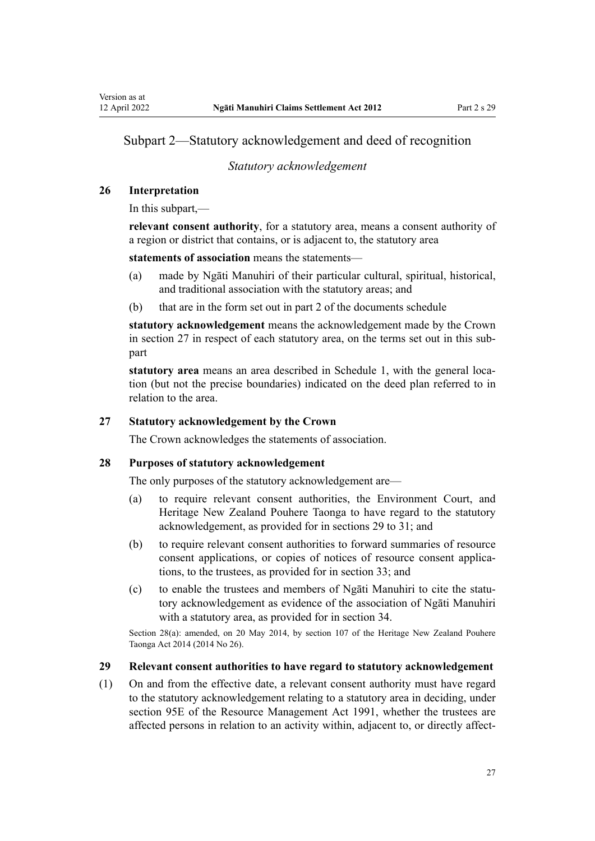## <span id="page-26-0"></span>Subpart 2—Statutory acknowledgement and deed of recognition

### *Statutory acknowledgement*

#### **26 Interpretation**

In this subpart,—

**relevant consent authority**, for a statutory area, means a consent authority of a region or district that contains, or is adjacent to, the statutory area

**statements of association** means the statements—

- (a) made by Ngāti Manuhiri of their particular cultural, spiritual, historical, and traditional association with the statutory areas; and
- (b) that are in the form set out in part 2 of the documents schedule

**statutory acknowledgement** means the acknowledgement made by the Crown in section 27 in respect of each statutory area, on the terms set out in this subpart

**statutory area** means an area described in [Schedule 1](#page-69-0), with the general location (but not the precise boundaries) indicated on the deed plan referred to in relation to the area.

#### **27 Statutory acknowledgement by the Crown**

The Crown acknowledges the statements of association.

#### **28 Purposes of statutory acknowledgement**

The only purposes of the statutory acknowledgement are—

- (a) to require relevant consent authorities, the Environment Court, and Heritage New Zealand Pouhere Taonga to have regard to the statutory acknowledgement, as provided for in sections 29 to 31; and
- (b) to require relevant consent authorities to forward summaries of resource consent applications, or copies of notices of resource consent applications, to the trustees, as provided for in [section 33](#page-28-0); and
- (c) to enable the trustees and members of Ngāti Manuhiri to cite the statutory acknowledgement as evidence of the association of Ngāti Manuhiri with a statutory area, as provided for in [section 34.](#page-29-0)

Section 28(a): amended, on 20 May 2014, by [section 107](http://legislation.govt.nz/pdflink.aspx?id=DLM4005646) of the Heritage New Zealand Pouhere Taonga Act 2014 (2014 No 26).

#### **29 Relevant consent authorities to have regard to statutory acknowledgement**

(1) On and from the effective date, a relevant consent authority must have regard to the statutory acknowledgement relating to a statutory area in deciding, under [section 95E](http://legislation.govt.nz/pdflink.aspx?id=DLM2416413) of the Resource Management Act 1991, whether the trustees are affected persons in relation to an activity within, adjacent to, or directly affect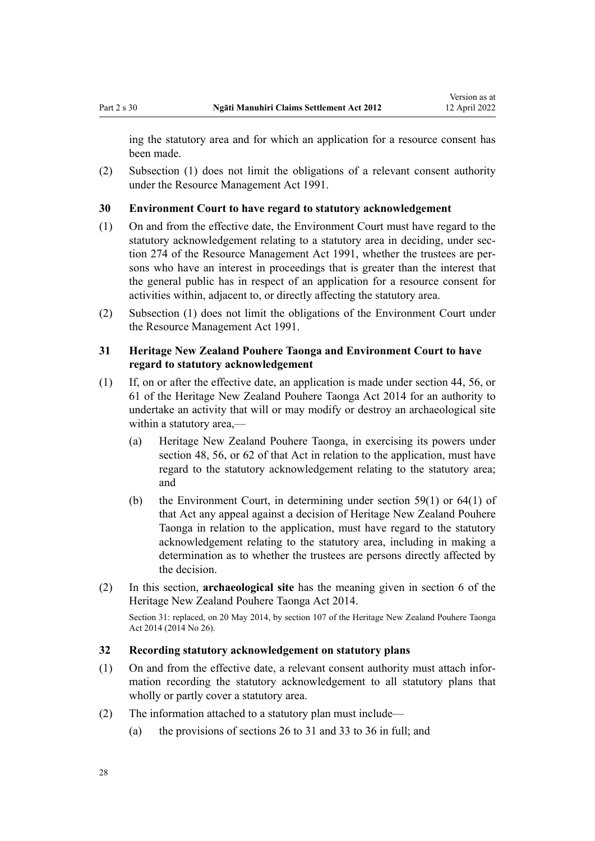<span id="page-27-0"></span>ing the statutory area and for which an application for a resource consent has been made.

(2) Subsection (1) does not limit the obligations of a relevant consent authority under the [Resource Management Act 1991](http://legislation.govt.nz/pdflink.aspx?id=DLM230264).

#### **30 Environment Court to have regard to statutory acknowledgement**

- (1) On and from the effective date, the Environment Court must have regard to the statutory acknowledgement relating to a statutory area in deciding, under sec[tion 274](http://legislation.govt.nz/pdflink.aspx?id=DLM237755) of the Resource Management Act 1991, whether the trustees are persons who have an interest in proceedings that is greater than the interest that the general public has in respect of an application for a resource consent for activities within, adjacent to, or directly affecting the statutory area.
- (2) Subsection (1) does not limit the obligations of the Environment Court under the [Resource Management Act 1991](http://legislation.govt.nz/pdflink.aspx?id=DLM230264).

## **31 Heritage New Zealand Pouhere Taonga and Environment Court to have regard to statutory acknowledgement**

- (1) If, on or after the effective date, an application is made under [section 44](http://legislation.govt.nz/pdflink.aspx?id=DLM4005562), [56,](http://legislation.govt.nz/pdflink.aspx?id=DLM4005580) or [61](http://legislation.govt.nz/pdflink.aspx?id=DLM4005587) of the Heritage New Zealand Pouhere Taonga Act 2014 for an authority to undertake an activity that will or may modify or destroy an archaeological site within a statutory area,—
	- (a) Heritage New Zealand Pouhere Taonga, in exercising its powers under [section 48,](http://legislation.govt.nz/pdflink.aspx?id=DLM4005568) [56](http://legislation.govt.nz/pdflink.aspx?id=DLM4005580), or [62](http://legislation.govt.nz/pdflink.aspx?id=DLM4005588) of that Act in relation to the application, must have regard to the statutory acknowledgement relating to the statutory area; and
	- (b) the Environment Court, in determining under [section 59\(1\)](http://legislation.govt.nz/pdflink.aspx?id=DLM4005584) or [64\(1\)](http://legislation.govt.nz/pdflink.aspx?id=DLM4005590) of that Act any appeal against a decision of Heritage New Zealand Pouhere Taonga in relation to the application, must have regard to the statutory acknowledgement relating to the statutory area, including in making a determination as to whether the trustees are persons directly affected by the decision.
- (2) In this section, **archaeological site** has the meaning given in [section 6](http://legislation.govt.nz/pdflink.aspx?id=DLM4005423) of the Heritage New Zealand Pouhere Taonga Act 2014.

Section 31: replaced, on 20 May 2014, by [section 107](http://legislation.govt.nz/pdflink.aspx?id=DLM4005646) of the Heritage New Zealand Pouhere Taonga Act 2014 (2014 No 26).

### **32 Recording statutory acknowledgement on statutory plans**

- (1) On and from the effective date, a relevant consent authority must attach infor‐ mation recording the statutory acknowledgement to all statutory plans that wholly or partly cover a statutory area.
- (2) The information attached to a statutory plan must include—
	- (a) the provisions of [sections 26 to 31](#page-26-0) and [33 to 36](#page-28-0) in full; and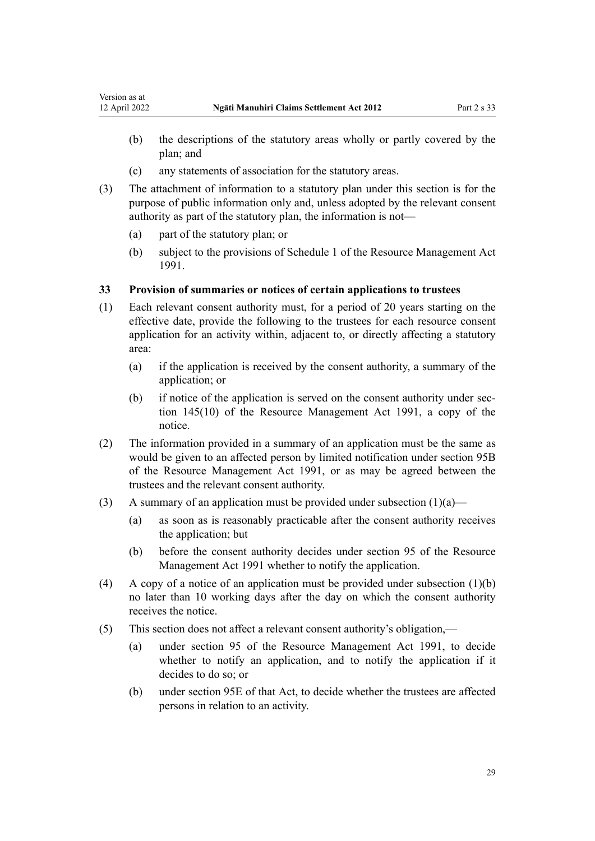- <span id="page-28-0"></span>(b) the descriptions of the statutory areas wholly or partly covered by the plan; and
- (c) any statements of association for the statutory areas.
- (3) The attachment of information to a statutory plan under this section is for the purpose of public information only and, unless adopted by the relevant consent authority as part of the statutory plan, the information is not—
	- (a) part of the statutory plan; or
	- (b) subject to the provisions of [Schedule 1](http://legislation.govt.nz/pdflink.aspx?id=DLM240686) of the Resource Management Act 1991.

### **33 Provision of summaries or notices of certain applications to trustees**

- (1) Each relevant consent authority must, for a period of 20 years starting on the effective date, provide the following to the trustees for each resource consent application for an activity within, adjacent to, or directly affecting a statutory area:
	- (a) if the application is received by the consent authority, a summary of the application; or
	- (b) if notice of the application is served on the consent authority under sec[tion 145\(10\)](http://legislation.govt.nz/pdflink.aspx?id=DLM235409) of the Resource Management Act 1991, a copy of the notice.
- (2) The information provided in a summary of an application must be the same as would be given to an affected person by limited notification under [section 95B](http://legislation.govt.nz/pdflink.aspx?id=DLM2416410) of the Resource Management Act 1991, or as may be agreed between the trustees and the relevant consent authority.
- (3) A summary of an application must be provided under subsection  $(1)(a)$ 
	- (a) as soon as is reasonably practicable after the consent authority receives the application; but
	- (b) before the consent authority decides under [section 95](http://legislation.govt.nz/pdflink.aspx?id=DLM234326) of the Resource Management Act 1991 whether to notify the application.
- (4) A copy of a notice of an application must be provided under subsection (1)(b) no later than 10 working days after the day on which the consent authority receives the notice.
- (5) This section does not affect a relevant consent authority's obligation,—
	- (a) under [section 95](http://legislation.govt.nz/pdflink.aspx?id=DLM234326) of the Resource Management Act 1991, to decide whether to notify an application, and to notify the application if it decides to do so; or
	- (b) under [section 95E](http://legislation.govt.nz/pdflink.aspx?id=DLM2416413) of that Act, to decide whether the trustees are affected persons in relation to an activity.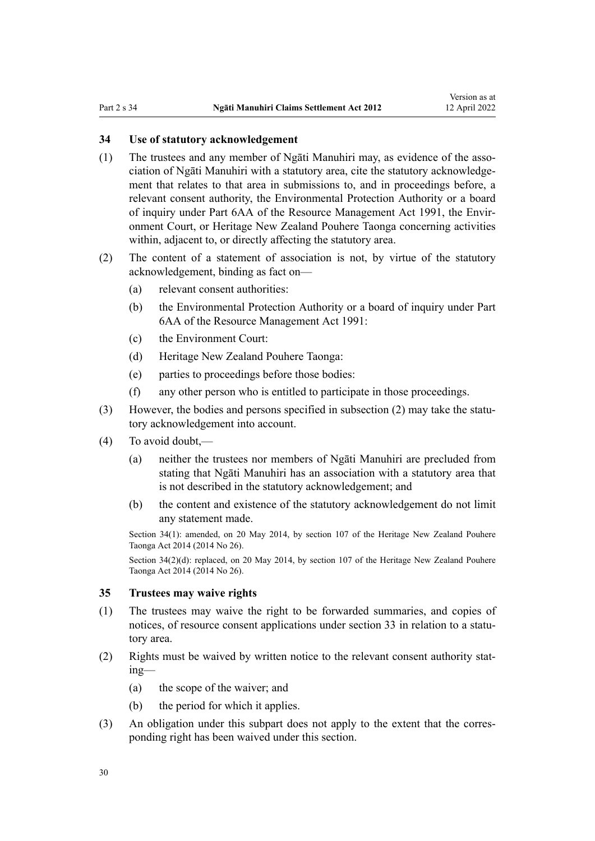#### <span id="page-29-0"></span>**34 Use of statutory acknowledgement**

- (1) The trustees and any member of Ngati Manuhiri may, as evidence of the association of Ngāti Manuhiri with a statutory area, cite the statutory acknowledge‐ ment that relates to that area in submissions to, and in proceedings before, a relevant consent authority, the Environmental Protection Authority or a board of inquiry under [Part 6AA](http://legislation.govt.nz/pdflink.aspx?id=DLM2418625) of the Resource Management Act 1991, the Envir‐ onment Court, or Heritage New Zealand Pouhere Taonga concerning activities within, adjacent to, or directly affecting the statutory area.
- (2) The content of a statement of association is not, by virtue of the statutory acknowledgement, binding as fact on—
	- (a) relevant consent authorities:
	- (b) the Environmental Protection Authority or a board of inquiry under [Part](http://legislation.govt.nz/pdflink.aspx?id=DLM2418625) [6AA](http://legislation.govt.nz/pdflink.aspx?id=DLM2418625) of the Resource Management Act 1991:
	- (c) the Environment Court:
	- (d) Heritage New Zealand Pouhere Taonga:
	- (e) parties to proceedings before those bodies:
	- (f) any other person who is entitled to participate in those proceedings.
- (3) However, the bodies and persons specified in subsection (2) may take the statutory acknowledgement into account.
- (4) To avoid doubt,—
	- (a) neither the trustees nor members of Ngāti Manuhiri are precluded from stating that Ngāti Manuhiri has an association with a statutory area that is not described in the statutory acknowledgement; and
	- (b) the content and existence of the statutory acknowledgement do not limit any statement made.

Section 34(1): amended, on 20 May 2014, by [section 107](http://legislation.govt.nz/pdflink.aspx?id=DLM4005646) of the Heritage New Zealand Pouhere Taonga Act 2014 (2014 No 26).

Section 34(2)(d): replaced, on 20 May 2014, by [section 107](http://legislation.govt.nz/pdflink.aspx?id=DLM4005646) of the Heritage New Zealand Pouhere Taonga Act 2014 (2014 No 26).

#### **35 Trustees may waive rights**

- (1) The trustees may waive the right to be forwarded summaries, and copies of notices, of resource consent applications under [section 33](#page-28-0) in relation to a statutory area.
- (2) Rights must be waived by written notice to the relevant consent authority stat‐ ing—
	- (a) the scope of the waiver; and
	- (b) the period for which it applies.
- (3) An obligation under this subpart does not apply to the extent that the corresponding right has been waived under this section.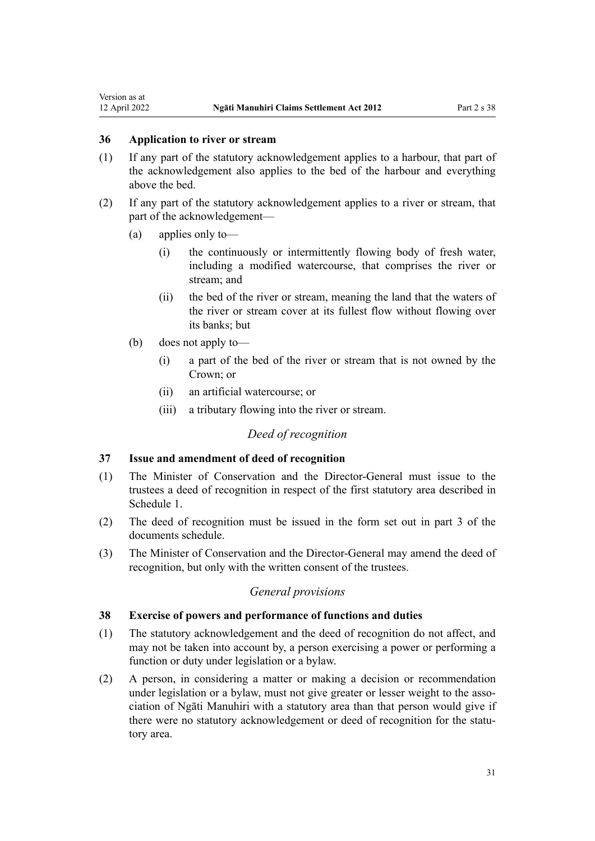### <span id="page-30-0"></span>**36 Application to river or stream**

- (1) If any part of the statutory acknowledgement applies to a harbour, that part of the acknowledgement also applies to the bed of the harbour and everything above the bed.
- (2) If any part of the statutory acknowledgement applies to a river or stream, that part of the acknowledgement—
	- (a) applies only to—
		- (i) the continuously or intermittently flowing body of fresh water, including a modified watercourse, that comprises the river or stream; and
		- (ii) the bed of the river or stream, meaning the land that the waters of the river or stream cover at its fullest flow without flowing over its banks; but
	- (b) does not apply to—
		- (i) a part of the bed of the river or stream that is not owned by the Crown; or
		- (ii) an artificial watercourse; or
		- (iii) a tributary flowing into the river or stream.

## *Deed of recognition*

### **37 Issue and amendment of deed of recognition**

- (1) The Minister of Conservation and the Director-General must issue to the trustees a deed of recognition in respect of the first statutory area described in [Schedule 1.](#page-69-0)
- (2) The deed of recognition must be issued in the form set out in part 3 of the documents schedule.
- (3) The Minister of Conservation and the Director-General may amend the deed of recognition, but only with the written consent of the trustees.

## *General provisions*

### **38 Exercise of powers and performance of functions and duties**

- (1) The statutory acknowledgement and the deed of recognition do not affect, and may not be taken into account by, a person exercising a power or performing a function or duty under legislation or a bylaw.
- (2) A person, in considering a matter or making a decision or recommendation under legislation or a bylaw, must not give greater or lesser weight to the association of Ngāti Manuhiri with a statutory area than that person would give if there were no statutory acknowledgement or deed of recognition for the statutory area.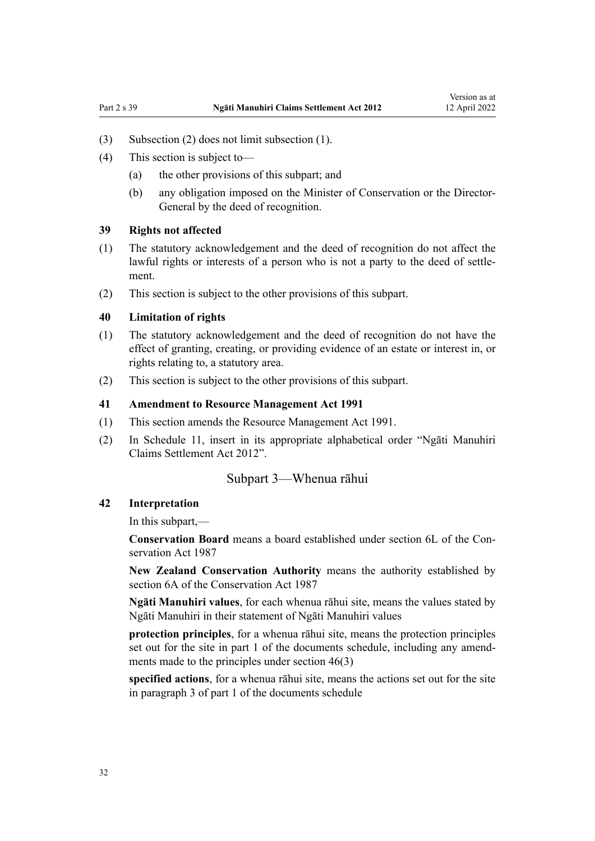- <span id="page-31-0"></span>(3) Subsection (2) does not limit subsection (1).
- (4) This section is subject to—
	- (a) the other provisions of this subpart; and
	- (b) any obligation imposed on the Minister of Conservation or the Director-General by the deed of recognition.

#### **39 Rights not affected**

- (1) The statutory acknowledgement and the deed of recognition do not affect the lawful rights or interests of a person who is not a party to the deed of settlement.
- (2) This section is subject to the other provisions of this subpart.

#### **40 Limitation of rights**

- (1) The statutory acknowledgement and the deed of recognition do not have the effect of granting, creating, or providing evidence of an estate or interest in, or rights relating to, a statutory area.
- (2) This section is subject to the other provisions of this subpart.

#### **41 Amendment to Resource Management Act 1991**

- (1) This section amends the [Resource Management Act 1991.](http://legislation.govt.nz/pdflink.aspx?id=DLM230264)
- (2) In [Schedule 11](http://legislation.govt.nz/pdflink.aspx?id=DLM242504), insert in its appropriate alphabetical order "Ngāti Manuhiri Claims Settlement Act 2012".

#### Subpart 3—Whenua rāhui

#### **42 Interpretation**

In this subpart,—

**Conservation Board** means a board established under [section 6L](http://legislation.govt.nz/pdflink.aspx?id=DLM104213) of the Con‐ servation Act 1987

**New Zealand Conservation Authority** means the authority established by [section 6A](http://legislation.govt.nz/pdflink.aspx?id=DLM104086) of the Conservation Act 1987

**Ngāti Manuhiri values**, for each whenua rāhui site, means the values stated by Ngāti Manuhiri in their statement of Ngāti Manuhiri values

**protection principles**, for a whenua rāhui site, means the protection principles set out for the site in part 1 of the documents schedule, including any amendments made to the principles under [section 46\(3\)](#page-32-0)

**specified actions**, for a whenua rāhui site, means the actions set out for the site in paragraph 3 of part 1 of the documents schedule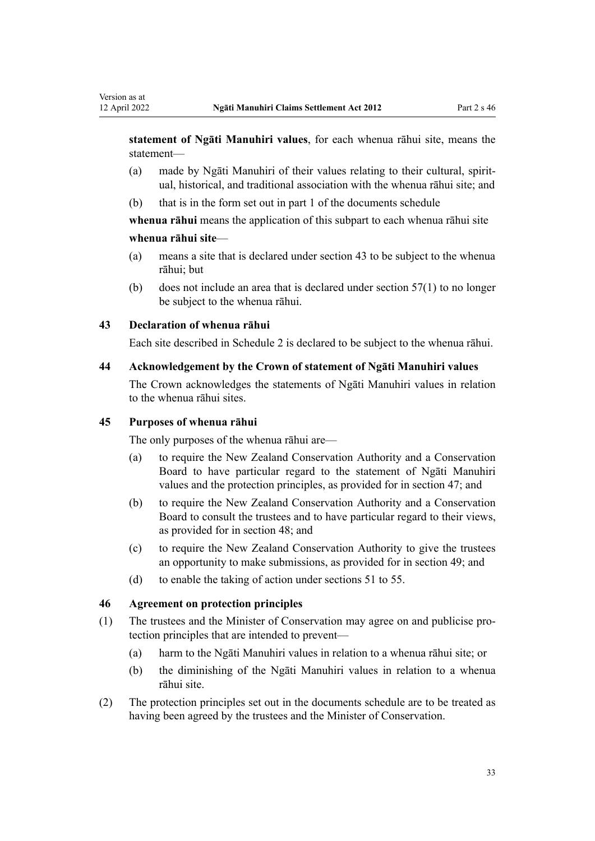<span id="page-32-0"></span>**statement of Ngāti Manuhiri values**, for each whenua rāhui site, means the statement—

- (a) made by Ngāti Manuhiri of their values relating to their cultural, spirit‐ ual, historical, and traditional association with the whenua rāhui site; and
- (b) that is in the form set out in part 1 of the documents schedule

**whenua rāhui** means the application of this subpart to each whenua rāhui site

#### **whenua rāhui site**—

- (a) means a site that is declared under section 43 to be subject to the whenua rāhui; but
- (b) does not include an area that is declared under [section 57\(1\)](#page-36-0) to no longer be subject to the whenua rāhui.

#### **43 Declaration of whenua rāhui**

Each site described in [Schedule 2](#page-70-0) is declared to be subject to the whenua rāhui.

#### **44 Acknowledgement by the Crown of statement of Ngāti Manuhiri values**

The Crown acknowledges the statements of Ngāti Manuhiri values in relation to the whenua rāhui sites.

### **45 Purposes of whenua rāhui**

The only purposes of the whenua rāhui are—

- (a) to require the New Zealand Conservation Authority and a Conservation Board to have particular regard to the statement of Ngāti Manuhiri values and the protection principles, as provided for in [section 47;](#page-33-0) and
- (b) to require the New Zealand Conservation Authority and a Conservation Board to consult the trustees and to have particular regard to their views, as provided for in section 48; and
- (c) to require the New Zealand Conservation Authority to give the trustees an opportunity to make submissions, as provided for in [section 49](#page-33-0); and
- (d) to enable the taking of action under [sections 51 to 55.](#page-33-0)

#### **46 Agreement on protection principles**

- (1) The trustees and the Minister of Conservation may agree on and publicise pro‐ tection principles that are intended to prevent—
	- (a) harm to the Ngāti Manuhiri values in relation to a whenua rāhui site; or
	- (b) the diminishing of the Ngāti Manuhiri values in relation to a whenua rāhui site.
- (2) The protection principles set out in the documents schedule are to be treated as having been agreed by the trustees and the Minister of Conservation.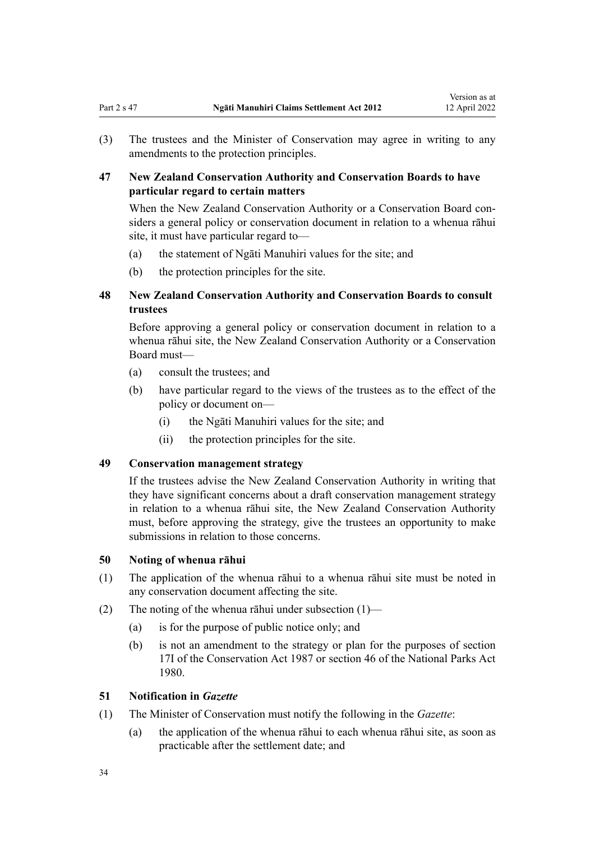<span id="page-33-0"></span>(3) The trustees and the Minister of Conservation may agree in writing to any amendments to the protection principles.

## **47 New Zealand Conservation Authority and Conservation Boards to have particular regard to certain matters**

When the New Zealand Conservation Authority or a Conservation Board considers a general policy or conservation document in relation to a whenua rāhui site, it must have particular regard to—

- (a) the statement of Ngāti Manuhiri values for the site; and
- (b) the protection principles for the site.

## **48 New Zealand Conservation Authority and Conservation Boards to consult trustees**

Before approving a general policy or conservation document in relation to a whenua rāhui site, the New Zealand Conservation Authority or a Conservation Board must—

- (a) consult the trustees; and
- (b) have particular regard to the views of the trustees as to the effect of the policy or document on—
	- (i) the Ngāti Manuhiri values for the site; and
	- (ii) the protection principles for the site.

### **49 Conservation management strategy**

If the trustees advise the New Zealand Conservation Authority in writing that they have significant concerns about a draft conservation management strategy in relation to a whenua rāhui site, the New Zealand Conservation Authority must, before approving the strategy, give the trustees an opportunity to make submissions in relation to those concerns.

#### **50 Noting of whenua rāhui**

- (1) The application of the whenua rāhui to a whenua rāhui site must be noted in any conservation document affecting the site.
- (2) The noting of the whenua rāhui under subsection  $(1)$ 
	- (a) is for the purpose of public notice only; and
	- (b) is not an amendment to the strategy or plan for the purposes of [section](http://legislation.govt.nz/pdflink.aspx?id=DLM104615) [17I](http://legislation.govt.nz/pdflink.aspx?id=DLM104615) of the Conservation Act 1987 or [section 46](http://legislation.govt.nz/pdflink.aspx?id=DLM38204) of the National Parks Act 1980.

### **51 Notification in** *Gazette*

- (1) The Minister of Conservation must notify the following in the *Gazette*:
	- (a) the application of the whenua rāhui to each whenua rāhui site, as soon as practicable after the settlement date; and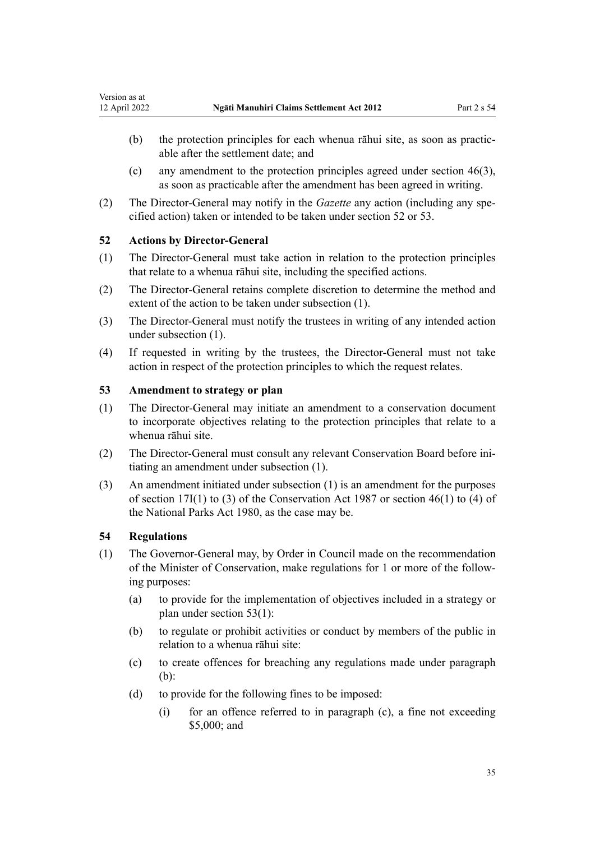- <span id="page-34-0"></span>(b) the protection principles for each whenua rāhui site, as soon as practicable after the settlement date; and
- (c) any amendment to the protection principles agreed under [section 46\(3\)](#page-32-0), as soon as practicable after the amendment has been agreed in writing.
- (2) The Director-General may notify in the *Gazette* any action (including any specified action) taken or intended to be taken under section 52 or 53.

#### **52 Actions by Director-General**

- (1) The Director-General must take action in relation to the protection principles that relate to a whenua rāhui site, including the specified actions.
- (2) The Director-General retains complete discretion to determine the method and extent of the action to be taken under subsection (1).
- (3) The Director-General must notify the trustees in writing of any intended action under subsection (1).
- (4) If requested in writing by the trustees, the Director-General must not take action in respect of the protection principles to which the request relates.

## **53 Amendment to strategy or plan**

- (1) The Director-General may initiate an amendment to a conservation document to incorporate objectives relating to the protection principles that relate to a whenua rāhui site.
- (2) The Director-General must consult any relevant Conservation Board before ini‐ tiating an amendment under subsection (1).
- (3) An amendment initiated under subsection (1) is an amendment for the purposes of [section 17I\(1\) to \(3\)](http://legislation.govt.nz/pdflink.aspx?id=DLM104615) of the Conservation Act 1987 or [section 46\(1\) to \(4\)](http://legislation.govt.nz/pdflink.aspx?id=DLM38204) of the National Parks Act 1980, as the case may be.

#### **54 Regulations**

- (1) The Governor-General may, by Order in Council made on the recommendation of the Minister of Conservation, make regulations for 1 or more of the follow‐ ing purposes:
	- (a) to provide for the implementation of objectives included in a strategy or plan under section 53(1):
	- (b) to regulate or prohibit activities or conduct by members of the public in relation to a whenua rāhui site:
	- (c) to create offences for breaching any regulations made under paragraph (b):
	- (d) to provide for the following fines to be imposed:
		- (i) for an offence referred to in paragraph (c), a fine not exceeding \$5,000; and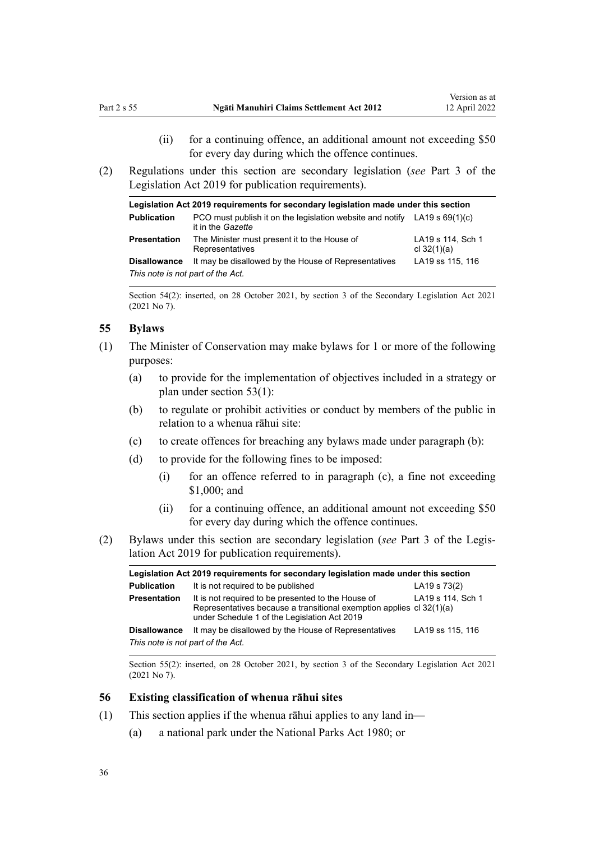- (ii) for a continuing offence, an additional amount not exceeding \$50 for every day during which the offence continues.
- <span id="page-35-0"></span>(2) Regulations under this section are secondary legislation (*see* [Part 3](http://legislation.govt.nz/pdflink.aspx?id=DLM7298343) of the Legislation Act 2019 for publication requirements).

| Legislation Act 2019 requirements for secondary legislation made under this section |                                                                                                         |                                    |  |
|-------------------------------------------------------------------------------------|---------------------------------------------------------------------------------------------------------|------------------------------------|--|
| <b>Publication</b>                                                                  | PCO must publish it on the legislation website and notify LA19 s $69(1)(c)$<br>it in the <i>Gazette</i> |                                    |  |
| <b>Presentation</b>                                                                 | The Minister must present it to the House of<br>Representatives                                         | LA19 s 114, Sch 1<br>cl $32(1)(a)$ |  |
| <b>Disallowance</b>                                                                 | It may be disallowed by the House of Representatives                                                    | LA19 ss 115, 116                   |  |
| This note is not part of the Act.                                                   |                                                                                                         |                                    |  |

Section 54(2): inserted, on 28 October 2021, by [section 3](http://legislation.govt.nz/pdflink.aspx?id=LMS268932) of the Secondary Legislation Act 2021 (2021 No 7).

### **55 Bylaws**

- (1) The Minister of Conservation may make bylaws for 1 or more of the following purposes:
	- (a) to provide for the implementation of objectives included in a strategy or plan under [section 53\(1\)](#page-34-0):
	- (b) to regulate or prohibit activities or conduct by members of the public in relation to a whenua rāhui site:
	- (c) to create offences for breaching any bylaws made under paragraph (b):
	- (d) to provide for the following fines to be imposed:
		- (i) for an offence referred to in paragraph (c), a fine not exceeding \$1,000; and
		- (ii) for a continuing offence, an additional amount not exceeding \$50 for every day during which the offence continues.
- (2) Bylaws under this section are secondary legislation (*see* [Part 3](http://legislation.govt.nz/pdflink.aspx?id=DLM7298343) of the Legis‐ lation Act 2019 for publication requirements).

| Legislation Act 2019 requirements for secondary legislation made under this section |                                                                                                                                                                            |                   |  |
|-------------------------------------------------------------------------------------|----------------------------------------------------------------------------------------------------------------------------------------------------------------------------|-------------------|--|
| <b>Publication</b>                                                                  | It is not required to be published                                                                                                                                         | LA19 s 73(2)      |  |
| Presentation                                                                        | It is not required to be presented to the House of<br>Representatives because a transitional exemption applies cl 32(1)(a)<br>under Schedule 1 of the Legislation Act 2019 | LA19 s 114, Sch 1 |  |
| <b>Disallowance</b>                                                                 | It may be disallowed by the House of Representatives                                                                                                                       | LA19 ss 115, 116  |  |
| This note is not part of the Act.                                                   |                                                                                                                                                                            |                   |  |

Section 55(2): inserted, on 28 October 2021, by [section 3](http://legislation.govt.nz/pdflink.aspx?id=LMS268932) of the Secondary Legislation Act 2021 (2021 No 7).

### **56 Existing classification of whenua rāhui sites**

- (1) This section applies if the whenua rāhui applies to any land in—
	- (a) a national park under the [National Parks Act 1980;](http://legislation.govt.nz/pdflink.aspx?id=DLM36962) or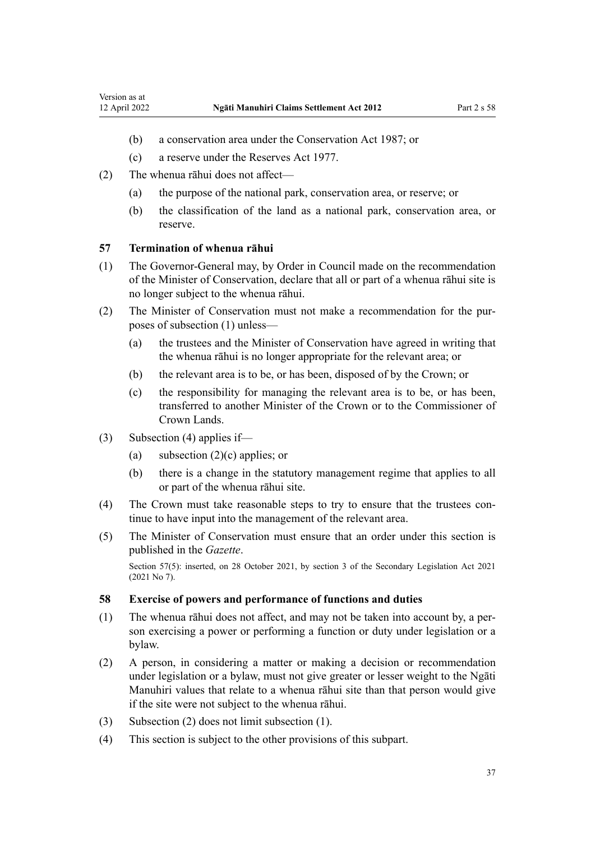- (b) a conservation area under the [Conservation Act 1987;](http://legislation.govt.nz/pdflink.aspx?id=DLM103609) or
- (c) a reserve under the [Reserves Act 1977](http://legislation.govt.nz/pdflink.aspx?id=DLM444304).
- (2) The whenua rāhui does not affect—
	- (a) the purpose of the national park, conservation area, or reserve; or
	- (b) the classification of the land as a national park, conservation area, or reserve.

#### **57 Termination of whenua rāhui**

- (1) The Governor-General may, by Order in Council made on the recommendation of the Minister of Conservation, declare that all or part of a whenua rāhui site is no longer subject to the whenua rāhui.
- (2) The Minister of Conservation must not make a recommendation for the pur‐ poses of subsection (1) unless—
	- (a) the trustees and the Minister of Conservation have agreed in writing that the whenua rāhui is no longer appropriate for the relevant area; or
	- (b) the relevant area is to be, or has been, disposed of by the Crown; or
	- (c) the responsibility for managing the relevant area is to be, or has been, transferred to another Minister of the Crown or to the Commissioner of Crown Lands.
- (3) Subsection (4) applies if—
	- (a) subsection  $(2)(c)$  applies; or
	- (b) there is a change in the statutory management regime that applies to all or part of the whenua rāhui site.
- (4) The Crown must take reasonable steps to try to ensure that the trustees con‐ tinue to have input into the management of the relevant area.
- (5) The Minister of Conservation must ensure that an order under this section is published in the *Gazette*.

Section 57(5): inserted, on 28 October 2021, by [section 3](http://legislation.govt.nz/pdflink.aspx?id=LMS268932) of the Secondary Legislation Act 2021 (2021 No 7).

## **58 Exercise of powers and performance of functions and duties**

- (1) The whenua rāhui does not affect, and may not be taken into account by, a per‐ son exercising a power or performing a function or duty under legislation or a bylaw.
- (2) A person, in considering a matter or making a decision or recommendation under legislation or a bylaw, must not give greater or lesser weight to the Ngāti Manuhiri values that relate to a whenua rāhui site than that person would give if the site were not subject to the whenua rāhui.
- (3) Subsection (2) does not limit subsection (1).
- (4) This section is subject to the other provisions of this subpart.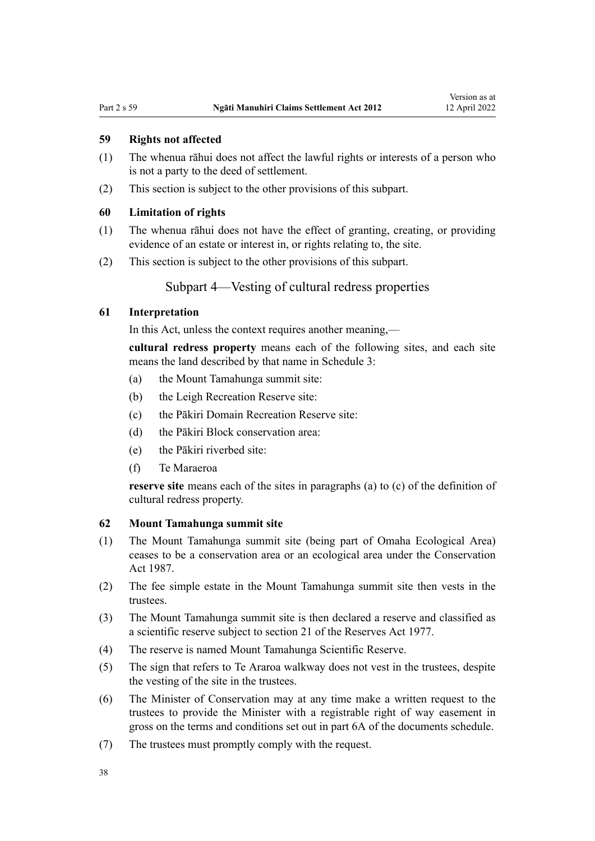## <span id="page-37-0"></span>**59 Rights not affected**

- (1) The whenua rāhui does not affect the lawful rights or interests of a person who is not a party to the deed of settlement.
- (2) This section is subject to the other provisions of this subpart.

#### **60 Limitation of rights**

- (1) The whenua rāhui does not have the effect of granting, creating, or providing evidence of an estate or interest in, or rights relating to, the site.
- (2) This section is subject to the other provisions of this subpart.

# Subpart 4—Vesting of cultural redress properties

# **61 Interpretation**

In this Act, unless the context requires another meaning,—

**cultural redress property** means each of the following sites, and each site means the land described by that name in [Schedule 3:](#page-71-0)

- (a) the Mount Tamahunga summit site:
- (b) the Leigh Recreation Reserve site:
- (c) the Pākiri Domain Recreation Reserve site:
- (d) the Pākiri Block conservation area:
- (e) the Pākiri riverbed site:
- (f) Te Maraeroa

**reserve site** means each of the sites in paragraphs (a) to (c) of the definition of cultural redress property.

## **62 Mount Tamahunga summit site**

- (1) The Mount Tamahunga summit site (being part of Omaha Ecological Area) ceases to be a conservation area or an ecological area under the [Conservation](http://legislation.govt.nz/pdflink.aspx?id=DLM103609) [Act 1987.](http://legislation.govt.nz/pdflink.aspx?id=DLM103609)
- (2) The fee simple estate in the Mount Tamahunga summit site then vests in the trustees.
- (3) The Mount Tamahunga summit site is then declared a reserve and classified as a scientific reserve subject to [section 21](http://legislation.govt.nz/pdflink.aspx?id=DLM444617) of the Reserves Act 1977.
- (4) The reserve is named Mount Tamahunga Scientific Reserve.
- (5) The sign that refers to Te Araroa walkway does not vest in the trustees, despite the vesting of the site in the trustees.
- (6) The Minister of Conservation may at any time make a written request to the trustees to provide the Minister with a registrable right of way easement in gross on the terms and conditions set out in part 6A of the documents schedule.
- (7) The trustees must promptly comply with the request.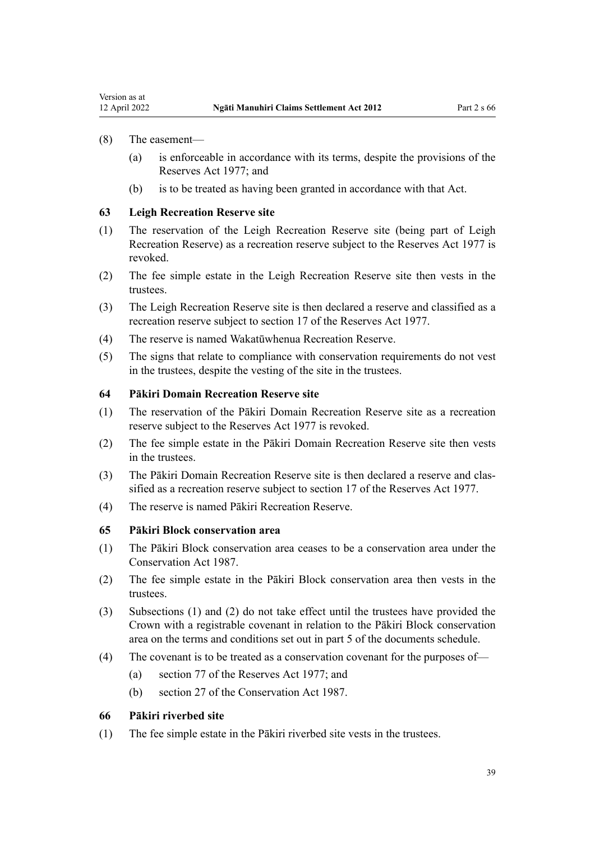<span id="page-38-0"></span>Version as at

- (a) is enforceable in accordance with its terms, despite the provisions of the [Reserves Act 1977](http://legislation.govt.nz/pdflink.aspx?id=DLM444304); and
- (b) is to be treated as having been granted in accordance with that Act.

## **63 Leigh Recreation Reserve site**

- (1) The reservation of the Leigh Recreation Reserve site (being part of Leigh Recreation Reserve) as a recreation reserve subject to the [Reserves Act 1977](http://legislation.govt.nz/pdflink.aspx?id=DLM444304) is revoked.
- (2) The fee simple estate in the Leigh Recreation Reserve site then vests in the trustees.
- (3) The Leigh Recreation Reserve site is then declared a reserve and classified as a recreation reserve subject to [section 17](http://legislation.govt.nz/pdflink.aspx?id=DLM444605) of the Reserves Act 1977.
- (4) The reserve is named Wakatūwhenua Recreation Reserve.
- (5) The signs that relate to compliance with conservation requirements do not vest in the trustees, despite the vesting of the site in the trustees.

#### **64 Pākiri Domain Recreation Reserve site**

- (1) The reservation of the Pākiri Domain Recreation Reserve site as a recreation reserve subject to the [Reserves Act 1977](http://legislation.govt.nz/pdflink.aspx?id=DLM444304) is revoked.
- (2) The fee simple estate in the Pākiri Domain Recreation Reserve site then vests in the trustees.
- (3) The Pākiri Domain Recreation Reserve site is then declared a reserve and clas‐ sified as a recreation reserve subject to [section 17](http://legislation.govt.nz/pdflink.aspx?id=DLM444605) of the Reserves Act 1977.
- (4) The reserve is named Pākiri Recreation Reserve.

## **65 Pākiri Block conservation area**

- (1) The Pākiri Block conservation area ceases to be a conservation area under the [Conservation Act 1987.](http://legislation.govt.nz/pdflink.aspx?id=DLM103609)
- (2) The fee simple estate in the Pākiri Block conservation area then vests in the trustees.
- (3) Subsections (1) and (2) do not take effect until the trustees have provided the Crown with a registrable covenant in relation to the Pākiri Block conservation area on the terms and conditions set out in part 5 of the documents schedule.
- (4) The covenant is to be treated as a conservation covenant for the purposes of—
	- (a) [section 77](http://legislation.govt.nz/pdflink.aspx?id=DLM444912) of the Reserves Act 1977; and
	- (b) [section 27](http://legislation.govt.nz/pdflink.aspx?id=DLM106603) of the Conservation Act 1987.

#### **66 Pākiri riverbed site**

(1) The fee simple estate in the Pākiri riverbed site vests in the trustees.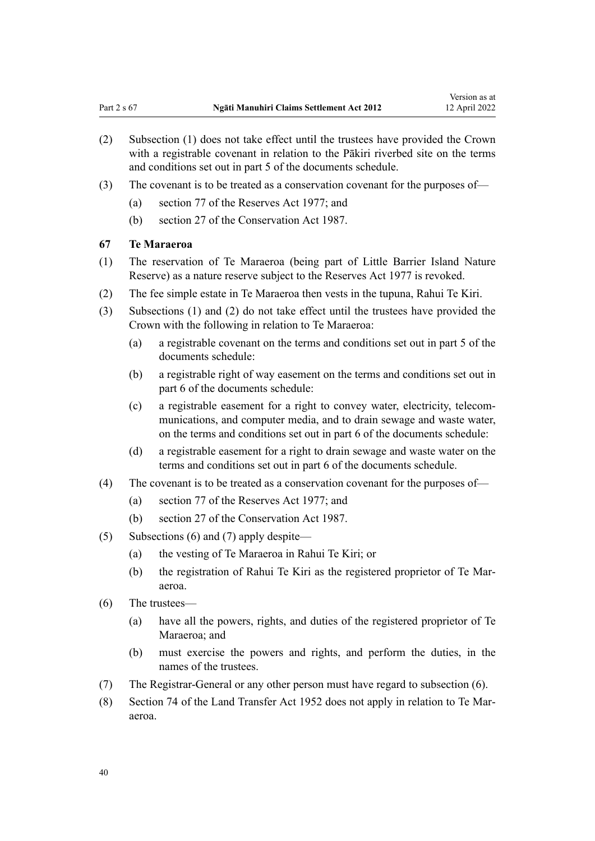- <span id="page-39-0"></span>(2) Subsection (1) does not take effect until the trustees have provided the Crown with a registrable covenant in relation to the Pākiri riverbed site on the terms and conditions set out in part 5 of the documents schedule.
- (3) The covenant is to be treated as a conservation covenant for the purposes of—
	- (a) [section 77](http://legislation.govt.nz/pdflink.aspx?id=DLM444912) of the Reserves Act 1977; and
	- (b) [section 27](http://legislation.govt.nz/pdflink.aspx?id=DLM106603) of the Conservation Act 1987.

#### **67 Te Maraeroa**

- (1) The reservation of Te Maraeroa (being part of Little Barrier Island Nature Reserve) as a nature reserve subject to the [Reserves Act 1977](http://legislation.govt.nz/pdflink.aspx?id=DLM444304) is revoked.
- (2) The fee simple estate in Te Maraeroa then vests in the tupuna, Rahui Te Kiri.
- (3) Subsections (1) and (2) do not take effect until the trustees have provided the Crown with the following in relation to Te Maraeroa:
	- (a) a registrable covenant on the terms and conditions set out in part 5 of the documents schedule:
	- (b) a registrable right of way easement on the terms and conditions set out in part 6 of the documents schedule:
	- (c) a registrable easement for a right to convey water, electricity, telecom‐ munications, and computer media, and to drain sewage and waste water, on the terms and conditions set out in part 6 of the documents schedule:
	- (d) a registrable easement for a right to drain sewage and waste water on the terms and conditions set out in part 6 of the documents schedule.
- (4) The covenant is to be treated as a conservation covenant for the purposes of—
	- (a) [section 77](http://legislation.govt.nz/pdflink.aspx?id=DLM444912) of the Reserves Act 1977; and
	- (b) [section 27](http://legislation.govt.nz/pdflink.aspx?id=DLM106603) of the Conservation Act 1987.
- (5) Subsections (6) and (7) apply despite—
	- (a) the vesting of Te Maraeroa in Rahui Te Kiri; or
	- (b) the registration of Rahui Te Kiri as the registered proprietor of Te Mar‐ aeroa.
- (6) The trustees—
	- (a) have all the powers, rights, and duties of the registered proprietor of Te Maraeroa; and
	- (b) must exercise the powers and rights, and perform the duties, in the names of the trustees.
- (7) The Registrar-General or any other person must have regard to subsection (6).
- (8) [Section 74](http://legislation.govt.nz/pdflink.aspx?id=DLM270486) of the Land Transfer Act 1952 does not apply in relation to Te Mar‐ aeroa.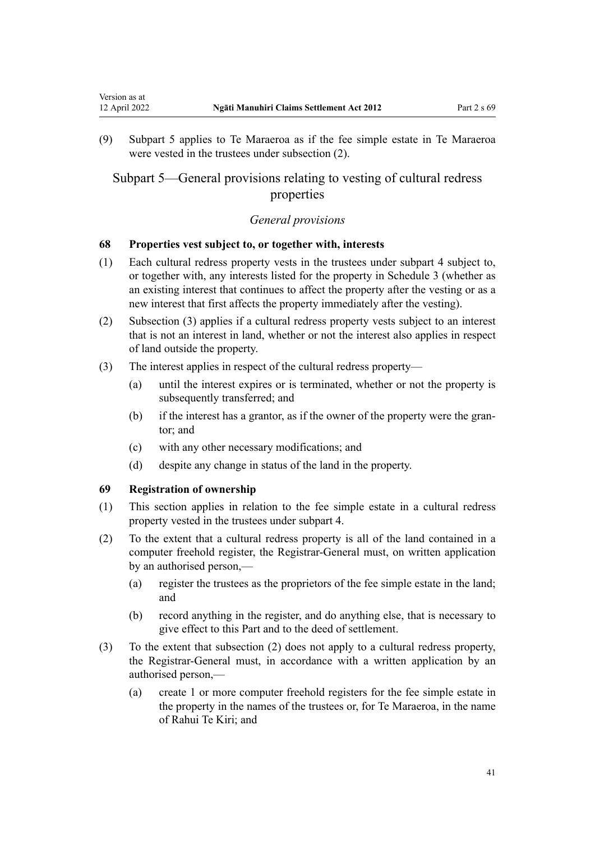<span id="page-40-0"></span>(9) Subpart 5 applies to Te Maraeroa as if the fee simple estate in Te Maraeroa were vested in the trustees under subsection (2).

# Subpart 5—General provisions relating to vesting of cultural redress properties

## *General provisions*

#### **68 Properties vest subject to, or together with, interests**

- (1) Each cultural redress property vests in the trustees under [subpart 4](#page-37-0) subject to, or together with, any interests listed for the property in [Schedule 3](#page-71-0) (whether as an existing interest that continues to affect the property after the vesting or as a new interest that first affects the property immediately after the vesting).
- (2) Subsection (3) applies if a cultural redress property vests subject to an interest that is not an interest in land, whether or not the interest also applies in respect of land outside the property.
- (3) The interest applies in respect of the cultural redress property—
	- (a) until the interest expires or is terminated, whether or not the property is subsequently transferred; and
	- (b) if the interest has a grantor, as if the owner of the property were the grantor; and
	- (c) with any other necessary modifications; and
	- (d) despite any change in status of the land in the property.

## **69 Registration of ownership**

- (1) This section applies in relation to the fee simple estate in a cultural redress property vested in the trustees under [subpart 4.](#page-37-0)
- (2) To the extent that a cultural redress property is all of the land contained in a computer freehold register, the Registrar-General must, on written application by an authorised person,—
	- (a) register the trustees as the proprietors of the fee simple estate in the land; and
	- (b) record anything in the register, and do anything else, that is necessary to give effect to this Part and to the deed of settlement.
- (3) To the extent that subsection (2) does not apply to a cultural redress property, the Registrar-General must, in accordance with a written application by an authorised person,—
	- (a) create 1 or more computer freehold registers for the fee simple estate in the property in the names of the trustees or, for Te Maraeroa, in the name of Rahui Te Kiri; and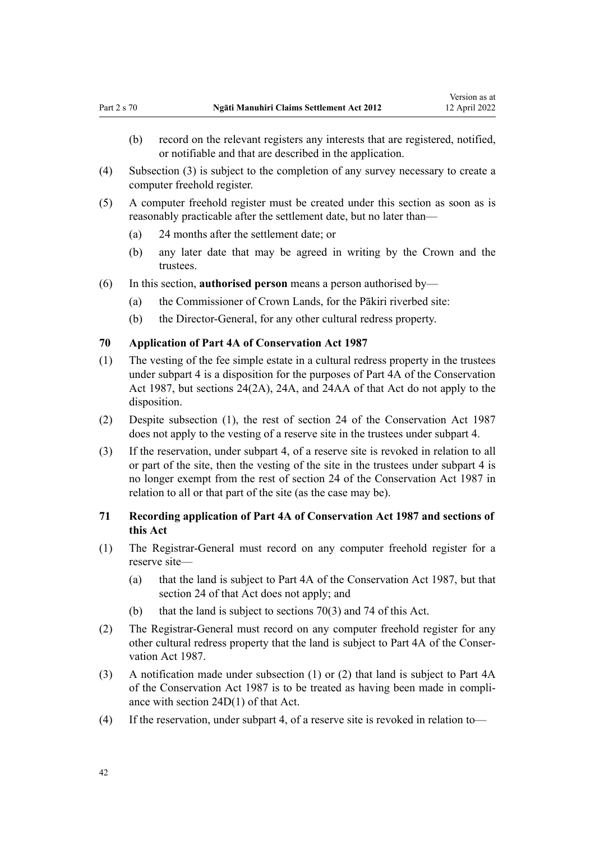- <span id="page-41-0"></span>(b) record on the relevant registers any interests that are registered, notified, or notifiable and that are described in the application.
- (4) Subsection (3) is subject to the completion of any survey necessary to create a computer freehold register.
- (5) A computer freehold register must be created under this section as soon as is reasonably practicable after the settlement date, but no later than—
	- (a) 24 months after the settlement date; or
	- (b) any later date that may be agreed in writing by the Crown and the trustees.
- (6) In this section, **authorised person** means a person authorised by—
	- (a) the Commissioner of Crown Lands, for the Pākiri riverbed site:
	- (b) the Director-General, for any other cultural redress property.

## **70 Application of Part 4A of Conservation Act 1987**

- (1) The vesting of the fee simple estate in a cultural redress property in the trustees under [subpart 4](#page-37-0) is a disposition for the purposes of [Part 4A](http://legislation.govt.nz/pdflink.aspx?id=DLM104697) of the Conservation Act 1987, but [sections 24\(2A\)](http://legislation.govt.nz/pdflink.aspx?id=DLM104699), [24A](http://legislation.govt.nz/pdflink.aspx?id=DLM104910), and [24AA](http://legislation.govt.nz/pdflink.aspx?id=DLM104914) of that Act do not apply to the disposition.
- (2) Despite subsection (1), the rest of [section 24](http://legislation.govt.nz/pdflink.aspx?id=DLM104699) of the Conservation Act 1987 does not apply to the vesting of a reserve site in the trustees under [subpart 4.](#page-37-0)
- (3) If the reservation, under [subpart 4](#page-37-0), of a reserve site is revoked in relation to all or part of the site, then the vesting of the site in the trustees under subpart 4 is no longer exempt from the rest of [section 24](http://legislation.govt.nz/pdflink.aspx?id=DLM104699) of the Conservation Act 1987 in relation to all or that part of the site (as the case may be).

## **71 Recording application of Part 4A of Conservation Act 1987 and sections of this Act**

- (1) The Registrar-General must record on any computer freehold register for a reserve site—
	- (a) that the land is subject to [Part 4A](http://legislation.govt.nz/pdflink.aspx?id=DLM104697) of the Conservation Act 1987, but that [section 24](http://legislation.govt.nz/pdflink.aspx?id=DLM104699) of that Act does not apply; and
	- (b) that the land is subject to sections 70(3) and [74](#page-43-0) of this Act.
- (2) The Registrar-General must record on any computer freehold register for any other cultural redress property that the land is subject to [Part 4A](http://legislation.govt.nz/pdflink.aspx?id=DLM104697) of the Conser‐ vation Act 1987.
- (3) A notification made under subsection (1) or (2) that land is subject to [Part 4A](http://legislation.govt.nz/pdflink.aspx?id=DLM104697) of the Conservation Act 1987 is to be treated as having been made in compli‐ ance with [section 24D\(1\)](http://legislation.govt.nz/pdflink.aspx?id=DLM104928) of that Act.
- (4) If the reservation, under [subpart 4](#page-37-0), of a reserve site is revoked in relation to—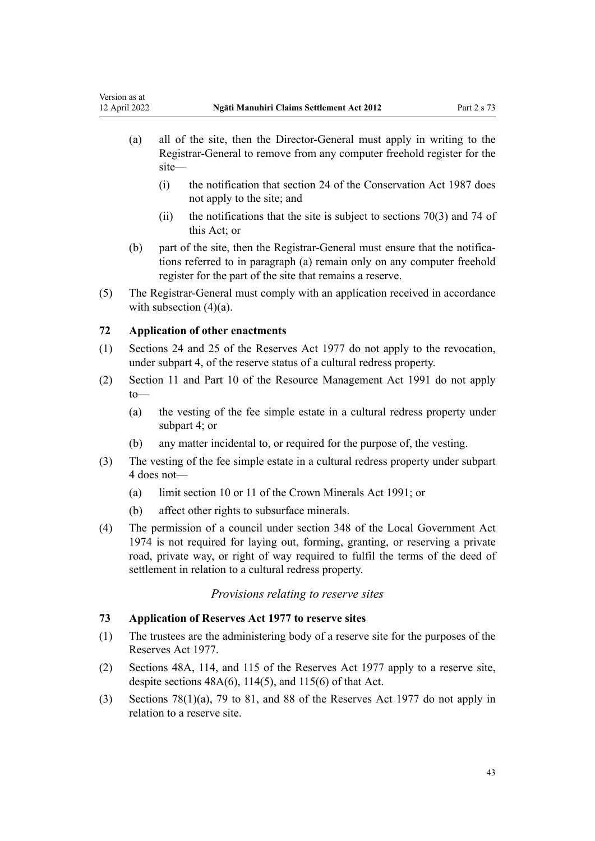- (a) all of the site, then the Director-General must apply in writing to the Registrar-General to remove from any computer freehold register for the site—
	- (i) the notification that [section 24](http://legislation.govt.nz/pdflink.aspx?id=DLM104699) of the Conservation Act 1987 does not apply to the site; and
	- (ii) the notifications that the site is subject to sections  $70(3)$  and [74](#page-43-0) of this Act; or
- (b) part of the site, then the Registrar-General must ensure that the notifications referred to in paragraph (a) remain only on any computer freehold register for the part of the site that remains a reserve.
- (5) The Registrar-General must comply with an application received in accordance with subsection  $(4)(a)$ .

# **72 Application of other enactments**

- (1) [Sections 24](http://legislation.govt.nz/pdflink.aspx?id=DLM444632) and [25](http://legislation.govt.nz/pdflink.aspx?id=DLM444648) of the Reserves Act 1977 do not apply to the revocation, under [subpart 4,](#page-37-0) of the reserve status of a cultural redress property.
- (2) [Section 11](http://legislation.govt.nz/pdflink.aspx?id=DLM231942) and [Part 10](http://legislation.govt.nz/pdflink.aspx?id=DLM236786) of the Resource Management Act 1991 do not apply to—
	- (a) the vesting of the fee simple estate in a cultural redress property under [subpart 4;](#page-37-0) or
	- (b) any matter incidental to, or required for the purpose of, the vesting.
- (3) The vesting of the fee simple estate in a cultural redress property under [subpart](#page-37-0) [4](#page-37-0) does not—
	- (a) limit [section 10](http://legislation.govt.nz/pdflink.aspx?id=DLM246310) or [11](http://legislation.govt.nz/pdflink.aspx?id=DLM246311) of the Crown Minerals Act 1991; or
	- (b) affect other rights to subsurface minerals.
- (4) The permission of a council under [section 348](http://legislation.govt.nz/pdflink.aspx?id=DLM420676) of the Local Government Act 1974 is not required for laying out, forming, granting, or reserving a private road, private way, or right of way required to fulfil the terms of the deed of settlement in relation to a cultural redress property.

# *Provisions relating to reserve sites*

## **73 Application of Reserves Act 1977 to reserve sites**

- (1) The trustees are the administering body of a reserve site for the purposes of the [Reserves Act 1977](http://legislation.govt.nz/pdflink.aspx?id=DLM444304).
- (2) [Sections 48A,](http://legislation.govt.nz/pdflink.aspx?id=DLM444702) [114,](http://legislation.govt.nz/pdflink.aspx?id=DLM445052) and [115](http://legislation.govt.nz/pdflink.aspx?id=DLM445059) of the Reserves Act 1977 apply to a reserve site, despite sections  $48A(6)$ ,  $114(5)$ , and  $115(6)$  of that Act.
- (3) [Sections 78\(1\)\(a\),](http://legislation.govt.nz/pdflink.aspx?id=DLM444920) [79 to 81](http://legislation.govt.nz/pdflink.aspx?id=DLM444929), and [88](http://legislation.govt.nz/pdflink.aspx?id=DLM444949) of the Reserves Act 1977 do not apply in relation to a reserve site.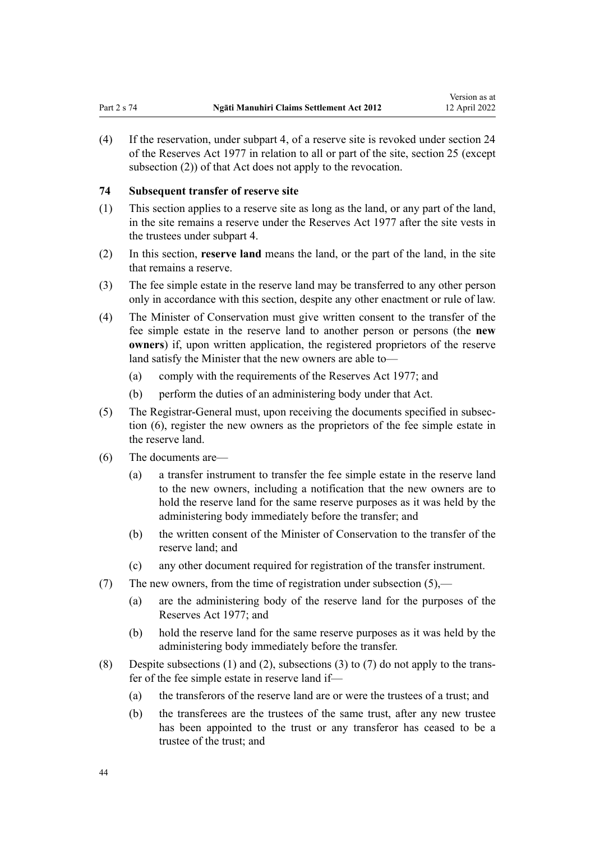Version as at

<span id="page-43-0"></span>(4) If the reservation, under [subpart 4](#page-37-0), of a reserve site is revoked under [section 24](http://legislation.govt.nz/pdflink.aspx?id=DLM444632) of the Reserves Act 1977 in relation to all or part of the site, [section 25](http://legislation.govt.nz/pdflink.aspx?id=DLM444648) (except subsection (2)) of that Act does not apply to the revocation.

#### **74 Subsequent transfer of reserve site**

- (1) This section applies to a reserve site as long as the land, or any part of the land, in the site remains a reserve under the [Reserves Act 1977](http://legislation.govt.nz/pdflink.aspx?id=DLM444304) after the site vests in the trustees under [subpart 4.](#page-37-0)
- (2) In this section, **reserve land** means the land, or the part of the land, in the site that remains a reserve.
- (3) The fee simple estate in the reserve land may be transferred to any other person only in accordance with this section, despite any other enactment or rule of law.
- (4) The Minister of Conservation must give written consent to the transfer of the fee simple estate in the reserve land to another person or persons (the **new owners**) if, upon written application, the registered proprietors of the reserve land satisfy the Minister that the new owners are able to—
	- (a) comply with the requirements of the [Reserves Act 1977;](http://legislation.govt.nz/pdflink.aspx?id=DLM444304) and
	- (b) perform the duties of an administering body under that Act.
- (5) The Registrar-General must, upon receiving the documents specified in subsec‐ tion (6), register the new owners as the proprietors of the fee simple estate in the reserve land.
- (6) The documents are—
	- (a) a transfer instrument to transfer the fee simple estate in the reserve land to the new owners, including a notification that the new owners are to hold the reserve land for the same reserve purposes as it was held by the administering body immediately before the transfer; and
	- (b) the written consent of the Minister of Conservation to the transfer of the reserve land; and
	- (c) any other document required for registration of the transfer instrument.
- (7) The new owners, from the time of registration under subsection  $(5)$ ,—
	- (a) are the administering body of the reserve land for the purposes of the [Reserves Act 1977](http://legislation.govt.nz/pdflink.aspx?id=DLM444304); and
	- (b) hold the reserve land for the same reserve purposes as it was held by the administering body immediately before the transfer.
- (8) Despite subsections (1) and (2), subsections (3) to (7) do not apply to the trans‐ fer of the fee simple estate in reserve land if—
	- (a) the transferors of the reserve land are or were the trustees of a trust; and
	- (b) the transferees are the trustees of the same trust, after any new trustee has been appointed to the trust or any transferor has ceased to be a trustee of the trust; and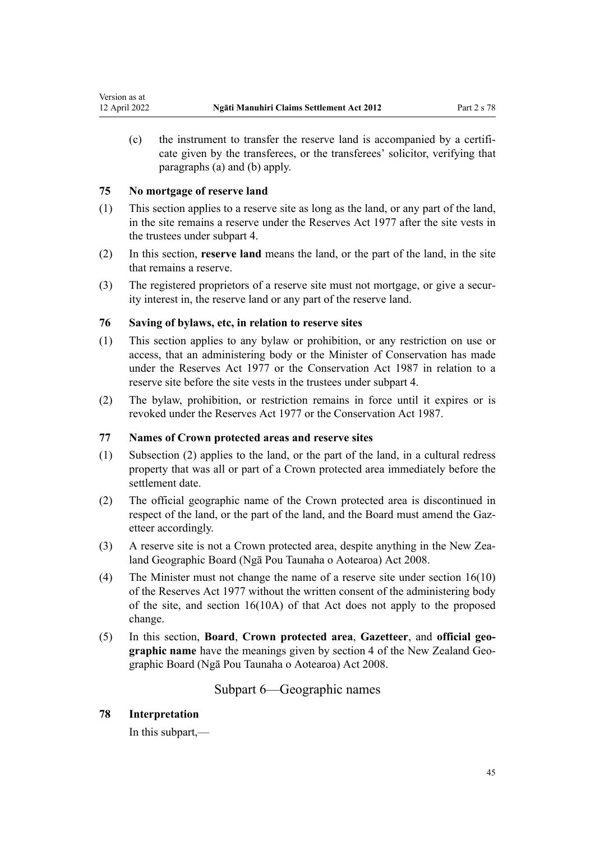(c) the instrument to transfer the reserve land is accompanied by a certifi‐ cate given by the transferees, or the transferees' solicitor, verifying that paragraphs (a) and (b) apply.

# **75 No mortgage of reserve land**

Version as at<br>12 April 2022

- (1) This section applies to a reserve site as long as the land, or any part of the land, in the site remains a reserve under the [Reserves Act 1977](http://legislation.govt.nz/pdflink.aspx?id=DLM444304) after the site vests in the trustees under [subpart 4.](#page-37-0)
- (2) In this section, **reserve land** means the land, or the part of the land, in the site that remains a reserve.
- (3) The registered proprietors of a reserve site must not mortgage, or give a security interest in, the reserve land or any part of the reserve land.

# **76 Saving of bylaws, etc, in relation to reserve sites**

- (1) This section applies to any bylaw or prohibition, or any restriction on use or access, that an administering body or the Minister of Conservation has made under the [Reserves Act 1977](http://legislation.govt.nz/pdflink.aspx?id=DLM444304) or the [Conservation Act 1987](http://legislation.govt.nz/pdflink.aspx?id=DLM103609) in relation to a reserve site before the site vests in the trustees under [subpart 4](#page-37-0).
- (2) The bylaw, prohibition, or restriction remains in force until it expires or is revoked under the [Reserves Act 1977](http://legislation.govt.nz/pdflink.aspx?id=DLM444304) or the [Conservation Act 1987.](http://legislation.govt.nz/pdflink.aspx?id=DLM103609)

# **77 Names of Crown protected areas and reserve sites**

- (1) Subsection (2) applies to the land, or the part of the land, in a cultural redress property that was all or part of a Crown protected area immediately before the settlement date.
- (2) The official geographic name of the Crown protected area is discontinued in respect of the land, or the part of the land, and the Board must amend the Gazetteer accordingly.
- (3) A reserve site is not a Crown protected area, despite anything in the [New Zea‐](http://legislation.govt.nz/pdflink.aspx?id=DLM1065400) [land Geographic Board \(Ngā Pou Taunaha o Aotearoa\) Act 2008.](http://legislation.govt.nz/pdflink.aspx?id=DLM1065400)
- (4) The Minister must not change the name of a reserve site under [section 16\(10\)](http://legislation.govt.nz/pdflink.aspx?id=DLM444492) of the Reserves Act 1977 without the written consent of the administering body of the site, and section 16(10A) of that Act does not apply to the proposed change.
- (5) In this section, **Board**, **Crown protected area**, **Gazetteer**, and **official geo‐ graphic name** have the meanings given by [section 4](http://legislation.govt.nz/pdflink.aspx?id=DLM1065420) of the New Zealand Geographic Board (Ngā Pou Taunaha o Aotearoa) Act 2008.

Subpart 6—Geographic names

## **78 Interpretation**

In this subpart,—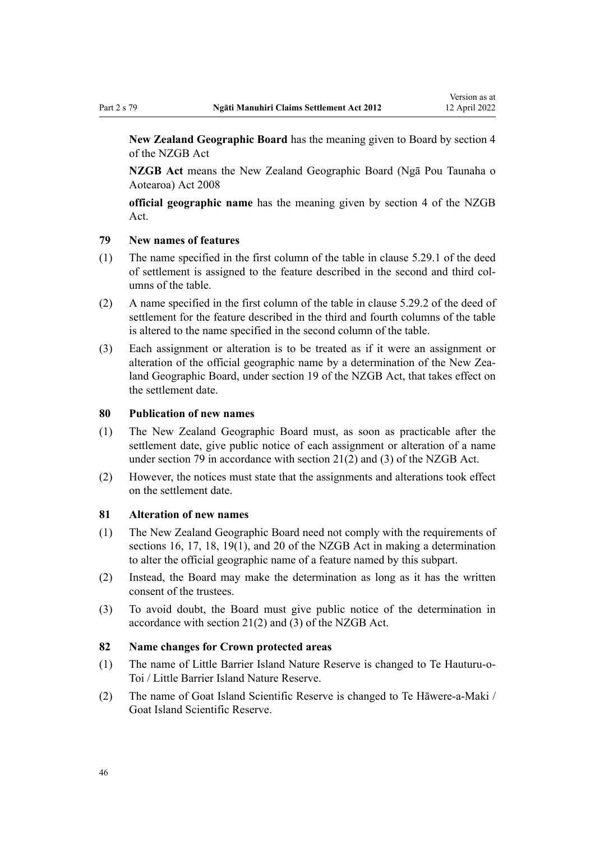**New Zealand Geographic Board** has the meaning given to Board by [section 4](http://legislation.govt.nz/pdflink.aspx?id=DLM1065420) of the NZGB Act

**NZGB Act** means the [New Zealand Geographic Board \(Ngā Pou Taunaha o](http://legislation.govt.nz/pdflink.aspx?id=DLM1065400) [Aotearoa\) Act 2008](http://legislation.govt.nz/pdflink.aspx?id=DLM1065400)

**official geographic name** has the meaning given by [section 4](http://legislation.govt.nz/pdflink.aspx?id=DLM1065420) of the NZGB Act.

# **79 New names of features**

- (1) The name specified in the first column of the table in clause 5.29.1 of the deed of settlement is assigned to the feature described in the second and third col‐ umns of the table.
- (2) A name specified in the first column of the table in clause 5.29.2 of the deed of settlement for the feature described in the third and fourth columns of the table is altered to the name specified in the second column of the table.
- (3) Each assignment or alteration is to be treated as if it were an assignment or alteration of the official geographic name by a determination of the New Zealand Geographic Board, under [section 19](http://legislation.govt.nz/pdflink.aspx?id=DLM1065495) of the NZGB Act, that takes effect on the settlement date.

#### **80 Publication of new names**

- (1) The New Zealand Geographic Board must, as soon as practicable after the settlement date, give public notice of each assignment or alteration of a name under section 79 in accordance with [section 21\(2\) and \(3\)](http://legislation.govt.nz/pdflink.aspx?id=DLM1065497) of the NZGB Act.
- (2) However, the notices must state that the assignments and alterations took effect on the settlement date.

#### **81 Alteration of new names**

- (1) The New Zealand Geographic Board need not comply with the requirements of [sections 16](http://legislation.govt.nz/pdflink.aspx?id=DLM1065492), [17,](http://legislation.govt.nz/pdflink.aspx?id=DLM1065493) [18,](http://legislation.govt.nz/pdflink.aspx?id=DLM1065494) [19\(1\),](http://legislation.govt.nz/pdflink.aspx?id=DLM1065495) and [20](http://legislation.govt.nz/pdflink.aspx?id=DLM1065496) of the NZGB Act in making a determination to alter the official geographic name of a feature named by this subpart.
- (2) Instead, the Board may make the determination as long as it has the written consent of the trustees.
- (3) To avoid doubt, the Board must give public notice of the determination in accordance with [section 21\(2\) and \(3\)](http://legislation.govt.nz/pdflink.aspx?id=DLM1065497) of the NZGB Act.

## **82 Name changes for Crown protected areas**

- (1) The name of Little Barrier Island Nature Reserve is changed to Te Hauturu-o-Toi / Little Barrier Island Nature Reserve.
- (2) The name of Goat Island Scientific Reserve is changed to Te Hāwere-a-Maki / Goat Island Scientific Reserve.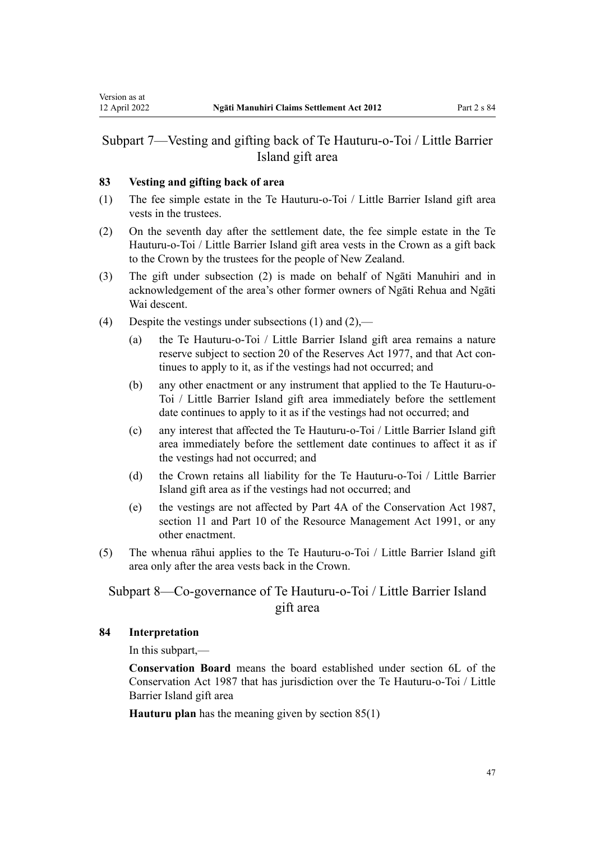## **83 Vesting and gifting back of area**

Version as at

- (1) The fee simple estate in the Te Hauturu-o-Toi / Little Barrier Island gift area vests in the trustees.
- (2) On the seventh day after the settlement date, the fee simple estate in the Te Hauturu-o-Toi / Little Barrier Island gift area vests in the Crown as a gift back to the Crown by the trustees for the people of New Zealand.
- (3) The gift under subsection (2) is made on behalf of Ngāti Manuhiri and in acknowledgement of the area's other former owners of Ngāti Rehua and Ngāti Wai descent.
- (4) Despite the vestings under subsections (1) and (2),—
	- (a) the Te Hauturu-o-Toi / Little Barrier Island gift area remains a nature reserve subject to [section 20](http://legislation.govt.nz/pdflink.aspx?id=DLM1065496) of the Reserves Act 1977, and that Act continues to apply to it, as if the vestings had not occurred; and
	- (b) any other enactment or any instrument that applied to the Te Hauturu-o-Toi / Little Barrier Island gift area immediately before the settlement date continues to apply to it as if the vestings had not occurred; and
	- (c) any interest that affected the Te Hauturu-o-Toi / Little Barrier Island gift area immediately before the settlement date continues to affect it as if the vestings had not occurred; and
	- (d) the Crown retains all liability for the Te Hauturu-o-Toi / Little Barrier Island gift area as if the vestings had not occurred; and
	- (e) the vestings are not affected by [Part 4A](http://legislation.govt.nz/pdflink.aspx?id=DLM104697) of the Conservation Act 1987, [section 11](http://legislation.govt.nz/pdflink.aspx?id=DLM231942) and [Part 10](http://legislation.govt.nz/pdflink.aspx?id=DLM236786) of the Resource Management Act 1991, or any other enactment.
- (5) The whenua rāhui applies to the Te Hauturu-o-Toi / Little Barrier Island gift area only after the area vests back in the Crown.

# Subpart 8—Co-governance of Te Hauturu-o-Toi / Little Barrier Island gift area

# **84 Interpretation**

In this subpart,—

**Conservation Board** means the board established under [section 6L](http://legislation.govt.nz/pdflink.aspx?id=DLM104213) of the Conservation Act 1987 that has jurisdiction over the Te Hauturu-o-Toi / Little Barrier Island gift area

**Hauturu plan** has the meaning given by [section 85\(1\)](#page-47-0)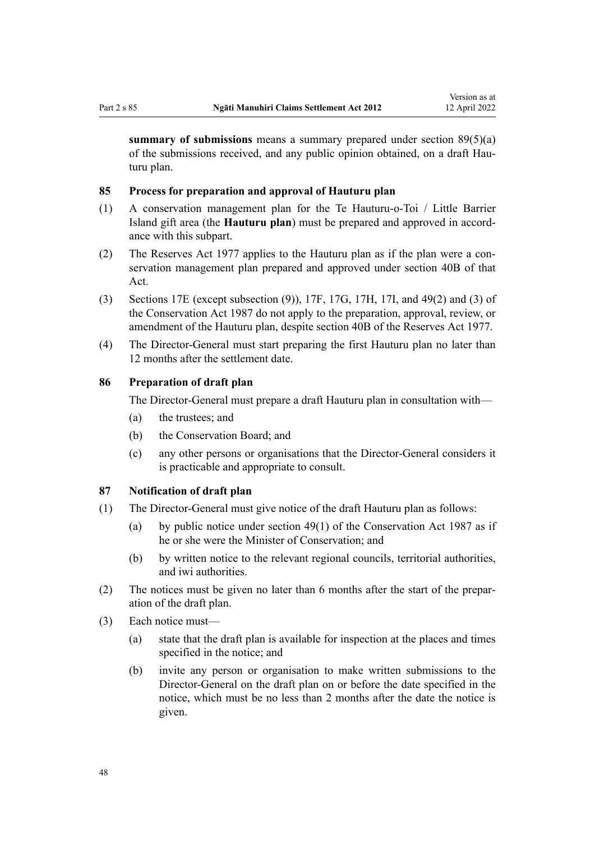<span id="page-47-0"></span>**summary of submissions** means a summary prepared under [section 89\(5\)\(a\)](#page-48-0) of the submissions received, and any public opinion obtained, on a draft Hauturu plan.

#### **85 Process for preparation and approval of Hauturu plan**

- (1) A conservation management plan for the Te Hauturu-o-Toi / Little Barrier Island gift area (the **Hauturu plan**) must be prepared and approved in accord‐ ance with this subpart.
- (2) The [Reserves Act 1977](http://legislation.govt.nz/pdflink.aspx?id=DLM444304) applies to the Hauturu plan as if the plan were a con‐ servation management plan prepared and approved under section 40B of that Act.
- (3) [Sections 17E](http://legislation.govt.nz/pdflink.aspx?id=DLM104603) (except subsection (9)), [17F](http://legislation.govt.nz/pdflink.aspx?id=DLM104608), [17G,](http://legislation.govt.nz/pdflink.aspx?id=DLM104611) [17H,](http://legislation.govt.nz/pdflink.aspx?id=DLM104613) [17I](http://legislation.govt.nz/pdflink.aspx?id=DLM104615), and [49\(2\) and \(3\)](http://legislation.govt.nz/pdflink.aspx?id=DLM106907) of the Conservation Act 1987 do not apply to the preparation, approval, review, or amendment of the Hauturu plan, despite [section 40B](http://legislation.govt.nz/pdflink.aspx?id=DLM444677) of the Reserves Act 1977.
- (4) The Director-General must start preparing the first Hauturu plan no later than 12 months after the settlement date.

## **86 Preparation of draft plan**

The Director-General must prepare a draft Hauturu plan in consultation with—

- (a) the trustees; and
- (b) the Conservation Board; and
- (c) any other persons or organisations that the Director-General considers it is practicable and appropriate to consult.

#### **87 Notification of draft plan**

- (1) The Director-General must give notice of the draft Hauturu plan as follows:
	- (a) by public notice under section  $49(1)$  of the Conservation Act 1987 as if he or she were the Minister of Conservation; and
	- (b) by written notice to the relevant regional councils, territorial authorities, and iwi authorities.
- (2) The notices must be given no later than 6 months after the start of the prepar‐ ation of the draft plan.
- (3) Each notice must—
	- (a) state that the draft plan is available for inspection at the places and times specified in the notice; and
	- (b) invite any person or organisation to make written submissions to the Director-General on the draft plan on or before the date specified in the notice, which must be no less than 2 months after the date the notice is given.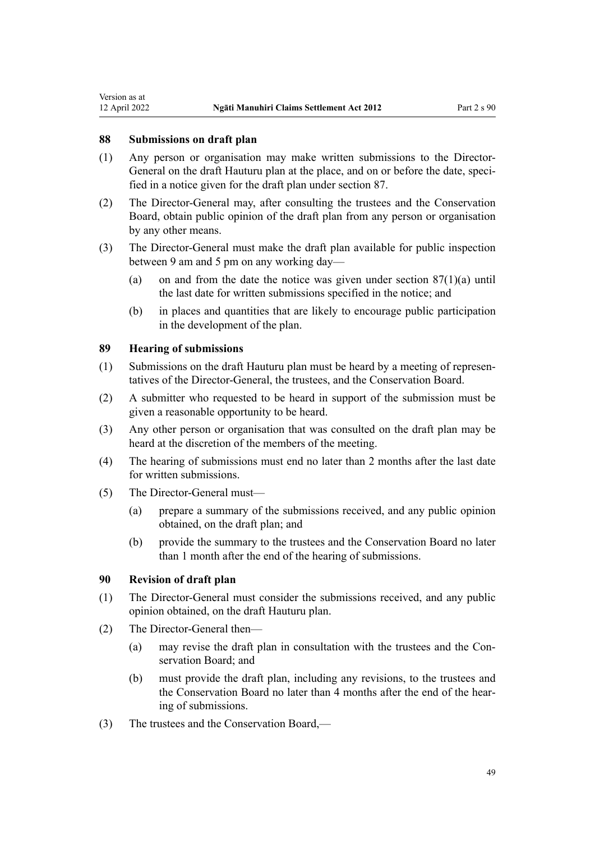#### **88 Submissions on draft plan**

<span id="page-48-0"></span>Version as at

- (1) Any person or organisation may make written submissions to the Director-General on the draft Hauturu plan at the place, and on or before the date, specified in a notice given for the draft plan under [section 87.](#page-47-0)
- (2) The Director-General may, after consulting the trustees and the Conservation Board, obtain public opinion of the draft plan from any person or organisation by any other means.
- (3) The Director-General must make the draft plan available for public inspection between 9 am and 5 pm on any working day—
	- (a) on and from the date the notice was given under section  $87(1)(a)$  until the last date for written submissions specified in the notice; and
	- (b) in places and quantities that are likely to encourage public participation in the development of the plan.

### **89 Hearing of submissions**

- (1) Submissions on the draft Hauturu plan must be heard by a meeting of represen‐ tatives of the Director-General, the trustees, and the Conservation Board.
- (2) A submitter who requested to be heard in support of the submission must be given a reasonable opportunity to be heard.
- (3) Any other person or organisation that was consulted on the draft plan may be heard at the discretion of the members of the meeting.
- (4) The hearing of submissions must end no later than 2 months after the last date for written submissions.
- (5) The Director-General must—
	- (a) prepare a summary of the submissions received, and any public opinion obtained, on the draft plan; and
	- (b) provide the summary to the trustees and the Conservation Board no later than 1 month after the end of the hearing of submissions.

## **90 Revision of draft plan**

- (1) The Director-General must consider the submissions received, and any public opinion obtained, on the draft Hauturu plan.
- (2) The Director-General then—
	- (a) may revise the draft plan in consultation with the trustees and the Conservation Board; and
	- (b) must provide the draft plan, including any revisions, to the trustees and the Conservation Board no later than 4 months after the end of the hearing of submissions.
- (3) The trustees and the Conservation Board,—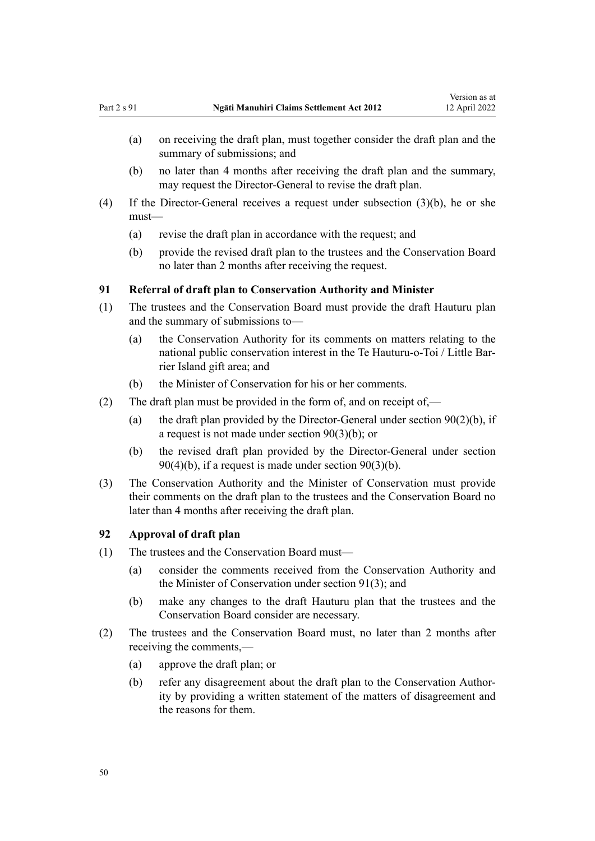- <span id="page-49-0"></span>(a) on receiving the draft plan, must together consider the draft plan and the summary of submissions; and
- (b) no later than 4 months after receiving the draft plan and the summary, may request the Director-General to revise the draft plan.
- (4) If the Director-General receives a request under subsection (3)(b), he or she must—
	- (a) revise the draft plan in accordance with the request; and
	- (b) provide the revised draft plan to the trustees and the Conservation Board no later than 2 months after receiving the request.

## **91 Referral of draft plan to Conservation Authority and Minister**

- (1) The trustees and the Conservation Board must provide the draft Hauturu plan and the summary of submissions to—
	- (a) the Conservation Authority for its comments on matters relating to the national public conservation interest in the Te Hauturu-o-Toi / Little Bar‐ rier Island gift area; and
	- (b) the Minister of Conservation for his or her comments.
- (2) The draft plan must be provided in the form of, and on receipt of,—
	- (a) the draft plan provided by the Director-General under section  $90(2)(b)$ , if a request is not made under section 90(3)(b); or
	- (b) the revised draft plan provided by the Director-General under [section](#page-48-0)  $90(4)(b)$ , if a request is made under section  $90(3)(b)$ .
- (3) The Conservation Authority and the Minister of Conservation must provide their comments on the draft plan to the trustees and the Conservation Board no later than 4 months after receiving the draft plan.

## **92 Approval of draft plan**

- (1) The trustees and the Conservation Board must—
	- (a) consider the comments received from the Conservation Authority and the Minister of Conservation under section 91(3); and
	- (b) make any changes to the draft Hauturu plan that the trustees and the Conservation Board consider are necessary.
- (2) The trustees and the Conservation Board must, no later than 2 months after receiving the comments,—
	- (a) approve the draft plan; or
	- (b) refer any disagreement about the draft plan to the Conservation Authority by providing a written statement of the matters of disagreement and the reasons for them.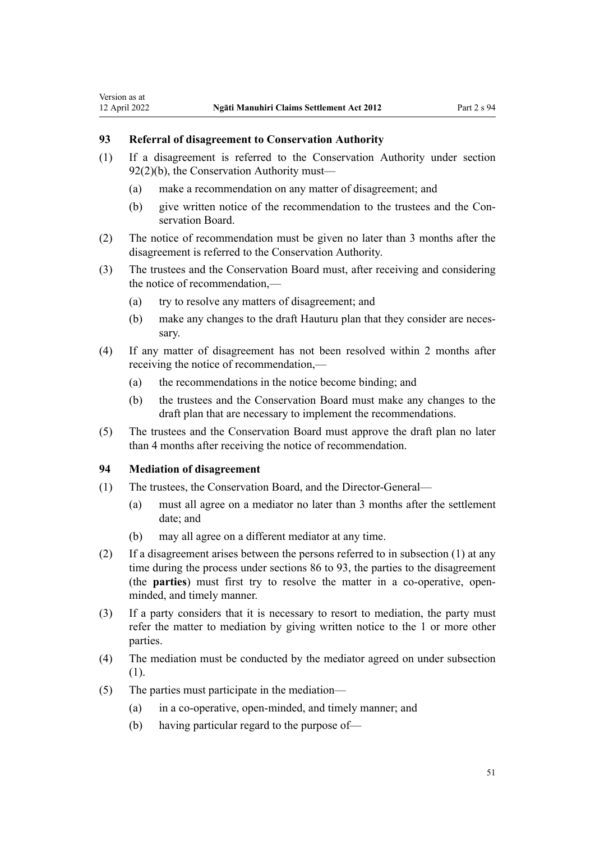## **93 Referral of disagreement to Conservation Authority**

Version as at

- (1) If a disagreement is referred to the Conservation Authority under [section](#page-49-0) [92\(2\)\(b\),](#page-49-0) the Conservation Authority must—
	- (a) make a recommendation on any matter of disagreement; and
	- (b) give written notice of the recommendation to the trustees and the Conservation Board.
- (2) The notice of recommendation must be given no later than 3 months after the disagreement is referred to the Conservation Authority.
- (3) The trustees and the Conservation Board must, after receiving and considering the notice of recommendation,—
	- (a) try to resolve any matters of disagreement; and
	- (b) make any changes to the draft Hauturu plan that they consider are necessary.
- (4) If any matter of disagreement has not been resolved within 2 months after receiving the notice of recommendation,—
	- (a) the recommendations in the notice become binding; and
	- (b) the trustees and the Conservation Board must make any changes to the draft plan that are necessary to implement the recommendations.
- (5) The trustees and the Conservation Board must approve the draft plan no later than 4 months after receiving the notice of recommendation.

## **94 Mediation of disagreement**

- (1) The trustees, the Conservation Board, and the Director-General—
	- (a) must all agree on a mediator no later than 3 months after the settlement date; and
	- (b) may all agree on a different mediator at any time.
- (2) If a disagreement arises between the persons referred to in subsection (1) at any time during the process under [sections 86 to 93](#page-47-0), the parties to the disagreement (the **parties**) must first try to resolve the matter in a co-operative, openminded, and timely manner.
- (3) If a party considers that it is necessary to resort to mediation, the party must refer the matter to mediation by giving written notice to the 1 or more other parties.
- (4) The mediation must be conducted by the mediator agreed on under subsection (1).
- (5) The parties must participate in the mediation—
	- (a) in a co-operative, open-minded, and timely manner; and
	- (b) having particular regard to the purpose of—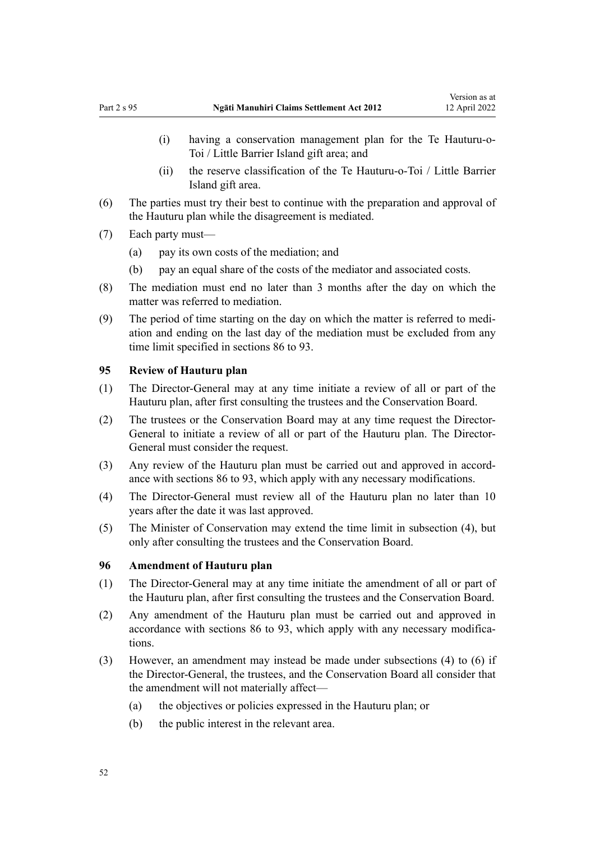- (i) having a conservation management plan for the Te Hauturu-o-Toi / Little Barrier Island gift area; and
- (ii) the reserve classification of the Te Hauturu-o-Toi / Little Barrier Island gift area.
- (6) The parties must try their best to continue with the preparation and approval of the Hauturu plan while the disagreement is mediated.
- (7) Each party must—
	- (a) pay its own costs of the mediation; and
	- (b) pay an equal share of the costs of the mediator and associated costs.
- (8) The mediation must end no later than 3 months after the day on which the matter was referred to mediation.
- (9) The period of time starting on the day on which the matter is referred to medi‐ ation and ending on the last day of the mediation must be excluded from any time limit specified in [sections 86 to 93.](#page-47-0)

#### **95 Review of Hauturu plan**

- (1) The Director-General may at any time initiate a review of all or part of the Hauturu plan, after first consulting the trustees and the Conservation Board.
- (2) The trustees or the Conservation Board may at any time request the Director-General to initiate a review of all or part of the Hauturu plan. The Director-General must consider the request.
- (3) Any review of the Hauturu plan must be carried out and approved in accord‐ ance with [sections 86 to 93](#page-47-0), which apply with any necessary modifications.
- (4) The Director-General must review all of the Hauturu plan no later than 10 years after the date it was last approved.
- (5) The Minister of Conservation may extend the time limit in subsection (4), but only after consulting the trustees and the Conservation Board.

## **96 Amendment of Hauturu plan**

- (1) The Director-General may at any time initiate the amendment of all or part of the Hauturu plan, after first consulting the trustees and the Conservation Board.
- (2) Any amendment of the Hauturu plan must be carried out and approved in accordance with [sections 86 to 93,](#page-47-0) which apply with any necessary modifications.
- (3) However, an amendment may instead be made under subsections (4) to (6) if the Director-General, the trustees, and the Conservation Board all consider that the amendment will not materially affect—
	- (a) the objectives or policies expressed in the Hauturu plan; or
	- (b) the public interest in the relevant area.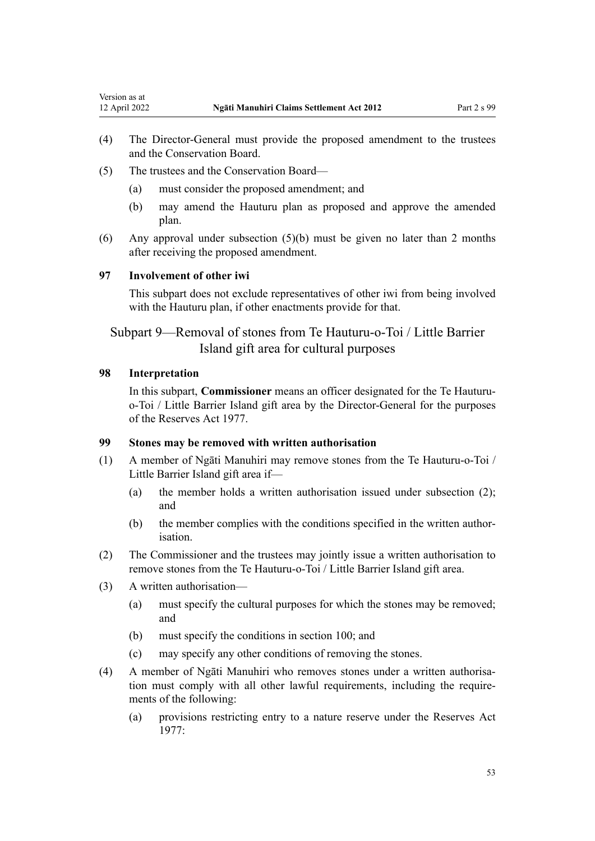- (4) The Director-General must provide the proposed amendment to the trustees and the Conservation Board.
- (5) The trustees and the Conservation Board—
	- (a) must consider the proposed amendment; and
	- (b) may amend the Hauturu plan as proposed and approve the amended plan.
- (6) Any approval under subsection (5)(b) must be given no later than 2 months after receiving the proposed amendment.

#### **97 Involvement of other iwi**

This subpart does not exclude representatives of other iwi from being involved with the Hauturu plan, if other enactments provide for that.

Subpart 9—Removal of stones from Te Hauturu-o-Toi / Little Barrier Island gift area for cultural purposes

## **98 Interpretation**

<span id="page-52-0"></span>Version as at<br>12 April 2022

In this subpart, **Commissioner** means an officer designated for the Te Hauturuo-Toi / Little Barrier Island gift area by the Director-General for the purposes of the [Reserves Act 1977](http://legislation.govt.nz/pdflink.aspx?id=DLM444304).

# **99 Stones may be removed with written authorisation**

- (1) A member of Ngāti Manuhiri may remove stones from the Te Hauturu-o-Toi / Little Barrier Island gift area if—
	- (a) the member holds a written authorisation issued under subsection (2); and
	- (b) the member complies with the conditions specified in the written authorisation.
- (2) The Commissioner and the trustees may jointly issue a written authorisation to remove stones from the Te Hauturu-o-Toi / Little Barrier Island gift area.
- (3) A written authorisation—
	- (a) must specify the cultural purposes for which the stones may be removed; and
	- (b) must specify the conditions in [section 100;](#page-53-0) and
	- (c) may specify any other conditions of removing the stones.
- (4) A member of Ngāti Manuhiri who removes stones under a written authorisa‐ tion must comply with all other lawful requirements, including the requirements of the following:
	- (a) provisions restricting entry to a nature reserve under the [Reserves Act](http://legislation.govt.nz/pdflink.aspx?id=DLM444304) [1977](http://legislation.govt.nz/pdflink.aspx?id=DLM444304):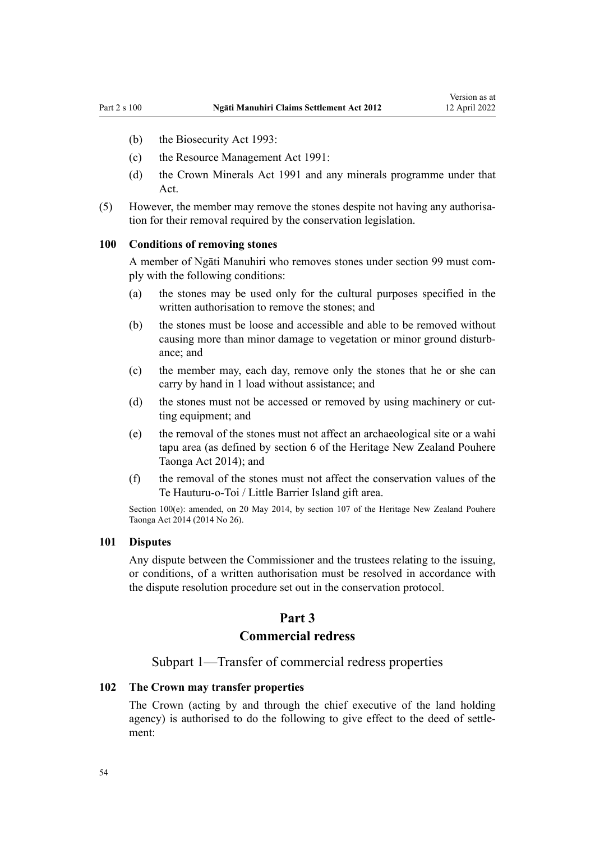- <span id="page-53-0"></span>(b) the [Biosecurity Act 1993:](http://legislation.govt.nz/pdflink.aspx?id=DLM314622)
- (c) the [Resource Management Act 1991](http://legislation.govt.nz/pdflink.aspx?id=DLM230264):
- (d) the [Crown Minerals Act 1991](http://legislation.govt.nz/pdflink.aspx?id=DLM242535) and any minerals programme under that Act.
- (5) However, the member may remove the stones despite not having any authorisa‐ tion for their removal required by the conservation legislation.

#### **100 Conditions of removing stones**

A member of Ngāti Manuhiri who removes stones under [section 99](#page-52-0) must com‐ ply with the following conditions:

- (a) the stones may be used only for the cultural purposes specified in the written authorisation to remove the stones; and
- (b) the stones must be loose and accessible and able to be removed without causing more than minor damage to vegetation or minor ground disturb‐ ance; and
- (c) the member may, each day, remove only the stones that he or she can carry by hand in 1 load without assistance; and
- (d) the stones must not be accessed or removed by using machinery or cutting equipment; and
- (e) the removal of the stones must not affect an archaeological site or a wahi tapu area (as defined by [section 6](http://legislation.govt.nz/pdflink.aspx?id=DLM4005423) of the Heritage New Zealand Pouhere Taonga Act 2014); and
- (f) the removal of the stones must not affect the conservation values of the Te Hauturu-o-Toi / Little Barrier Island gift area.

Section 100(e): amended, on 20 May 2014, by [section 107](http://legislation.govt.nz/pdflink.aspx?id=DLM4005646) of the Heritage New Zealand Pouhere Taonga Act 2014 (2014 No 26).

#### **101 Disputes**

Any dispute between the Commissioner and the trustees relating to the issuing, or conditions, of a written authorisation must be resolved in accordance with the dispute resolution procedure set out in the conservation protocol.

# **Part 3**

# **Commercial redress**

Subpart 1—Transfer of commercial redress properties

# **102 The Crown may transfer properties**

The Crown (acting by and through the chief executive of the land holding agency) is authorised to do the following to give effect to the deed of settlement: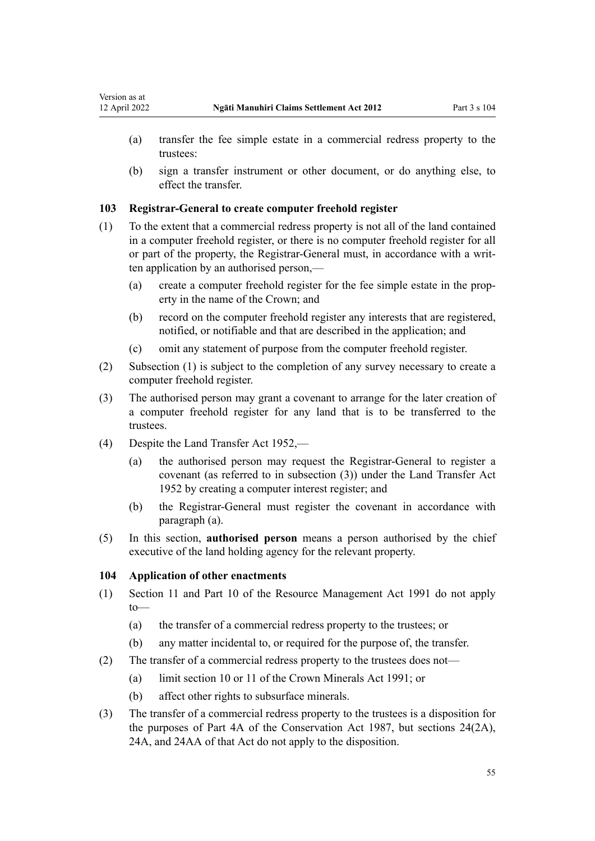- (a) transfer the fee simple estate in a commercial redress property to the trustees:
- (b) sign a transfer instrument or other document, or do anything else, to effect the transfer.

## **103 Registrar-General to create computer freehold register**

- (1) To the extent that a commercial redress property is not all of the land contained in a computer freehold register, or there is no computer freehold register for all or part of the property, the Registrar-General must, in accordance with a writ‐ ten application by an authorised person,—
	- (a) create a computer freehold register for the fee simple estate in the prop‐ erty in the name of the Crown; and
	- (b) record on the computer freehold register any interests that are registered, notified, or notifiable and that are described in the application; and
	- (c) omit any statement of purpose from the computer freehold register.
- (2) Subsection (1) is subject to the completion of any survey necessary to create a computer freehold register.
- (3) The authorised person may grant a covenant to arrange for the later creation of a computer freehold register for any land that is to be transferred to the trustees.
- (4) Despite the [Land Transfer Act 1952,](http://legislation.govt.nz/pdflink.aspx?id=DLM269031)
	- (a) the authorised person may request the Registrar-General to register a covenant (as referred to in subsection (3)) under the [Land Transfer Act](http://legislation.govt.nz/pdflink.aspx?id=DLM269031) [1952](http://legislation.govt.nz/pdflink.aspx?id=DLM269031) by creating a computer interest register; and
	- (b) the Registrar-General must register the covenant in accordance with paragraph (a).
- (5) In this section, **authorised person** means a person authorised by the chief executive of the land holding agency for the relevant property.

# **104 Application of other enactments**

- (1) [Section 11](http://legislation.govt.nz/pdflink.aspx?id=DLM231942) and [Part 10](http://legislation.govt.nz/pdflink.aspx?id=DLM236786) of the Resource Management Act 1991 do not apply to—
	- (a) the transfer of a commercial redress property to the trustees; or
	- (b) any matter incidental to, or required for the purpose of, the transfer.
- (2) The transfer of a commercial redress property to the trustees does not—
	- (a) limit [section 10](http://legislation.govt.nz/pdflink.aspx?id=DLM246310) or [11](http://legislation.govt.nz/pdflink.aspx?id=DLM246311) of the Crown Minerals Act 1991; or
	- (b) affect other rights to subsurface minerals.
- (3) The transfer of a commercial redress property to the trustees is a disposition for the purposes of [Part 4A](http://legislation.govt.nz/pdflink.aspx?id=DLM104697) of the Conservation Act 1987, but [sections 24\(2A\)](http://legislation.govt.nz/pdflink.aspx?id=DLM104699), [24A](http://legislation.govt.nz/pdflink.aspx?id=DLM104910), and [24AA](http://legislation.govt.nz/pdflink.aspx?id=DLM104914) of that Act do not apply to the disposition.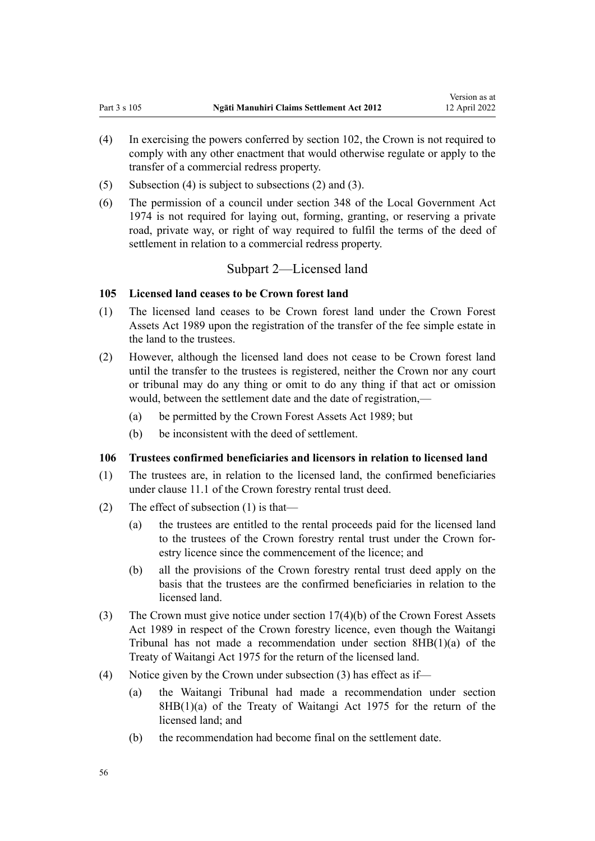- (4) In exercising the powers conferred by [section 102,](#page-53-0) the Crown is not required to comply with any other enactment that would otherwise regulate or apply to the transfer of a commercial redress property.
- (5) Subsection (4) is subject to subsections (2) and (3).
- (6) The permission of a council under [section 348](http://legislation.govt.nz/pdflink.aspx?id=DLM420676) of the Local Government Act 1974 is not required for laying out, forming, granting, or reserving a private road, private way, or right of way required to fulfil the terms of the deed of settlement in relation to a commercial redress property.

# Subpart 2—Licensed land

#### **105 Licensed land ceases to be Crown forest land**

- (1) The licensed land ceases to be Crown forest land under the [Crown Forest](http://legislation.govt.nz/pdflink.aspx?id=DLM191768) [Assets Act 1989](http://legislation.govt.nz/pdflink.aspx?id=DLM191768) upon the registration of the transfer of the fee simple estate in the land to the trustees.
- (2) However, although the licensed land does not cease to be Crown forest land until the transfer to the trustees is registered, neither the Crown nor any court or tribunal may do any thing or omit to do any thing if that act or omission would, between the settlement date and the date of registration,—
	- (a) be permitted by the [Crown Forest Assets Act 1989](http://legislation.govt.nz/pdflink.aspx?id=DLM191768); but
	- (b) be inconsistent with the deed of settlement.

#### **106 Trustees confirmed beneficiaries and licensors in relation to licensed land**

- (1) The trustees are, in relation to the licensed land, the confirmed beneficiaries under clause 11.1 of the Crown forestry rental trust deed.
- (2) The effect of subsection (1) is that—
	- (a) the trustees are entitled to the rental proceeds paid for the licensed land to the trustees of the Crown forestry rental trust under the Crown for‐ estry licence since the commencement of the licence; and
	- (b) all the provisions of the Crown forestry rental trust deed apply on the basis that the trustees are the confirmed beneficiaries in relation to the licensed land.
- (3) The Crown must give notice under [section 17\(4\)\(b\)](http://legislation.govt.nz/pdflink.aspx?id=DLM192331) of the Crown Forest Assets Act 1989 in respect of the Crown forestry licence, even though the Waitangi Tribunal has not made a recommendation under section  $8HB(1)(a)$  of the Treaty of Waitangi Act 1975 for the return of the licensed land.
- (4) Notice given by the Crown under subsection (3) has effect as if—
	- (a) the Waitangi Tribunal had made a recommendation under [section](http://legislation.govt.nz/pdflink.aspx?id=DLM435597)  $8HB(1)(a)$  of the Treaty of Waitangi Act 1975 for the return of the licensed land; and
	- (b) the recommendation had become final on the settlement date.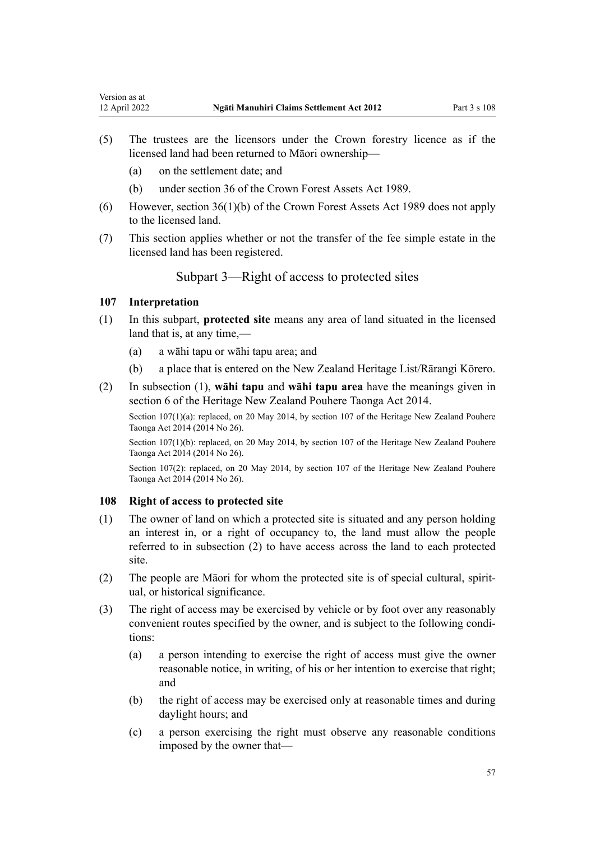- (a) on the settlement date; and
- (b) under section 36 of the [Crown Forest Assets Act 1989.](http://legislation.govt.nz/pdflink.aspx?id=DLM191768)
- (6) However, [section 36\(1\)\(b\)](http://legislation.govt.nz/pdflink.aspx?id=DLM192358) of the Crown Forest Assets Act 1989 does not apply to the licensed land.
- (7) This section applies whether or not the transfer of the fee simple estate in the licensed land has been registered.

# Subpart 3—Right of access to protected sites

#### **107 Interpretation**

<span id="page-56-0"></span>Version as at

- (1) In this subpart, **protected site** means any area of land situated in the licensed land that is, at any time,—
	- (a) a wāhi tapu or wāhi tapu area; and
	- (b) a place that is entered on the New Zealand Heritage List/Rārangi Kōrero.
- (2) In subsection (1), **wāhi tapu** and **wāhi tapu area** have the meanings given in [section 6](http://legislation.govt.nz/pdflink.aspx?id=DLM4005423) of the Heritage New Zealand Pouhere Taonga Act 2014.

Section 107(1)(a): replaced, on 20 May 2014, by [section 107](http://legislation.govt.nz/pdflink.aspx?id=DLM4005646) of the Heritage New Zealand Pouhere Taonga Act 2014 (2014 No 26).

Section 107(1)(b): replaced, on 20 May 2014, by [section 107](http://legislation.govt.nz/pdflink.aspx?id=DLM4005646) of the Heritage New Zealand Pouhere Taonga Act 2014 (2014 No 26).

Section 107(2): replaced, on 20 May 2014, by [section 107](http://legislation.govt.nz/pdflink.aspx?id=DLM4005646) of the Heritage New Zealand Pouhere Taonga Act 2014 (2014 No 26).

#### **108 Right of access to protected site**

- (1) The owner of land on which a protected site is situated and any person holding an interest in, or a right of occupancy to, the land must allow the people referred to in subsection (2) to have access across the land to each protected site.
- (2) The people are Māori for whom the protected site is of special cultural, spirit‐ ual, or historical significance.
- (3) The right of access may be exercised by vehicle or by foot over any reasonably convenient routes specified by the owner, and is subject to the following conditions:
	- (a) a person intending to exercise the right of access must give the owner reasonable notice, in writing, of his or her intention to exercise that right; and
	- (b) the right of access may be exercised only at reasonable times and during daylight hours; and
	- (c) a person exercising the right must observe any reasonable conditions imposed by the owner that—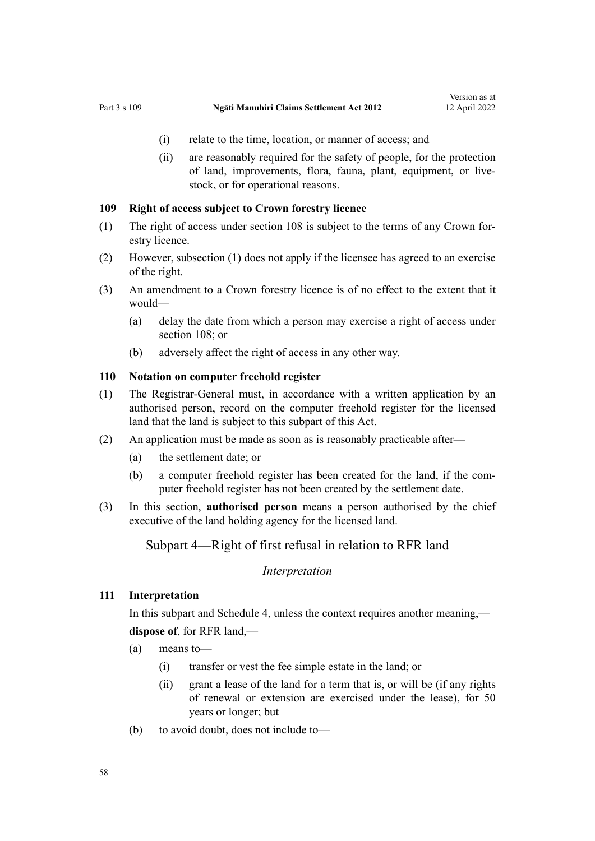- (i) relate to the time, location, or manner of access; and
- (ii) are reasonably required for the safety of people, for the protection of land, improvements, flora, fauna, plant, equipment, or livestock, or for operational reasons.

#### **109 Right of access subject to Crown forestry licence**

- (1) The right of access under [section 108](#page-56-0) is subject to the terms of any Crown for‐ estry licence.
- (2) However, subsection (1) does not apply if the licensee has agreed to an exercise of the right.
- (3) An amendment to a Crown forestry licence is of no effect to the extent that it would—
	- (a) delay the date from which a person may exercise a right of access under [section 108;](#page-56-0) or
	- (b) adversely affect the right of access in any other way.

### **110 Notation on computer freehold register**

- (1) The Registrar-General must, in accordance with a written application by an authorised person, record on the computer freehold register for the licensed land that the land is subject to this subpart of this Act.
- (2) An application must be made as soon as is reasonably practicable after—
	- (a) the settlement date; or
	- (b) a computer freehold register has been created for the land, if the computer freehold register has not been created by the settlement date.
- (3) In this section, **authorised person** means a person authorised by the chief executive of the land holding agency for the licensed land.

## Subpart 4—Right of first refusal in relation to RFR land

#### *Interpretation*

### **111 Interpretation**

In this subpart and [Schedule 4](#page-73-0), unless the context requires another meaning,—

## **dispose of**, for RFR land,—

- (a) means to—
	- (i) transfer or vest the fee simple estate in the land; or
	- (ii) grant a lease of the land for a term that is, or will be (if any rights of renewal or extension are exercised under the lease), for 50 years or longer; but
- (b) to avoid doubt, does not include to—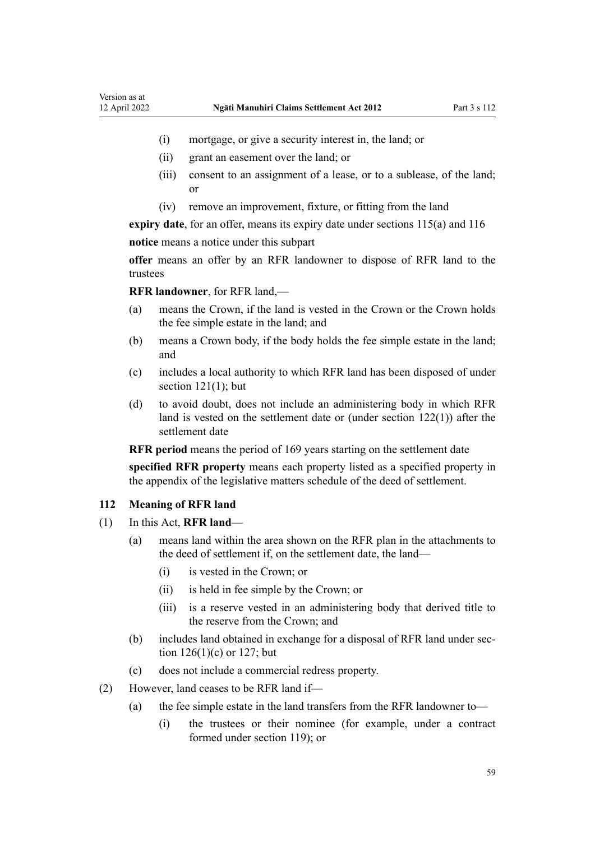- <span id="page-58-0"></span>(i) mortgage, or give a security interest in, the land; or
- (ii) grant an easement over the land; or
- (iii) consent to an assignment of a lease, or to a sublease, of the land; or
- (iv) remove an improvement, fixture, or fitting from the land

**expiry date**, for an offer, means its expiry date under [sections 115\(a\)](#page-60-0) and [116](#page-60-0) **notice** means a notice under this subpart

**offer** means an offer by an RFR landowner to dispose of RFR land to the trustees

**RFR landowner**, for RFR land,—

- (a) means the Crown, if the land is vested in the Crown or the Crown holds the fee simple estate in the land; and
- (b) means a Crown body, if the body holds the fee simple estate in the land; and
- (c) includes a local authority to which RFR land has been disposed of under section  $121(1)$ ; but
- (d) to avoid doubt, does not include an administering body in which RFR land is vested on the settlement date or (under [section 122\(1\)](#page-61-0)) after the settlement date

**RFR period** means the period of 169 years starting on the settlement date

**specified RFR property** means each property listed as a specified property in the appendix of the legislative matters schedule of the deed of settlement.

#### **112 Meaning of RFR land**

- (1) In this Act, **RFR land**
	- (a) means land within the area shown on the RFR plan in the attachments to the deed of settlement if, on the settlement date, the land—
		- (i) is vested in the Crown; or
		- (ii) is held in fee simple by the Crown; or
		- (iii) is a reserve vested in an administering body that derived title to the reserve from the Crown; and
	- (b) includes land obtained in exchange for a disposal of RFR land under sec[tion 126\(1\)\(c\)](#page-62-0) or [127;](#page-63-0) but
	- (c) does not include a commercial redress property.
- (2) However, land ceases to be RFR land if—
	- (a) the fee simple estate in the land transfers from the RFR landowner to—
		- (i) the trustees or their nominee (for example, under a contract formed under [section 119\)](#page-60-0); or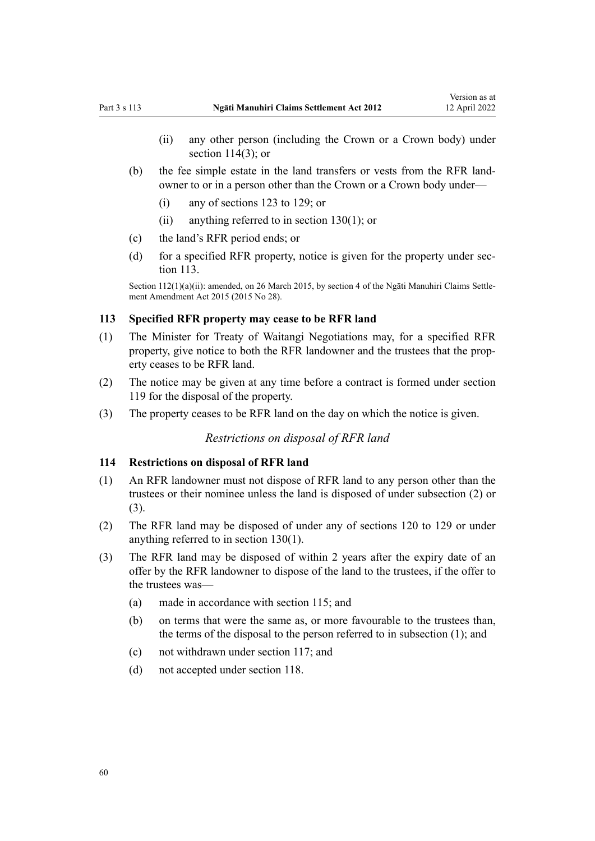- <span id="page-59-0"></span>(ii) any other person (including the Crown or a Crown body) under section 114(3); or
- (b) the fee simple estate in the land transfers or vests from the RFR land‐ owner to or in a person other than the Crown or a Crown body under—
	- (i) any of [sections 123 to 129](#page-62-0); or
	- (ii) anything referred to in [section 130\(1\)](#page-63-0); or
- (c) the land's RFR period ends; or
- (d) for a specified RFR property, notice is given for the property under section 113.

Section 112(1)(a)(ii): amended, on 26 March 2015, by [section 4](http://legislation.govt.nz/pdflink.aspx?id=DLM6404308) of the Ngāti Manuhiri Claims Settlement Amendment Act 2015 (2015 No 28).

#### **113 Specified RFR property may cease to be RFR land**

- (1) The Minister for Treaty of Waitangi Negotiations may, for a specified RFR property, give notice to both the RFR landowner and the trustees that the prop‐ erty ceases to be RFR land.
- (2) The notice may be given at any time before a contract is formed under [section](#page-60-0) [119](#page-60-0) for the disposal of the property.
- (3) The property ceases to be RFR land on the day on which the notice is given.

#### *Restrictions on disposal of RFR land*

#### **114 Restrictions on disposal of RFR land**

- (1) An RFR landowner must not dispose of RFR land to any person other than the trustees or their nominee unless the land is disposed of under subsection (2) or (3).
- (2) The RFR land may be disposed of under any of [sections 120 to 129](#page-61-0) or under anything referred to in [section 130\(1\)](#page-63-0).
- (3) The RFR land may be disposed of within 2 years after the expiry date of an offer by the RFR landowner to dispose of the land to the trustees, if the offer to the trustees was—
	- (a) made in accordance with [section 115;](#page-60-0) and
	- (b) on terms that were the same as, or more favourable to the trustees than, the terms of the disposal to the person referred to in subsection (1); and
	- (c) not withdrawn under [section 117](#page-60-0); and
	- (d) not accepted under [section 118](#page-60-0).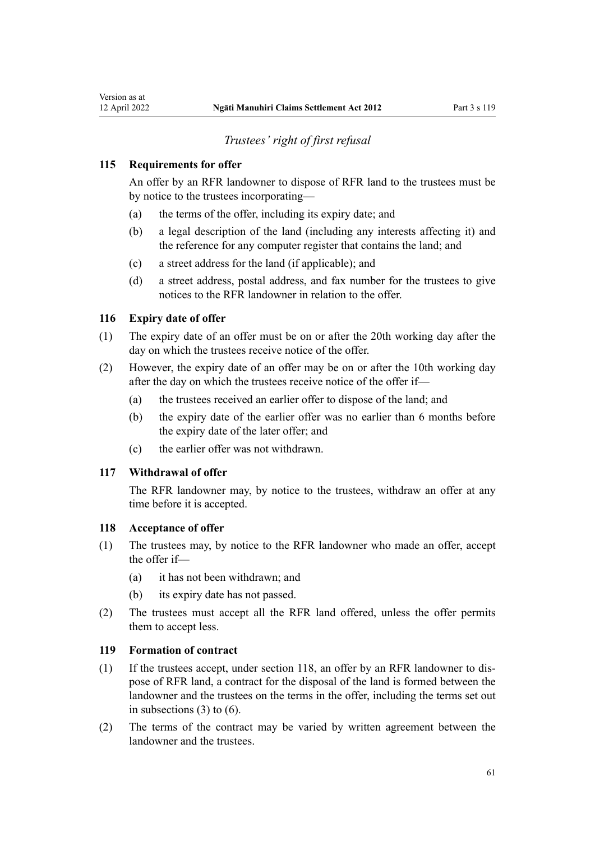# *Trustees' right of first refusal*

## <span id="page-60-0"></span>**115 Requirements for offer**

An offer by an RFR landowner to dispose of RFR land to the trustees must be by notice to the trustees incorporating—

- (a) the terms of the offer, including its expiry date; and
- (b) a legal description of the land (including any interests affecting it) and the reference for any computer register that contains the land; and
- (c) a street address for the land (if applicable); and
- (d) a street address, postal address, and fax number for the trustees to give notices to the RFR landowner in relation to the offer.

#### **116 Expiry date of offer**

- (1) The expiry date of an offer must be on or after the 20th working day after the day on which the trustees receive notice of the offer.
- (2) However, the expiry date of an offer may be on or after the 10th working day after the day on which the trustees receive notice of the offer if—
	- (a) the trustees received an earlier offer to dispose of the land; and
	- (b) the expiry date of the earlier offer was no earlier than 6 months before the expiry date of the later offer; and
	- (c) the earlier offer was not withdrawn.

#### **117 Withdrawal of offer**

The RFR landowner may, by notice to the trustees, withdraw an offer at any time before it is accepted.

#### **118 Acceptance of offer**

- (1) The trustees may, by notice to the RFR landowner who made an offer, accept the offer if—
	- (a) it has not been withdrawn; and
	- (b) its expiry date has not passed.
- (2) The trustees must accept all the RFR land offered, unless the offer permits them to accept less.

#### **119 Formation of contract**

- (1) If the trustees accept, under section 118, an offer by an RFR landowner to dis‐ pose of RFR land, a contract for the disposal of the land is formed between the landowner and the trustees on the terms in the offer, including the terms set out in subsections (3) to (6).
- (2) The terms of the contract may be varied by written agreement between the landowner and the trustees.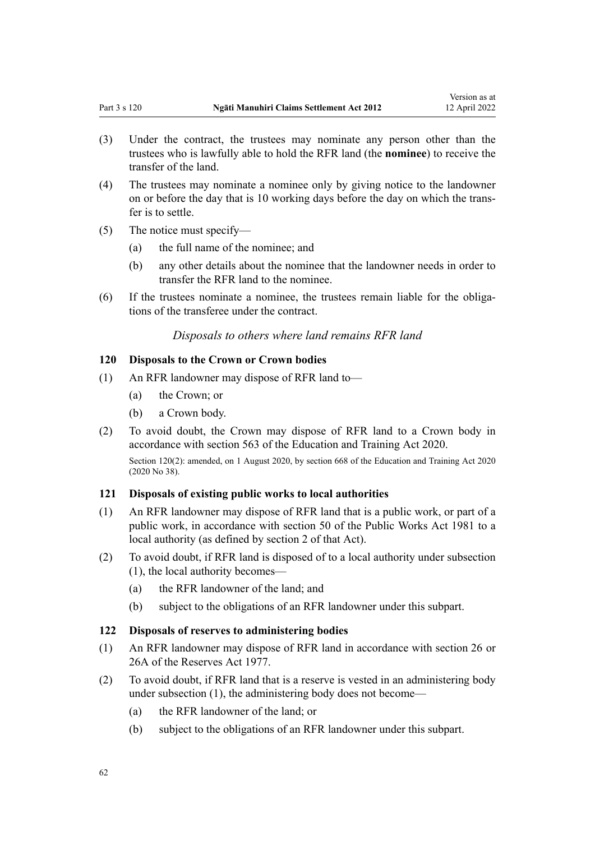- <span id="page-61-0"></span>(3) Under the contract, the trustees may nominate any person other than the trustees who is lawfully able to hold the RFR land (the **nominee**) to receive the transfer of the land.
- (4) The trustees may nominate a nominee only by giving notice to the landowner on or before the day that is 10 working days before the day on which the trans‐ fer is to settle.
- (5) The notice must specify—
	- (a) the full name of the nominee; and
	- (b) any other details about the nominee that the landowner needs in order to transfer the RFR land to the nominee.
- (6) If the trustees nominate a nominee, the trustees remain liable for the obliga‐ tions of the transferee under the contract.

*Disposals to others where land remains RFR land*

#### **120 Disposals to the Crown or Crown bodies**

- (1) An RFR landowner may dispose of RFR land to—
	- (a) the Crown; or
	- (b) a Crown body.
- (2) To avoid doubt, the Crown may dispose of RFR land to a Crown body in accordance with [section 563](http://legislation.govt.nz/pdflink.aspx?id=LMS172541) of the Education and Training Act 2020.

Section 120(2): amended, on 1 August 2020, by [section 668](http://legislation.govt.nz/pdflink.aspx?id=LMS367713) of the Education and Training Act 2020 (2020 No 38).

## **121 Disposals of existing public works to local authorities**

- (1) An RFR landowner may dispose of RFR land that is a public work, or part of a public work, in accordance with [section 50](http://legislation.govt.nz/pdflink.aspx?id=DLM46305) of the Public Works Act 1981 to a local authority (as defined by [section 2](http://legislation.govt.nz/pdflink.aspx?id=DLM45433) of that Act).
- (2) To avoid doubt, if RFR land is disposed of to a local authority under subsection (1), the local authority becomes—
	- (a) the RFR landowner of the land; and
	- (b) subject to the obligations of an RFR landowner under this subpart.

#### **122 Disposals of reserves to administering bodies**

- (1) An RFR landowner may dispose of RFR land in accordance with [section 26](http://legislation.govt.nz/pdflink.aspx?id=DLM444650) or [26A](http://legislation.govt.nz/pdflink.aspx?id=DLM444652) of the Reserves Act 1977.
- (2) To avoid doubt, if RFR land that is a reserve is vested in an administering body under subsection (1), the administering body does not become—
	- (a) the RFR landowner of the land; or
	- (b) subject to the obligations of an RFR landowner under this subpart.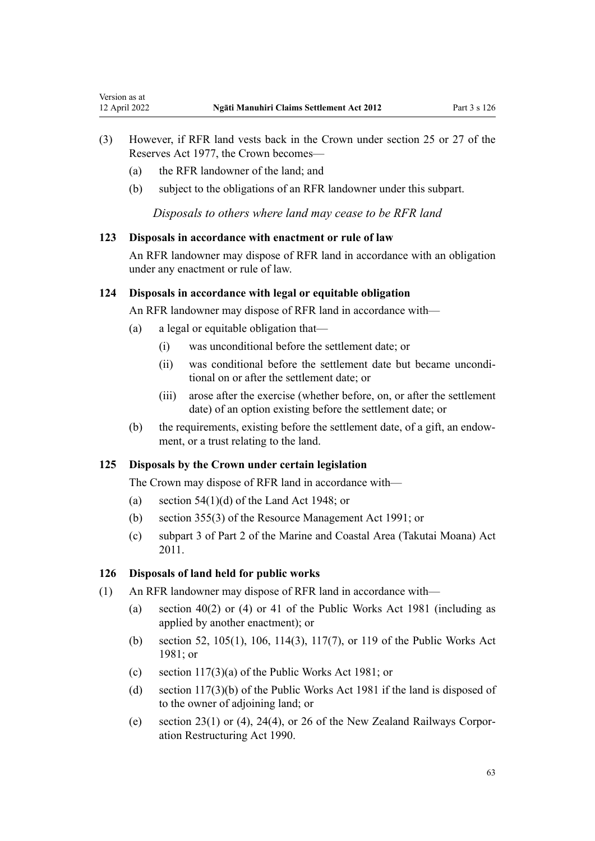- (3) However, if RFR land vests back in the Crown under [section 25](http://legislation.govt.nz/pdflink.aspx?id=DLM444648) or [27](http://legislation.govt.nz/pdflink.aspx?id=DLM444654) of the Reserves Act 1977, the Crown becomes—
	- (a) the RFR landowner of the land; and

<span id="page-62-0"></span>Version as at<br>12 April 2022

(b) subject to the obligations of an RFR landowner under this subpart.

*Disposals to others where land may cease to be RFR land*

#### **123 Disposals in accordance with enactment or rule of law**

An RFR landowner may dispose of RFR land in accordance with an obligation under any enactment or rule of law.

## **124 Disposals in accordance with legal or equitable obligation**

An RFR landowner may dispose of RFR land in accordance with—

- (a) a legal or equitable obligation that—
	- (i) was unconditional before the settlement date; or
	- (ii) was conditional before the settlement date but became uncondi‐ tional on or after the settlement date; or
	- (iii) arose after the exercise (whether before, on, or after the settlement date) of an option existing before the settlement date; or
- (b) the requirements, existing before the settlement date, of a gift, an endowment, or a trust relating to the land.

## **125 Disposals by the Crown under certain legislation**

The Crown may dispose of RFR land in accordance with—

- (a) section  $54(1)(d)$  of the Land Act 1948; or
- (b) [section 355\(3\)](http://legislation.govt.nz/pdflink.aspx?id=DLM239322) of the Resource Management Act 1991; or
- (c) [subpart 3](http://legislation.govt.nz/pdflink.aspx?id=DLM3213310) of Part 2 of the Marine and Coastal Area (Takutai Moana) Act 2011.

#### **126 Disposals of land held for public works**

- (1) An RFR landowner may dispose of RFR land in accordance with
	- (a) [section 40\(2\) or \(4\)](http://legislation.govt.nz/pdflink.aspx?id=DLM46055) or [41](http://legislation.govt.nz/pdflink.aspx?id=DLM46068) of the Public Works Act 1981 (including as applied by another enactment); or
	- (b) [section 52,](http://legislation.govt.nz/pdflink.aspx?id=DLM46307) [105\(1\)](http://legislation.govt.nz/pdflink.aspx?id=DLM46966), [106](http://legislation.govt.nz/pdflink.aspx?id=DLM46968), [114\(3\),](http://legislation.govt.nz/pdflink.aspx?id=DLM47315) [117\(7\),](http://legislation.govt.nz/pdflink.aspx?id=DLM47324) or [119](http://legislation.govt.nz/pdflink.aspx?id=DLM47332) of the Public Works Act 1981; or
	- (c) [section 117\(3\)\(a\)](http://legislation.govt.nz/pdflink.aspx?id=DLM47324) of the Public Works Act 1981; or
	- (d) [section 117\(3\)\(b\)](http://legislation.govt.nz/pdflink.aspx?id=DLM47324) of the Public Works Act 1981 if the land is disposed of to the owner of adjoining land; or
	- (e) [section 23\(1\) or \(4\)](http://legislation.govt.nz/pdflink.aspx?id=DLM223118), [24\(4\),](http://legislation.govt.nz/pdflink.aspx?id=DLM223119) or [26](http://legislation.govt.nz/pdflink.aspx?id=DLM223131) of the New Zealand Railways Corporation Restructuring Act 1990.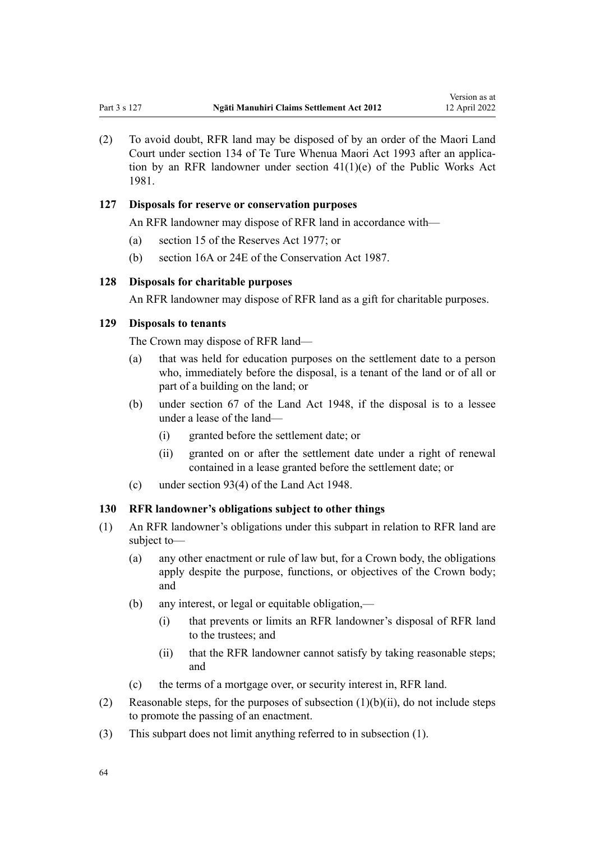<span id="page-63-0"></span>(2) To avoid doubt, RFR land may be disposed of by an order of the Maori Land Court under [section 134](http://legislation.govt.nz/pdflink.aspx?id=DLM291297) of Te Ture Whenua Maori Act 1993 after an applica‐ tion by an RFR landowner under [section 41\(1\)\(e\)](http://legislation.govt.nz/pdflink.aspx?id=DLM46068) of the Public Works Act 1981.

## **127 Disposals for reserve or conservation purposes**

An RFR landowner may dispose of RFR land in accordance with—

- (a) [section 15](http://legislation.govt.nz/pdflink.aspx?id=DLM444484) of the Reserves Act 1977; or
- (b) [section 16A](http://legislation.govt.nz/pdflink.aspx?id=DLM104281) or [24E](http://legislation.govt.nz/pdflink.aspx?id=DLM104933) of the Conservation Act 1987.

## **128 Disposals for charitable purposes**

An RFR landowner may dispose of RFR land as a gift for charitable purposes.

## **129 Disposals to tenants**

The Crown may dispose of RFR land—

- (a) that was held for education purposes on the settlement date to a person who, immediately before the disposal, is a tenant of the land or of all or part of a building on the land; or
- (b) under [section 67](http://legislation.govt.nz/pdflink.aspx?id=DLM251778) of the Land Act 1948, if the disposal is to a lessee under a lease of the land—
	- (i) granted before the settlement date; or
	- (ii) granted on or after the settlement date under a right of renewal contained in a lease granted before the settlement date; or
- (c) under [section 93\(4\)](http://legislation.govt.nz/pdflink.aspx?id=DLM252152) of the Land Act 1948.

## **130 RFR landowner's obligations subject to other things**

- (1) An RFR landowner's obligations under this subpart in relation to RFR land are subject to—
	- (a) any other enactment or rule of law but, for a Crown body, the obligations apply despite the purpose, functions, or objectives of the Crown body; and
	- (b) any interest, or legal or equitable obligation,—
		- (i) that prevents or limits an RFR landowner's disposal of RFR land to the trustees; and
		- (ii) that the RFR landowner cannot satisfy by taking reasonable steps; and
	- (c) the terms of a mortgage over, or security interest in, RFR land.
- (2) Reasonable steps, for the purposes of subsection  $(1)(b)(ii)$ , do not include steps to promote the passing of an enactment.
- (3) This subpart does not limit anything referred to in subsection (1).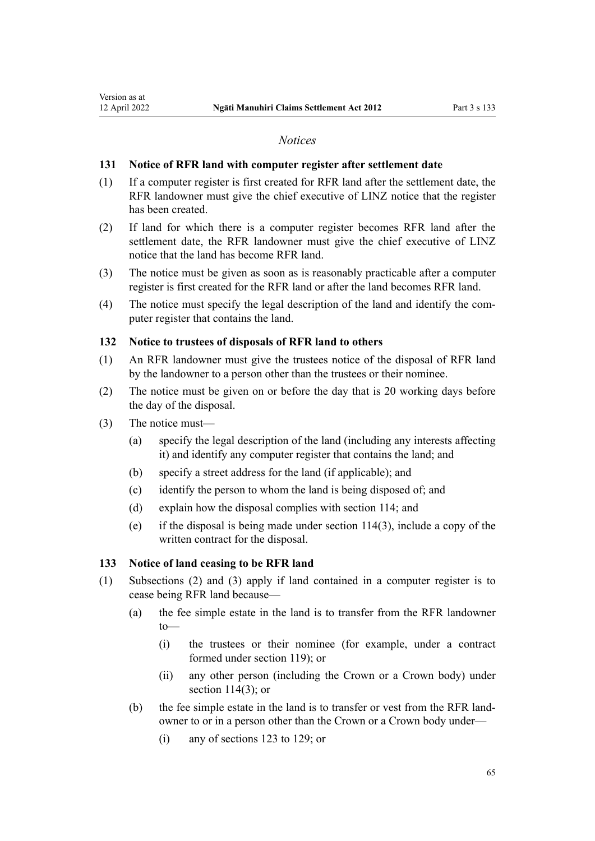#### *Notices*

#### <span id="page-64-0"></span>**131 Notice of RFR land with computer register after settlement date**

- (1) If a computer register is first created for RFR land after the settlement date, the RFR landowner must give the chief executive of LINZ notice that the register has been created.
- (2) If land for which there is a computer register becomes RFR land after the settlement date, the RFR landowner must give the chief executive of LINZ notice that the land has become RFR land.
- (3) The notice must be given as soon as is reasonably practicable after a computer register is first created for the RFR land or after the land becomes RFR land.
- (4) The notice must specify the legal description of the land and identify the com‐ puter register that contains the land.

#### **132 Notice to trustees of disposals of RFR land to others**

- (1) An RFR landowner must give the trustees notice of the disposal of RFR land by the landowner to a person other than the trustees or their nominee.
- (2) The notice must be given on or before the day that is 20 working days before the day of the disposal.
- (3) The notice must—
	- (a) specify the legal description of the land (including any interests affecting it) and identify any computer register that contains the land; and
	- (b) specify a street address for the land (if applicable); and
	- (c) identify the person to whom the land is being disposed of; and
	- (d) explain how the disposal complies with [section 114](#page-59-0); and
	- (e) if the disposal is being made under [section 114\(3\),](#page-59-0) include a copy of the written contract for the disposal.

## **133 Notice of land ceasing to be RFR land**

- (1) Subsections (2) and (3) apply if land contained in a computer register is to cease being RFR land because—
	- (a) the fee simple estate in the land is to transfer from the RFR landowner  $t$ <sup> $\sim$ </sup>
		- (i) the trustees or their nominee (for example, under a contract formed under [section 119\)](#page-60-0); or
		- (ii) any other person (including the Crown or a Crown body) under section  $114(3)$ ; or
	- (b) the fee simple estate in the land is to transfer or vest from the RFR land‐ owner to or in a person other than the Crown or a Crown body under—
		- (i) any of [sections 123 to 129](#page-62-0); or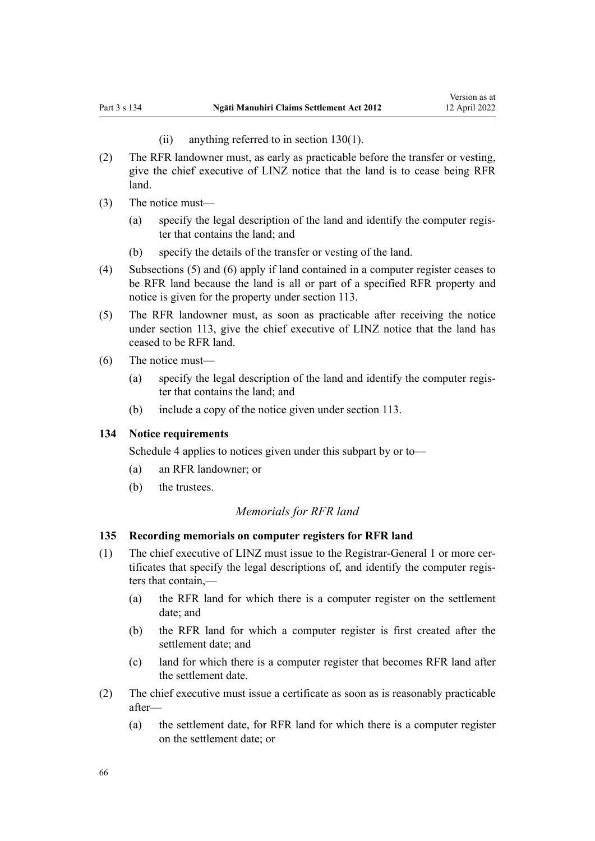(ii) anything referred to in [section 130\(1\)](#page-63-0).

- <span id="page-65-0"></span>(2) The RFR landowner must, as early as practicable before the transfer or vesting, give the chief executive of LINZ notice that the land is to cease being RFR land.
- (3) The notice must—
	- (a) specify the legal description of the land and identify the computer regis‐ ter that contains the land; and
	- (b) specify the details of the transfer or vesting of the land.
- (4) Subsections (5) and (6) apply if land contained in a computer register ceases to be RFR land because the land is all or part of a specified RFR property and notice is given for the property under [section 113.](#page-59-0)
- (5) The RFR landowner must, as soon as practicable after receiving the notice under [section 113,](#page-59-0) give the chief executive of LINZ notice that the land has ceased to be RFR land.
- (6) The notice must—
	- (a) specify the legal description of the land and identify the computer regis‐ ter that contains the land; and
	- (b) include a copy of the notice given under [section 113](#page-59-0).

#### **134 Notice requirements**

[Schedule 4](#page-73-0) applies to notices given under this subpart by or to—

- (a) an RFR landowner; or
- (b) the trustees.

## *Memorials for RFR land*

#### **135 Recording memorials on computer registers for RFR land**

- (1) The chief executive of LINZ must issue to the Registrar-General 1 or more cer‐ tificates that specify the legal descriptions of, and identify the computer regis‐ ters that contain,—
	- (a) the RFR land for which there is a computer register on the settlement date; and
	- (b) the RFR land for which a computer register is first created after the settlement date; and
	- (c) land for which there is a computer register that becomes RFR land after the settlement date.
- (2) The chief executive must issue a certificate as soon as is reasonably practicable after—
	- (a) the settlement date, for RFR land for which there is a computer register on the settlement date; or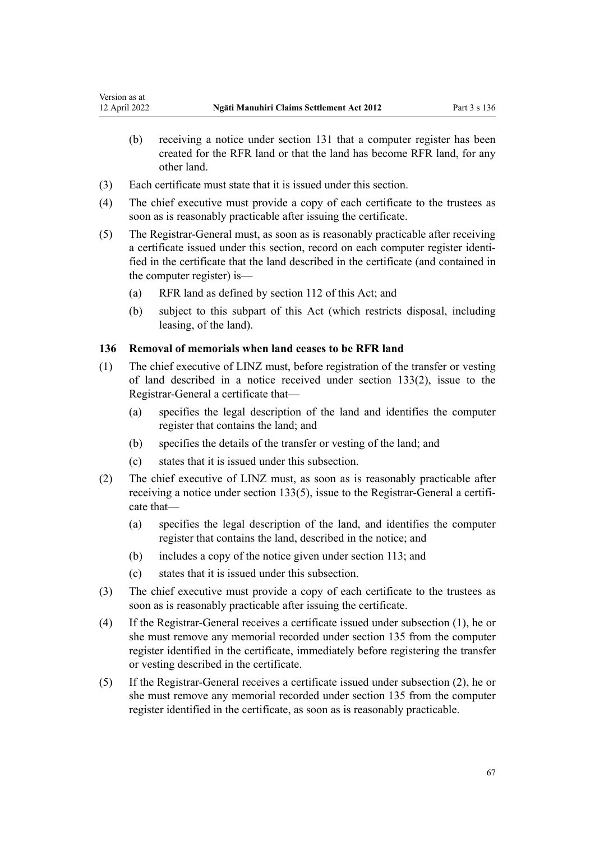- (b) receiving a notice under [section 131](#page-64-0) that a computer register has been created for the RFR land or that the land has become RFR land, for any other land.
- (3) Each certificate must state that it is issued under this section.
- (4) The chief executive must provide a copy of each certificate to the trustees as soon as is reasonably practicable after issuing the certificate.
- (5) The Registrar-General must, as soon as is reasonably practicable after receiving a certificate issued under this section, record on each computer register identified in the certificate that the land described in the certificate (and contained in the computer register) is—
	- (a) RFR land as defined by [section 112](#page-58-0) of this Act; and
	- (b) subject to this subpart of this Act (which restricts disposal, including leasing, of the land).

## **136 Removal of memorials when land ceases to be RFR land**

- (1) The chief executive of LINZ must, before registration of the transfer or vesting of land described in a notice received under [section 133\(2\),](#page-64-0) issue to the Registrar-General a certificate that—
	- (a) specifies the legal description of the land and identifies the computer register that contains the land; and
	- (b) specifies the details of the transfer or vesting of the land; and
	- (c) states that it is issued under this subsection.
- (2) The chief executive of LINZ must, as soon as is reasonably practicable after receiving a notice under [section 133\(5\)](#page-64-0), issue to the Registrar-General a certificate that—
	- (a) specifies the legal description of the land, and identifies the computer register that contains the land, described in the notice; and
	- (b) includes a copy of the notice given under [section 113;](#page-59-0) and
	- (c) states that it is issued under this subsection.
- (3) The chief executive must provide a copy of each certificate to the trustees as soon as is reasonably practicable after issuing the certificate.
- (4) If the Registrar-General receives a certificate issued under subsection (1), he or she must remove any memorial recorded under [section 135](#page-65-0) from the computer register identified in the certificate, immediately before registering the transfer or vesting described in the certificate.
- (5) If the Registrar-General receives a certificate issued under subsection (2), he or she must remove any memorial recorded under [section 135](#page-65-0) from the computer register identified in the certificate, as soon as is reasonably practicable.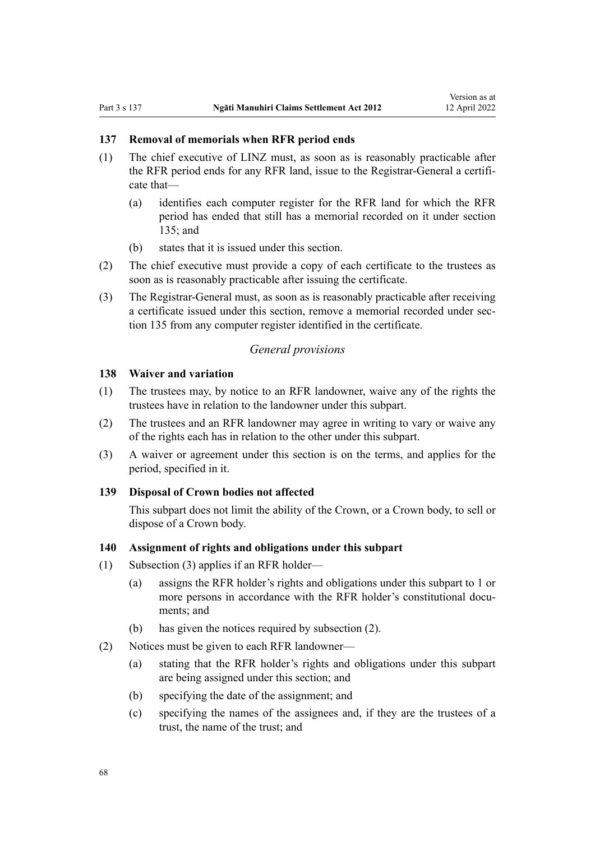#### **137 Removal of memorials when RFR period ends**

- (1) The chief executive of LINZ must, as soon as is reasonably practicable after the RFR period ends for any RFR land, issue to the Registrar-General a certifi‐ cate that—
	- (a) identifies each computer register for the RFR land for which the RFR period has ended that still has a memorial recorded on it under [section](#page-65-0) [135](#page-65-0); and
	- (b) states that it is issued under this section.
- (2) The chief executive must provide a copy of each certificate to the trustees as soon as is reasonably practicable after issuing the certificate.
- (3) The Registrar-General must, as soon as is reasonably practicable after receiving a certificate issued under this section, remove a memorial recorded under sec[tion 135](#page-65-0) from any computer register identified in the certificate.

## *General provisions*

## **138 Waiver and variation**

- (1) The trustees may, by notice to an RFR landowner, waive any of the rights the trustees have in relation to the landowner under this subpart.
- (2) The trustees and an RFR landowner may agree in writing to vary or waive any of the rights each has in relation to the other under this subpart.
- (3) A waiver or agreement under this section is on the terms, and applies for the period, specified in it.

#### **139 Disposal of Crown bodies not affected**

This subpart does not limit the ability of the Crown, or a Crown body, to sell or dispose of a Crown body.

#### **140 Assignment of rights and obligations under this subpart**

- (1) Subsection (3) applies if an RFR holder—
	- (a) assigns the RFR holder's rights and obligations under this subpart to 1 or more persons in accordance with the RFR holder's constitutional documents; and
	- (b) has given the notices required by subsection (2).
- (2) Notices must be given to each RFR landowner—
	- (a) stating that the RFR holder's rights and obligations under this subpart are being assigned under this section; and
	- (b) specifying the date of the assignment; and
	- (c) specifying the names of the assignees and, if they are the trustees of a trust, the name of the trust; and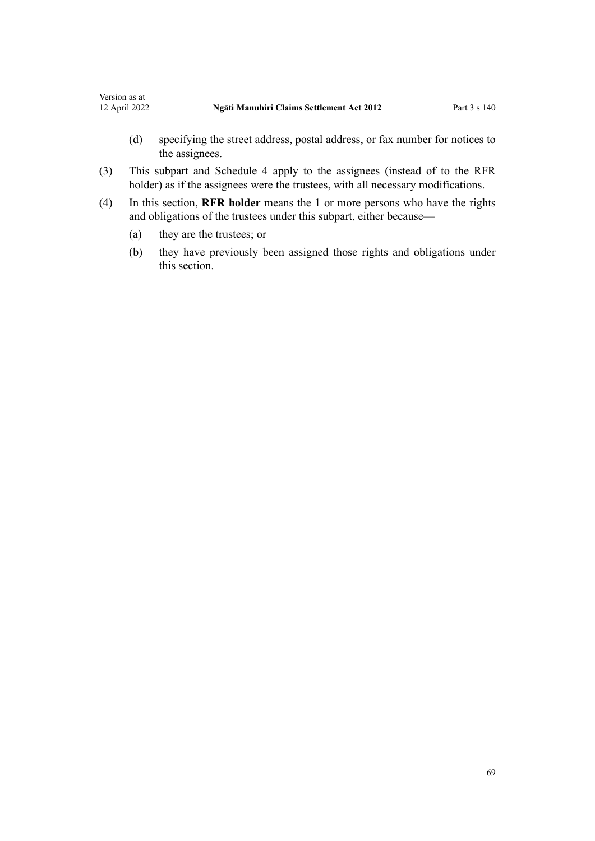- (d) specifying the street address, postal address, or fax number for notices to the assignees.
- (3) This subpart and [Schedule 4](#page-73-0) apply to the assignees (instead of to the RFR holder) as if the assignees were the trustees, with all necessary modifications.
- (4) In this section, **RFR holder** means the 1 or more persons who have the rights and obligations of the trustees under this subpart, either because—
	- (a) they are the trustees; or
	- (b) they have previously been assigned those rights and obligations under this section.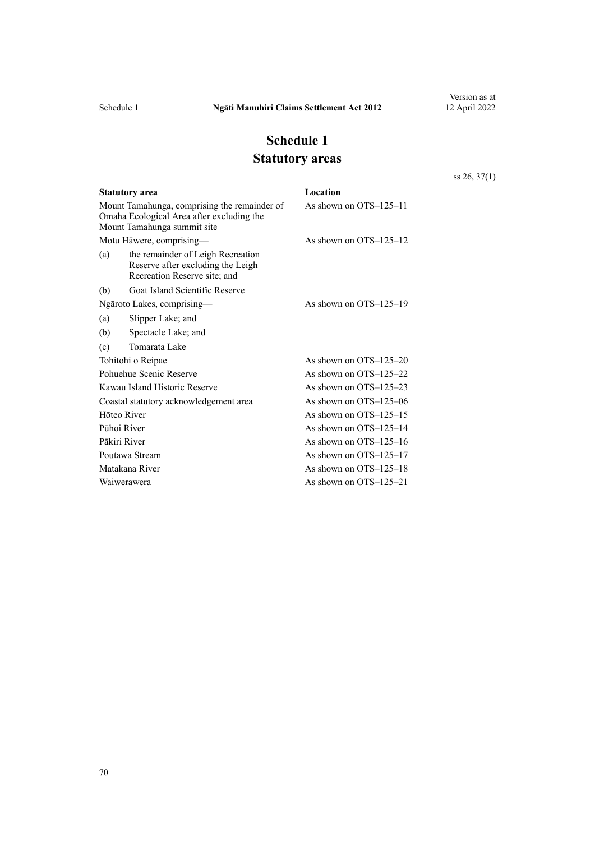# **Schedule 1 Statutory areas**

[ss 26](#page-26-0), [37\(1\)](#page-30-0)

|                                        | <b>Statutory area</b>                                                                                                    | Location<br>As shown on OTS-125-11 |  |
|----------------------------------------|--------------------------------------------------------------------------------------------------------------------------|------------------------------------|--|
|                                        | Mount Tamahunga, comprising the remainder of<br>Omaha Ecological Area after excluding the<br>Mount Tamahunga summit site |                                    |  |
|                                        | Motu Hāwere, comprising—                                                                                                 | As shown on $OTS-125-12$           |  |
| (a)                                    | the remainder of Leigh Recreation<br>Reserve after excluding the Leigh<br>Recreation Reserve site; and                   |                                    |  |
| (b)                                    | Goat Island Scientific Reserve                                                                                           |                                    |  |
| Ngāroto Lakes, comprising—             |                                                                                                                          | As shown on $OTS-125-19$           |  |
| (a)                                    | Slipper Lake; and                                                                                                        |                                    |  |
| (b)                                    | Spectacle Lake; and                                                                                                      |                                    |  |
| (c)                                    | Tomarata Lake                                                                                                            |                                    |  |
| Tohitohi o Reipae                      |                                                                                                                          | As shown on $OTS-125-20$           |  |
| Pohuehue Scenic Reserve                |                                                                                                                          | As shown on $OTS-125-22$           |  |
| Kawau Island Historic Reserve          |                                                                                                                          | As shown on $OTS-125-23$           |  |
| Coastal statutory acknowledgement area |                                                                                                                          | As shown on $OTS-125-06$           |  |
| Hōteo River                            |                                                                                                                          | As shown on $OTS-125-15$           |  |
| Pūhoi River                            |                                                                                                                          | As shown on $OTS-125-14$           |  |
| Pākiri River                           |                                                                                                                          | As shown on $OTS-125-16$           |  |
| Poutawa Stream                         |                                                                                                                          | As shown on $OTS-125-17$           |  |
| Matakana River                         |                                                                                                                          | As shown on $OTS-125-18$           |  |
| Waiwerawera                            |                                                                                                                          | As shown on $OTS-125-21$           |  |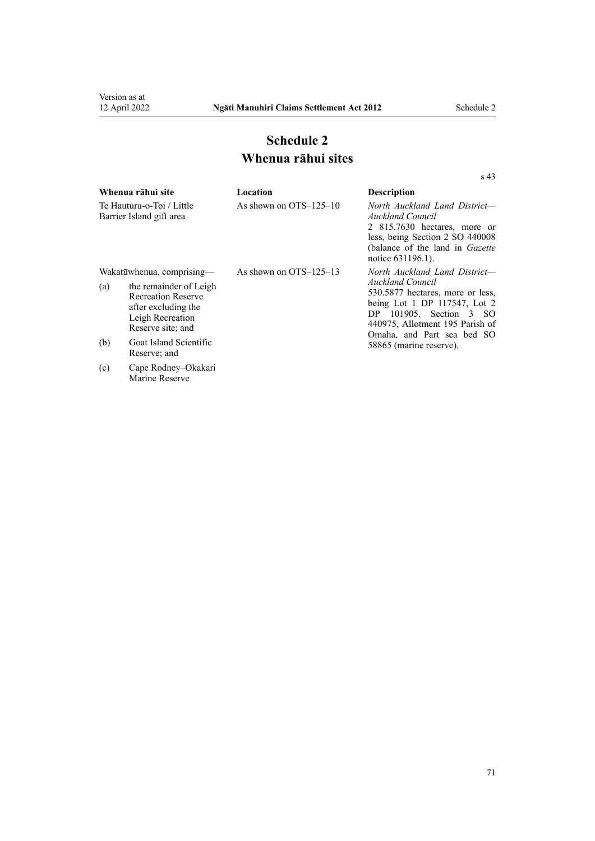Marine Reserve

[s 43](#page-32-0)

# **Schedule 2 Whenua rāhui sites**

|                                                       | Whenua rāhui site                                                                                                   | Location                 | <b>Description</b>                                                                                                                                                                                                      |
|-------------------------------------------------------|---------------------------------------------------------------------------------------------------------------------|--------------------------|-------------------------------------------------------------------------------------------------------------------------------------------------------------------------------------------------------------------------|
| Te Hauturu-o-Toi / Little<br>Barrier Island gift area |                                                                                                                     | As shown on $OTS-125-10$ | North Auckland Land District-<br>Auckland Council<br>2 815.7630 hectares, more or<br>less, being Section 2 SO 440008<br>(balance of the land in <i>Gazette</i> )<br>notice 631196.1).                                   |
| Wakatūwhenua, comprising-                             |                                                                                                                     | As shown on $OTS-125-13$ | North Auckland Land District-                                                                                                                                                                                           |
| (a)                                                   | the remainder of Leigh<br><b>Recreation Reserve</b><br>after excluding the<br>Leigh Recreation<br>Reserve site; and |                          | <b>Auckland Council</b><br>530.5877 hectares, more or less,<br>being Lot 1 DP 117547, Lot 2<br>DP $101905$ , Section $3$ SO<br>440975, Allotment 195 Parish of<br>Omaha, and Part sea bed SO<br>58865 (marine reserve). |
| (b)                                                   | Goat Island Scientific<br>Reserve; and                                                                              |                          |                                                                                                                                                                                                                         |
| (c)                                                   | Cape Rodney–Okakari                                                                                                 |                          |                                                                                                                                                                                                                         |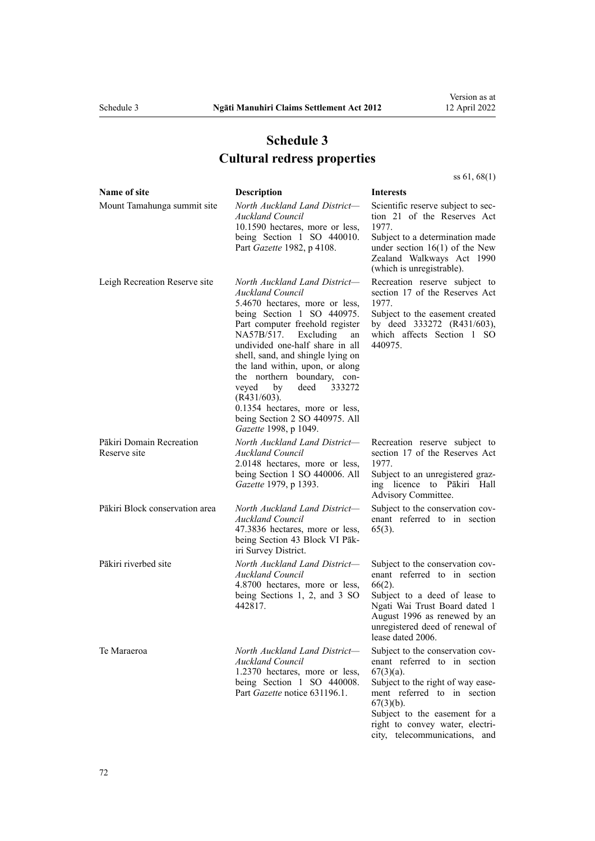# **Schedule 3 Cultural redress properties**

<span id="page-71-0"></span>

| Name of site                             | <b>Description</b>                                                                                                                                                                                                                                                                                                                                                                                                                                                                     | <b>Interests</b>                                                                                                                                                                                                                                                          |
|------------------------------------------|----------------------------------------------------------------------------------------------------------------------------------------------------------------------------------------------------------------------------------------------------------------------------------------------------------------------------------------------------------------------------------------------------------------------------------------------------------------------------------------|---------------------------------------------------------------------------------------------------------------------------------------------------------------------------------------------------------------------------------------------------------------------------|
| Mount Tamahunga summit site              | North Auckland Land District-<br>Auckland Council<br>10.1590 hectares, more or less,<br>being Section 1 SO 440010.<br>Part Gazette 1982, p 4108.                                                                                                                                                                                                                                                                                                                                       | Scientific reserve subject to sec-<br>tion 21 of the Reserves Act<br>1977.<br>Subject to a determination made<br>under section $16(1)$ of the New<br>Zealand Walkways Act 1990<br>(which is unregistrable).                                                               |
| Leigh Recreation Reserve site            | North Auckland Land District-<br><b>Auckland Council</b><br>5.4670 hectares, more or less,<br>being Section 1 SO 440975.<br>Part computer freehold register<br>NA57B/517.<br>Excluding<br>an<br>undivided one-half share in all<br>shell, sand, and shingle lying on<br>the land within, upon, or along<br>the northern boundary, con-<br>deed<br>veyed<br>by<br>333272<br>$(R431/603)$ .<br>0.1354 hectares, more or less,<br>being Section 2 SO 440975. All<br>Gazette 1998, p 1049. | Recreation reserve subject to<br>section 17 of the Reserves Act<br>1977.<br>Subject to the easement created<br>by deed 333272 (R431/603),<br>which affects Section 1 SO<br>440975.                                                                                        |
| Pākiri Domain Recreation<br>Reserve site | North Auckland Land District-<br><b>Auckland Council</b><br>2.0148 hectares, more or less,<br>being Section 1 SO 440006. All<br>Gazette 1979, p 1393.                                                                                                                                                                                                                                                                                                                                  | Recreation reserve subject to<br>section 17 of the Reserves Act<br>1977.<br>Subject to an unregistered graz-<br>ing licence to Pākiri Hall<br>Advisory Committee.                                                                                                         |
| Pākiri Block conservation area           | North Auckland Land District-<br><b>Auckland Council</b><br>47.3836 hectares, more or less,<br>being Section 43 Block VI Pāk-<br>iri Survey District.                                                                                                                                                                                                                                                                                                                                  | Subject to the conservation cov-<br>enant referred to in section<br>$65(3)$ .                                                                                                                                                                                             |
| Pākiri riverbed site                     | North Auckland Land District-<br><b>Auckland Council</b><br>4.8700 hectares, more or less,<br>being Sections 1, 2, and 3 SO<br>442817.                                                                                                                                                                                                                                                                                                                                                 | Subject to the conservation cov-<br>enant referred to in section<br>$66(2)$ .<br>Subject to a deed of lease to<br>Ngati Wai Trust Board dated 1<br>August 1996 as renewed by an<br>unregistered deed of renewal of<br>lease dated 2006.                                   |
| Te Maraeroa                              | North Auckland Land District-<br><b>Auckland Council</b><br>1.2370 hectares, more or less,<br>being Section 1 SO 440008.<br>Part Gazette notice 631196.1.                                                                                                                                                                                                                                                                                                                              | Subject to the conservation cov-<br>enant referred to in section<br>$67(3)(a)$ .<br>Subject to the right of way ease-<br>ment referred to in section<br>$67(3)(b)$ .<br>Subject to the easement for a<br>right to convey water, electri-<br>city, telecommunications, and |

Version as at 12 April 2022

[ss 61](#page-37-0), [68\(1\)](#page-40-0)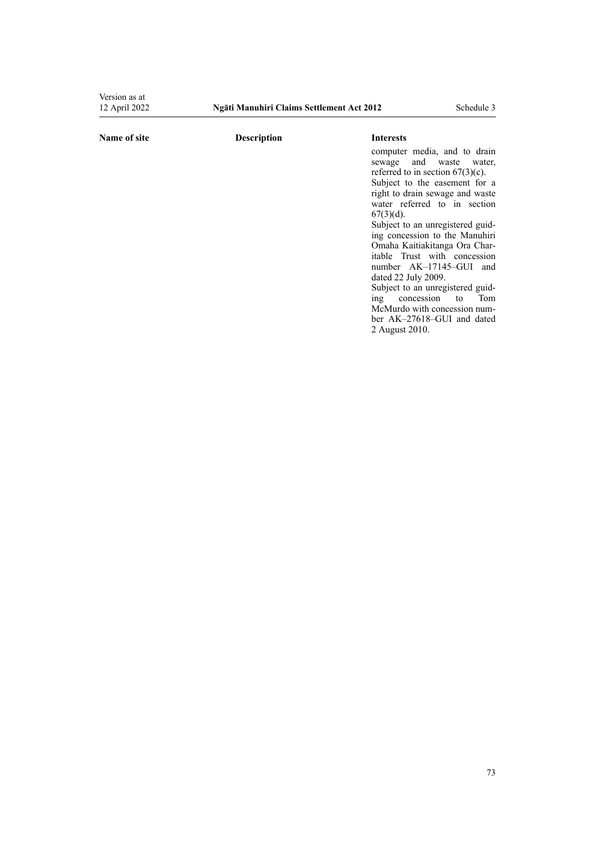Version as at<br>12 April 2022

#### **Name of site Description Interests**

2 August 2010.

computer media, and to drain sewage and waste water, referred to in section  $67(3)(c)$ . Subject to the easement for a right to drain sewage and waste water referred to in [section](#page-39-0)  $67(3)(d)$ . Subject to an unregistered guiding concession to the Manuhiri Omaha Kaitiakitanga Ora Char‐ itable Trust with concession number AK–17145–GUI and dated 22 July 2009. Subject to an unregistered guid-<br>ing concession to Tom ing concession to McMurdo with concession num‐ ber AK–27618–GUI and dated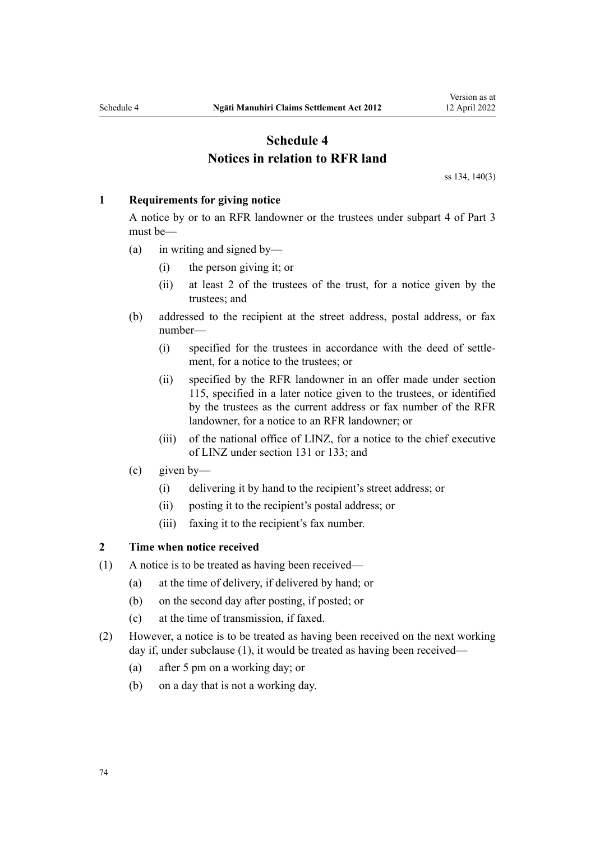# **Schedule 4 Notices in relation to RFR land**

[ss 134,](#page-65-0) [140\(3\)](#page-67-0)

#### **1 Requirements for giving notice**

A notice by or to an RFR landowner or the trustees under [subpart 4](#page-57-0) of Part 3 must be—

- (a) in writing and signed by—
	- (i) the person giving it; or
	- (ii) at least 2 of the trustees of the trust, for a notice given by the trustees; and
- (b) addressed to the recipient at the street address, postal address, or fax number—
	- (i) specified for the trustees in accordance with the deed of settle‐ ment, for a notice to the trustees; or
	- (ii) specified by the RFR landowner in an offer made under [section](#page-60-0) [115](#page-60-0), specified in a later notice given to the trustees, or identified by the trustees as the current address or fax number of the RFR landowner, for a notice to an RFR landowner; or
	- (iii) of the national office of LINZ, for a notice to the chief executive of LINZ under [section 131](#page-64-0) or [133](#page-64-0); and
- (c) given by—
	- (i) delivering it by hand to the recipient's street address; or
	- (ii) posting it to the recipient's postal address; or
	- (iii) faxing it to the recipient's fax number.

### **2 Time when notice received**

- (1) A notice is to be treated as having been received—
	- (a) at the time of delivery, if delivered by hand; or
	- (b) on the second day after posting, if posted; or
	- (c) at the time of transmission, if faxed.
- (2) However, a notice is to be treated as having been received on the next working day if, under subclause (1), it would be treated as having been received—
	- (a) after 5 pm on a working day; or
	- (b) on a day that is not a working day.